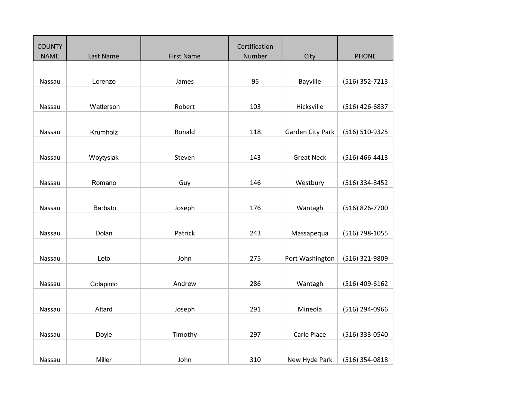| <b>COUNTY</b> |           |                   | Certification |                   |                  |
|---------------|-----------|-------------------|---------------|-------------------|------------------|
| <b>NAME</b>   | Last Name | <b>First Name</b> | Number        | City              | <b>PHONE</b>     |
|               |           |                   |               |                   |                  |
|               |           |                   |               |                   |                  |
| Nassau        | Lorenzo   | James             | 95            | Bayville          | (516) 352-7213   |
|               |           |                   |               |                   |                  |
| Nassau        | Watterson | Robert            | 103           | Hicksville        | $(516)$ 426-6837 |
|               |           |                   |               |                   |                  |
|               |           |                   |               |                   |                  |
| Nassau        | Krumholz  | Ronald            | 118           | Garden City Park  | (516) 510-9325   |
|               |           |                   |               |                   |                  |
| Nassau        | Woytysiak | Steven            | 143           | <b>Great Neck</b> | $(516)$ 466-4413 |
|               |           |                   |               |                   |                  |
|               |           |                   |               |                   |                  |
| Nassau        | Romano    | Guy               | 146           | Westbury          | (516) 334-8452   |
|               |           |                   |               |                   |                  |
| Nassau        | Barbato   | Joseph            | 176           | Wantagh           | (516) 826-7700   |
|               |           |                   |               |                   |                  |
|               |           |                   |               |                   |                  |
| Nassau        | Dolan     | Patrick           | 243           | Massapequa        | (516) 798-1055   |
|               |           |                   |               |                   |                  |
| Nassau        | Leto      | John              | 275           | Port Washington   | (516) 321-9809   |
|               |           |                   |               |                   |                  |
|               |           |                   |               |                   |                  |
| Nassau        | Colapinto | Andrew            | 286           | Wantagh           | (516) 409-6162   |
|               |           |                   |               |                   |                  |
|               |           |                   |               |                   |                  |
| Nassau        | Attard    | Joseph            | 291           | Mineola           | (516) 294-0966   |
|               |           |                   |               |                   |                  |
| Nassau        | Doyle     | Timothy           | 297           | Carle Place       | (516) 333-0540   |
|               |           |                   |               |                   |                  |
|               |           |                   |               |                   |                  |
| Nassau        | Miller    | John              | 310           | New Hyde Park     | (516) 354-0818   |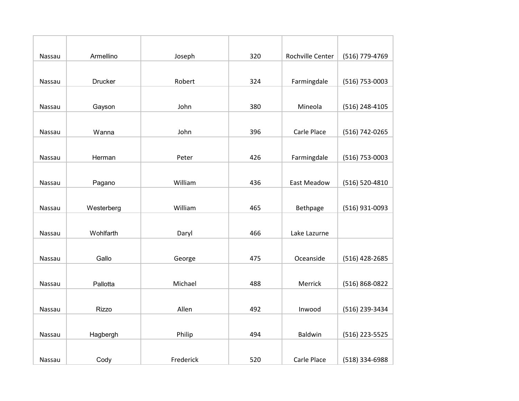| Nassau | Armellino      | Joseph    | 320 | Rochville Center | (516) 779-4769   |
|--------|----------------|-----------|-----|------------------|------------------|
|        |                |           |     |                  |                  |
| Nassau | <b>Drucker</b> | Robert    | 324 | Farmingdale      | $(516)$ 753-0003 |
|        |                |           |     |                  |                  |
| Nassau | Gayson         | John      | 380 | Mineola          | (516) 248-4105   |
|        |                |           |     |                  |                  |
| Nassau | Wanna          | John      | 396 | Carle Place      | (516) 742-0265   |
|        |                |           |     |                  |                  |
| Nassau | Herman         | Peter     | 426 | Farmingdale      | (516) 753-0003   |
|        |                |           |     |                  |                  |
| Nassau | Pagano         | William   | 436 | East Meadow      | (516) 520-4810   |
|        |                |           |     |                  |                  |
| Nassau | Westerberg     | William   | 465 | Bethpage         | (516) 931-0093   |
|        |                |           |     |                  |                  |
| Nassau | Wohlfarth      | Daryl     | 466 | Lake Lazurne     |                  |
|        |                |           |     |                  |                  |
| Nassau | Gallo          | George    | 475 | Oceanside        | (516) 428-2685   |
|        |                |           |     |                  |                  |
| Nassau | Pallotta       | Michael   | 488 | Merrick          | (516) 868-0822   |
|        |                |           |     |                  |                  |
| Nassau | <b>Rizzo</b>   | Allen     | 492 | Inwood           | (516) 239-3434   |
|        |                |           |     |                  |                  |
| Nassau | Hagbergh       | Philip    | 494 | Baldwin          | (516) 223-5525   |
|        |                |           |     |                  |                  |
| Nassau | Cody           | Frederick | 520 | Carle Place      | (518) 334-6988   |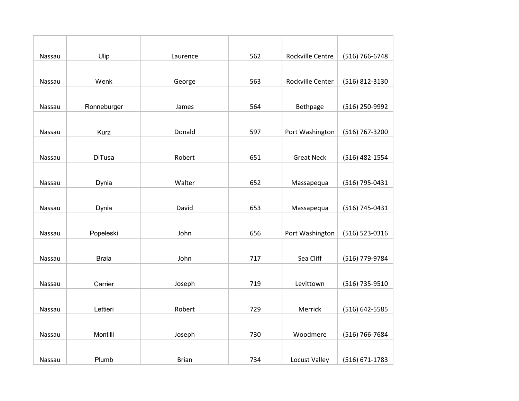| Nassau | Ulip          | Laurence     | 562 | <b>Rockville Centre</b> | (516) 766-6748 |
|--------|---------------|--------------|-----|-------------------------|----------------|
|        |               |              |     |                         |                |
| Nassau | Wenk          | George       | 563 | Rockville Center        | (516) 812-3130 |
|        |               |              |     |                         |                |
| Nassau | Ronneburger   | James        | 564 | Bethpage                | (516) 250-9992 |
|        |               |              |     |                         |                |
| Nassau | <b>Kurz</b>   | Donald       | 597 | Port Washington         | (516) 767-3200 |
|        |               |              |     |                         |                |
| Nassau | <b>DiTusa</b> | Robert       | 651 | <b>Great Neck</b>       | (516) 482-1554 |
|        |               |              |     |                         |                |
| Nassau | Dynia         | Walter       | 652 | Massapequa              | (516) 795-0431 |
|        |               |              |     |                         |                |
| Nassau | Dynia         | David        | 653 | Massapequa              | (516) 745-0431 |
|        |               |              |     |                         |                |
| Nassau | Popeleski     | John         | 656 | Port Washington         | (516) 523-0316 |
|        |               |              |     |                         |                |
| Nassau | <b>Brala</b>  | John         | 717 | Sea Cliff               | (516) 779-9784 |
|        |               |              |     |                         |                |
| Nassau | Carrier       | Joseph       | 719 | Levittown               | (516) 735-9510 |
|        |               |              |     |                         |                |
| Nassau | Lettieri      | Robert       | 729 | Merrick                 | (516) 642-5585 |
|        |               |              |     |                         |                |
| Nassau | Montilli      | Joseph       | 730 | Woodmere                | (516) 766-7684 |
|        |               |              |     |                         |                |
| Nassau | Plumb         | <b>Brian</b> | 734 | Locust Valley           | (516) 671-1783 |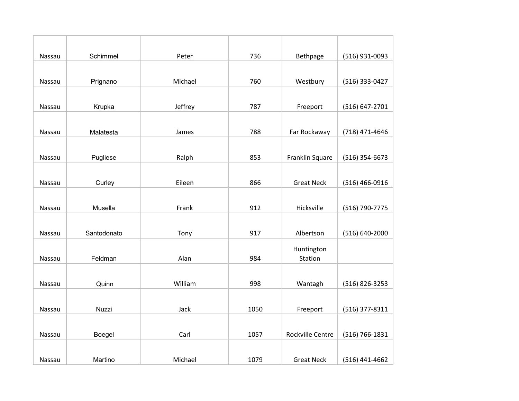| Nassau | Schimmel    | Peter   | 736  | Bethpage                | (516) 931-0093 |
|--------|-------------|---------|------|-------------------------|----------------|
|        |             |         |      |                         |                |
| Nassau | Prignano    | Michael | 760  | Westbury                | (516) 333-0427 |
|        |             |         |      |                         |                |
| Nassau | Krupka      | Jeffrey | 787  | Freeport                | (516) 647-2701 |
|        |             |         |      |                         |                |
| Nassau | Malatesta   | James   | 788  | Far Rockaway            | (718) 471-4646 |
|        |             |         |      |                         |                |
| Nassau | Pugliese    | Ralph   | 853  | Franklin Square         | (516) 354-6673 |
|        |             |         |      |                         |                |
| Nassau | Curley      | Eileen  | 866  | <b>Great Neck</b>       | (516) 466-0916 |
|        |             |         |      |                         |                |
| Nassau | Musella     | Frank   | 912  | Hicksville              | (516) 790-7775 |
|        |             |         |      |                         |                |
| Nassau | Santodonato | Tony    | 917  | Albertson               | (516) 640-2000 |
|        |             |         |      | Huntington              |                |
| Nassau | Feldman     | Alan    | 984  | Station                 |                |
|        |             |         |      |                         |                |
| Nassau | Quinn       | William | 998  | Wantagh                 | (516) 826-3253 |
|        |             |         |      |                         |                |
| Nassau | Nuzzi       | Jack    | 1050 | Freeport                | (516) 377-8311 |
|        |             |         |      |                         |                |
| Nassau | Boegel      | Carl    | 1057 | <b>Rockville Centre</b> | (516) 766-1831 |
|        |             |         |      |                         |                |
| Nassau | Martino     | Michael | 1079 | <b>Great Neck</b>       | (516) 441-4662 |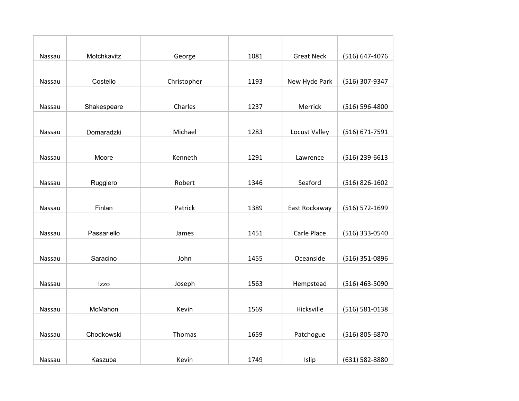| Nassau        | Motchkavitz | George      | 1081 | <b>Great Neck</b> | (516) 647-4076   |
|---------------|-------------|-------------|------|-------------------|------------------|
|               |             |             |      |                   |                  |
| Nassau        | Costello    | Christopher | 1193 | New Hyde Park     | (516) 307-9347   |
|               |             |             |      |                   |                  |
| Nassau        | Shakespeare | Charles     | 1237 | Merrick           | (516) 596-4800   |
|               |             |             |      |                   |                  |
| Nassau        | Domaradzki  | Michael     | 1283 | Locust Valley     | (516) 671-7591   |
|               |             |             |      |                   |                  |
| Nassau        | Moore       | Kenneth     | 1291 | Lawrence          | (516) 239-6613   |
|               |             |             |      |                   |                  |
| Nassau        | Ruggiero    | Robert      | 1346 | Seaford           | (516) 826-1602   |
|               |             |             |      |                   |                  |
| Nassau        | Finlan      | Patrick     | 1389 | East Rockaway     | (516) 572-1699   |
|               |             |             |      |                   |                  |
| <b>Nassau</b> | Passariello | James       | 1451 | Carle Place       | (516) 333-0540   |
|               |             |             |      |                   |                  |
| <b>Nassau</b> | Saracino    | John        | 1455 | Oceanside         | (516) 351-0896   |
|               |             |             |      |                   |                  |
| Nassau        | Izzo        | Joseph      | 1563 | Hempstead         | $(516)$ 463-5090 |
|               |             |             |      |                   |                  |
| Nassau        | McMahon     | Kevin       | 1569 | Hicksville        | (516) 581-0138   |
|               |             |             |      |                   |                  |
| Nassau        | Chodkowski  | Thomas      | 1659 | Patchogue         | (516) 805-6870   |
|               |             |             |      |                   |                  |
| Nassau        | Kaszuba     | Kevin       | 1749 | Islip             | (631) 582-8880   |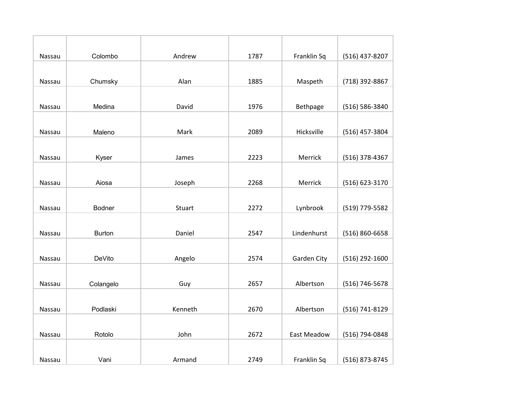| Nassau        | Colombo       | Andrew  | 1787 | Franklin Sq        | (516) 437-8207 |
|---------------|---------------|---------|------|--------------------|----------------|
|               |               |         |      |                    |                |
| Nassau        | Chumsky       | Alan    | 1885 | Maspeth            | (718) 392-8867 |
|               |               |         |      |                    |                |
| Nassau        | Medina        | David   | 1976 | Bethpage           | (516) 586-3840 |
|               |               |         |      |                    |                |
| Nassau        | Maleno        | Mark    | 2089 | Hicksville         | (516) 457-3804 |
|               |               |         |      |                    |                |
| Nassau        | Kyser         | James   | 2223 | Merrick            | (516) 378-4367 |
|               |               |         |      |                    |                |
| Nassau        | Aiosa         | Joseph  | 2268 | Merrick            | (516) 623-3170 |
|               |               |         |      |                    |                |
| Nassau        | <b>Bodner</b> | Stuart  | 2272 | Lynbrook           | (519) 779-5582 |
|               |               |         |      |                    |                |
| <b>Nassau</b> | <b>Burton</b> | Daniel  | 2547 | Lindenhurst        | (516) 860-6658 |
|               |               |         |      |                    |                |
| <b>Nassau</b> | DeVito        | Angelo  | 2574 | Garden City        | (516) 292-1600 |
|               |               |         |      |                    |                |
| Nassau        | Colangelo     | Guy     | 2657 | Albertson          | (516) 746-5678 |
|               |               |         |      |                    |                |
| Nassau        | Podlaski      | Kenneth | 2670 | Albertson          | (516) 741-8129 |
|               |               |         |      |                    |                |
| Nassau        | Rotolo        | John    | 2672 | <b>East Meadow</b> | (516) 794-0848 |
|               |               |         |      |                    |                |
| Nassau        | Vani          | Armand  | 2749 | Franklin Sq        | (516) 873-8745 |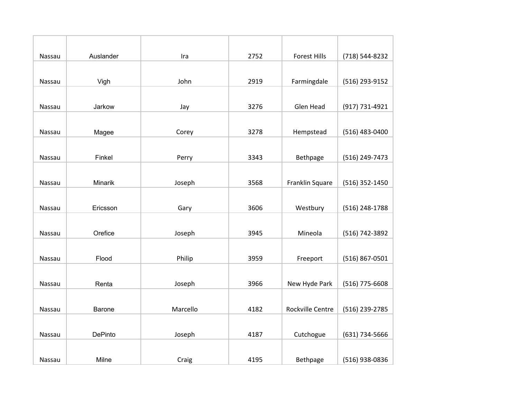| Nassau | Auslander      | Ira      | 2752 | <b>Forest Hills</b> | (718) 544-8232   |
|--------|----------------|----------|------|---------------------|------------------|
|        |                |          |      |                     |                  |
| Nassau | Vigh           | John     | 2919 | Farmingdale         | (516) 293-9152   |
|        |                |          |      |                     |                  |
| Nassau | Jarkow         | Jay      | 3276 | Glen Head           | (917) 731-4921   |
|        |                |          |      |                     |                  |
| Nassau | Magee          | Corey    | 3278 | Hempstead           | (516) 483-0400   |
|        |                |          |      |                     |                  |
| Nassau | Finkel         | Perry    | 3343 | Bethpage            | (516) 249-7473   |
|        |                |          |      |                     |                  |
| Nassau | Minarik        | Joseph   | 3568 | Franklin Square     | (516) 352-1450   |
|        |                |          |      |                     |                  |
| Nassau | Ericsson       | Gary     | 3606 | Westbury            | (516) 248-1788   |
|        |                |          |      |                     |                  |
| Nassau | Orefice        | Joseph   | 3945 | Mineola             | (516) 742-3892   |
|        |                |          |      |                     |                  |
| Nassau | Flood          | Philip   | 3959 | Freeport            | (516) 867-0501   |
|        |                |          |      |                     |                  |
| Nassau | Renta          | Joseph   | 3966 | New Hyde Park       | $(516)$ 775-6608 |
|        |                |          |      |                     |                  |
| Nassau | Barone         | Marcello | 4182 | Rockville Centre    | (516) 239-2785   |
|        |                |          |      |                     |                  |
| Nassau | <b>DePinto</b> | Joseph   | 4187 | Cutchogue           | (631) 734-5666   |
|        |                |          |      |                     |                  |
| Nassau | Milne          | Craig    | 4195 | Bethpage            | (516) 938-0836   |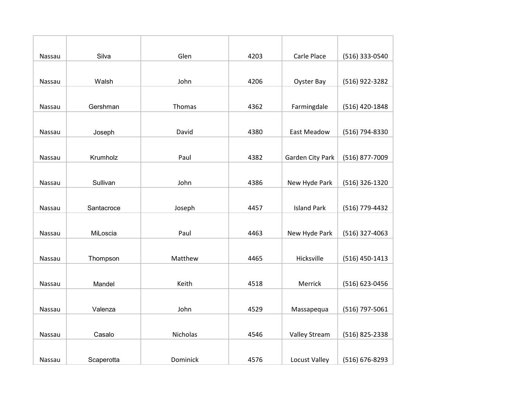| Nassau | Silva      | Glen     | 4203 | Carle Place          | (516) 333-0540   |
|--------|------------|----------|------|----------------------|------------------|
|        |            |          |      |                      |                  |
| Nassau | Walsh      | John     | 4206 | <b>Oyster Bay</b>    | (516) 922-3282   |
|        |            |          |      |                      |                  |
| Nassau | Gershman   | Thomas   | 4362 | Farmingdale          | (516) 420-1848   |
|        |            |          |      |                      |                  |
| Nassau | Joseph     | David    | 4380 | East Meadow          | (516) 794-8330   |
|        |            |          |      |                      |                  |
| Nassau | Krumholz   | Paul     | 4382 | Garden City Park     | (516) 877-7009   |
|        |            |          |      |                      |                  |
| Nassau | Sullivan   | John     | 4386 | New Hyde Park        | (516) 326-1320   |
|        |            |          |      |                      |                  |
| Nassau | Santacroce | Joseph   | 4457 | <b>Island Park</b>   | (516) 779-4432   |
|        |            |          |      |                      |                  |
| Nassau | MiLoscia   | Paul     | 4463 | New Hyde Park        | (516) 327-4063   |
|        |            |          |      |                      |                  |
| Nassau | Thompson   | Matthew  | 4465 | Hicksville           | $(516)$ 450-1413 |
|        |            |          |      |                      |                  |
| Nassau | Mandel     | Keith    | 4518 | Merrick              | (516) 623-0456   |
|        |            |          |      |                      |                  |
| Nassau | Valenza    | John     | 4529 | Massapequa           | (516) 797-5061   |
|        |            |          |      |                      |                  |
| Nassau | Casalo     | Nicholas | 4546 | <b>Valley Stream</b> | (516) 825-2338   |
|        |            |          |      |                      |                  |
| Nassau | Scaperotta | Dominick | 4576 | Locust Valley        | (516) 676-8293   |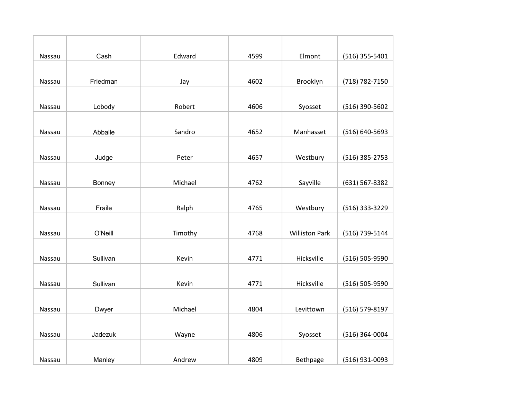| Nassau        | Cash     | Edward  | 4599 | Elmont                | (516) 355-5401   |
|---------------|----------|---------|------|-----------------------|------------------|
|               |          |         |      |                       |                  |
| Nassau        | Friedman | Jay     | 4602 | Brooklyn              | (718) 782-7150   |
|               |          |         |      |                       |                  |
| Nassau        | Lobody   | Robert  | 4606 | Syosset               | (516) 390-5602   |
|               |          |         |      |                       |                  |
| Nassau        | Abballe  | Sandro  | 4652 | Manhasset             | (516) 640-5693   |
|               |          |         |      |                       |                  |
| Nassau        | Judge    | Peter   | 4657 | Westbury              | (516) 385-2753   |
|               |          |         |      |                       |                  |
| Nassau        | Bonney   | Michael | 4762 | Sayville              | (631) 567-8382   |
|               |          |         |      |                       |                  |
| Nassau        | Fraile   | Ralph   | 4765 | Westbury              | (516) 333-3229   |
|               |          |         |      |                       |                  |
| <b>Nassau</b> | O'Neill  | Timothy | 4768 | <b>Williston Park</b> | (516) 739-5144   |
|               |          |         |      |                       |                  |
| Nassau        | Sullivan | Kevin   | 4771 | Hicksville            | (516) 505-9590   |
|               |          |         |      |                       |                  |
| Nassau        | Sullivan | Kevin   | 4771 | Hicksville            | (516) 505-9590   |
|               |          |         |      |                       |                  |
| Nassau        | Dwyer    | Michael | 4804 | Levittown             | (516) 579-8197   |
|               |          |         |      |                       |                  |
| Nassau        | Jadezuk  | Wayne   | 4806 | Syosset               | $(516)$ 364-0004 |
|               |          |         |      |                       |                  |
| Nassau        | Manley   | Andrew  | 4809 | Bethpage              | (516) 931-0093   |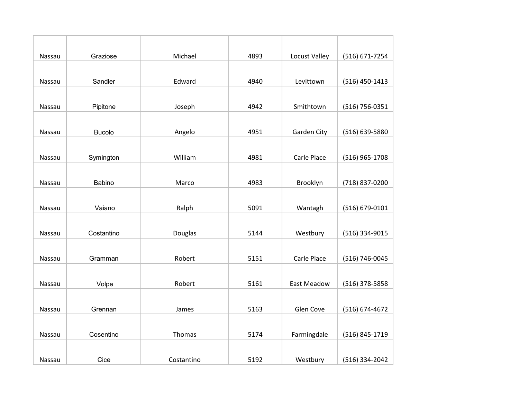| Nassau | Graziose      | Michael    | 4893 | Locust Valley      | (516) 671-7254   |
|--------|---------------|------------|------|--------------------|------------------|
|        |               |            |      |                    |                  |
| Nassau | Sandler       | Edward     | 4940 | Levittown          | $(516)$ 450-1413 |
|        |               |            |      |                    |                  |
| Nassau | Pipitone      | Joseph     | 4942 | Smithtown          | (516) 756-0351   |
|        |               |            |      |                    |                  |
| Nassau | <b>Bucolo</b> | Angelo     | 4951 | Garden City        | (516) 639-5880   |
|        |               |            |      |                    |                  |
| Nassau | Symington     | William    | 4981 | Carle Place        | (516) 965-1708   |
|        |               |            |      |                    |                  |
| Nassau | Babino        | Marco      | 4983 | Brooklyn           | (718) 837-0200   |
|        |               |            |      |                    |                  |
| Nassau | Vaiano        | Ralph      | 5091 | Wantagh            | (516) 679-0101   |
|        |               |            |      |                    |                  |
| Nassau | Costantino    | Douglas    | 5144 | Westbury           | (516) 334-9015   |
|        |               |            |      |                    |                  |
| Nassau | Gramman       | Robert     | 5151 | Carle Place        | (516) 746-0045   |
|        |               |            |      |                    |                  |
| Nassau | Volpe         | Robert     | 5161 | <b>East Meadow</b> | $(516)$ 378-5858 |
|        |               |            |      |                    |                  |
| Nassau | Grennan       | James      | 5163 | Glen Cove          | (516) 674-4672   |
|        |               |            |      |                    |                  |
| Nassau | Cosentino     | Thomas     | 5174 | Farmingdale        | (516) 845-1719   |
|        |               |            |      |                    |                  |
| Nassau | Cice          | Costantino | 5192 | Westbury           | (516) 334-2042   |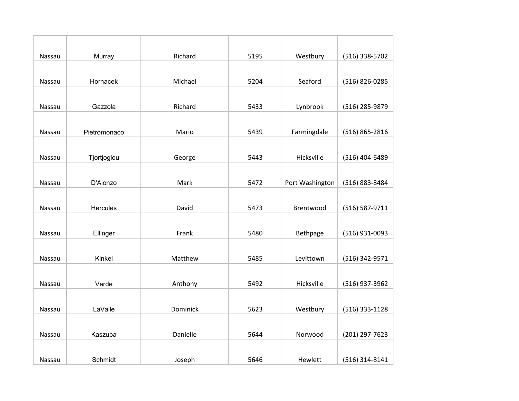| Nassau        | Murray       | Richard  | 5195 | Westbury        | (516) 338-5702   |
|---------------|--------------|----------|------|-----------------|------------------|
|               |              |          |      |                 |                  |
| Nassau        | Hornacek     | Michael  | 5204 | Seaford         | (516) 826-0285   |
|               |              |          |      |                 |                  |
| Nassau        | Gazzola      | Richard  | 5433 | Lynbrook        | (516) 285-9879   |
|               |              |          |      |                 |                  |
| Nassau        | Pietromonaco | Mario    | 5439 | Farmingdale     | (516) 865-2816   |
|               |              |          |      |                 |                  |
| Nassau        | Tjortjoglou  | George   | 5443 | Hicksville      | (516) 404-6489   |
|               |              |          |      |                 |                  |
| Nassau        | D'Alonzo     | Mark     | 5472 | Port Washington | (516) 883-8484   |
|               |              |          |      |                 |                  |
| Nassau        | Hercules     | David    | 5473 | Brentwood       | (516) 587-9711   |
|               |              |          |      |                 |                  |
| <b>Nassau</b> | Ellinger     | Frank    | 5480 | Bethpage        | (516) 931-0093   |
|               |              |          |      |                 |                  |
| Nassau        | Kinkel       | Matthew  | 5485 | Levittown       | (516) 342-9571   |
|               |              |          |      |                 |                  |
| Nassau        | Verde        | Anthony  | 5492 | Hicksville      | (516) 937-3962   |
|               |              |          |      |                 |                  |
| Nassau        | LaValle      | Dominick | 5623 | Westbury        | $(516)$ 333-1128 |
|               |              |          |      |                 |                  |
| Nassau        | Kaszuba      | Danielle | 5644 | Norwood         | (201) 297-7623   |
|               |              |          |      |                 |                  |
| Nassau        | Schmidt      | Joseph   | 5646 | Hewlett         | (516) 314-8141   |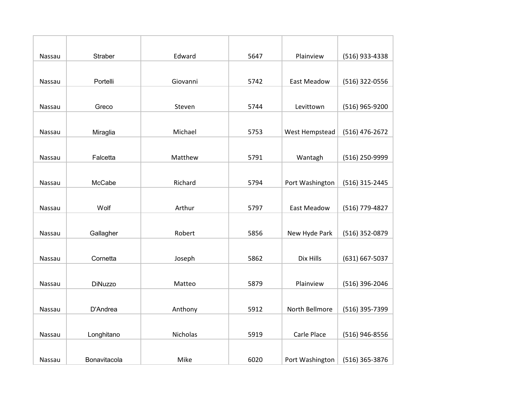| Nassau | <b>Straber</b> | Edward   | 5647 | Plainview          | (516) 933-4338 |
|--------|----------------|----------|------|--------------------|----------------|
|        |                |          |      |                    |                |
| Nassau | Portelli       | Giovanni | 5742 | <b>East Meadow</b> | (516) 322-0556 |
|        |                |          |      |                    |                |
| Nassau | Greco          | Steven   | 5744 | Levittown          | (516) 965-9200 |
|        |                |          |      |                    |                |
| Nassau | Miraglia       | Michael  | 5753 | West Hempstead     | (516) 476-2672 |
|        |                |          |      |                    |                |
| Nassau | Falcetta       | Matthew  | 5791 | Wantagh            | (516) 250-9999 |
|        |                |          |      |                    |                |
| Nassau | McCabe         | Richard  | 5794 | Port Washington    | (516) 315-2445 |
|        |                |          |      |                    |                |
| Nassau | Wolf           | Arthur   | 5797 | <b>East Meadow</b> | (516) 779-4827 |
|        |                |          |      |                    |                |
| Nassau | Gallagher      | Robert   | 5856 | New Hyde Park      | (516) 352-0879 |
|        |                |          |      |                    |                |
| Nassau | Cornetta       | Joseph   | 5862 | Dix Hills          | (631) 667-5037 |
|        |                |          |      |                    |                |
| Nassau | <b>DiNuzzo</b> | Matteo   | 5879 | Plainview          | (516) 396-2046 |
|        |                |          |      |                    |                |
| Nassau | D'Andrea       | Anthony  | 5912 | North Bellmore     | (516) 395-7399 |
|        |                |          |      |                    |                |
| Nassau | Longhitano     | Nicholas | 5919 | Carle Place        | (516) 946-8556 |
|        |                |          |      |                    |                |
| Nassau | Bonavitacola   | Mike     | 6020 | Port Washington    | (516) 365-3876 |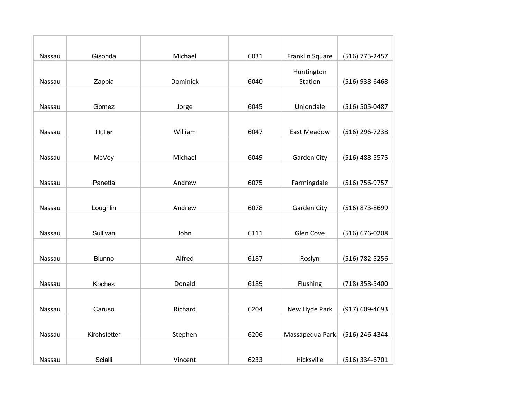| Nassau | Gisonda       | Michael  | 6031 | Franklin Square    | (516) 775-2457   |
|--------|---------------|----------|------|--------------------|------------------|
|        |               |          |      | Huntington         |                  |
| Nassau | Zappia        | Dominick | 6040 | Station            | $(516)$ 938-6468 |
|        |               |          |      |                    |                  |
| Nassau | Gomez         | Jorge    | 6045 | Uniondale          | (516) 505-0487   |
|        |               |          |      |                    |                  |
| Nassau | Huller        | William  | 6047 | <b>East Meadow</b> | (516) 296-7238   |
|        |               |          |      |                    |                  |
|        |               |          |      |                    |                  |
| Nassau | McVey         | Michael  | 6049 | <b>Garden City</b> | (516) 488-5575   |
|        |               |          |      |                    |                  |
| Nassau | Panetta       | Andrew   | 6075 | Farmingdale        | (516) 756-9757   |
|        |               |          |      |                    |                  |
| Nassau | Loughlin      | Andrew   | 6078 | Garden City        | (516) 873-8699   |
|        |               |          |      |                    |                  |
| Nassau | Sullivan      | John     | 6111 | Glen Cove          | (516) 676-0208   |
|        |               |          |      |                    |                  |
| Nassau | <b>Biunno</b> | Alfred   | 6187 | Roslyn             | (516) 782-5256   |
|        |               |          |      |                    |                  |
| Nassau | Koches        | Donald   | 6189 | Flushing           | (718) 358-5400   |
|        |               |          |      |                    |                  |
|        |               |          |      |                    |                  |
| Nassau | Caruso        | Richard  | 6204 | New Hyde Park      | (917) 609-4693   |
|        |               |          |      |                    |                  |
| Nassau | Kirchstetter  | Stephen  | 6206 | Massapequa Park    | (516) 246-4344   |
|        |               |          |      |                    |                  |
| Nassau | Scialli       | Vincent  | 6233 | Hicksville         | (516) 334-6701   |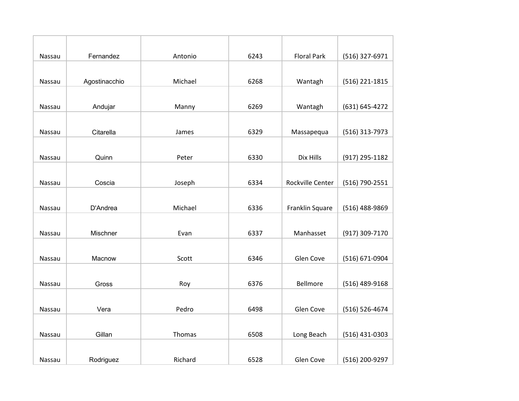| Nassau | Fernandez     | Antonio | 6243 | <b>Floral Park</b> | (516) 327-6971   |
|--------|---------------|---------|------|--------------------|------------------|
|        |               |         |      |                    |                  |
| Nassau | Agostinacchio | Michael | 6268 | Wantagh            | (516) 221-1815   |
|        |               |         |      |                    |                  |
| Nassau | Andujar       | Manny   | 6269 | Wantagh            | (631) 645-4272   |
|        |               |         |      |                    |                  |
| Nassau | Citarella     | James   | 6329 | Massapequa         | (516) 313-7973   |
|        |               |         |      |                    |                  |
| Nassau | Quinn         | Peter   | 6330 | Dix Hills          | (917) 295-1182   |
|        |               |         |      |                    |                  |
| Nassau | Coscia        | Joseph  | 6334 | Rockville Center   | (516) 790-2551   |
|        |               |         |      |                    |                  |
| Nassau | D'Andrea      | Michael | 6336 | Franklin Square    | (516) 488-9869   |
|        |               |         |      |                    |                  |
| Nassau | Mischner      | Evan    | 6337 | Manhasset          | (917) 309-7170   |
|        |               |         |      |                    |                  |
| Nassau | Macnow        | Scott   | 6346 | Glen Cove          | (516) 671-0904   |
|        |               |         |      |                    |                  |
| Nassau | Gross         | Roy     | 6376 | Bellmore           | (516) 489-9168   |
|        |               |         |      |                    |                  |
| Nassau | Vera          | Pedro   | 6498 | Glen Cove          | (516) 526-4674   |
|        |               |         |      |                    |                  |
| Nassau | Gillan        | Thomas  | 6508 | Long Beach         | $(516)$ 431-0303 |
|        |               |         |      |                    |                  |
| Nassau | Rodriguez     | Richard | 6528 | Glen Cove          | (516) 200-9297   |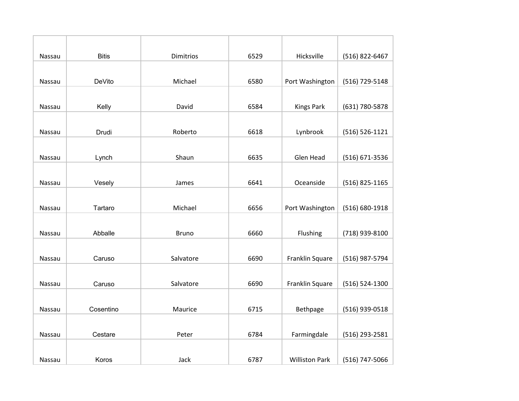| Nassau | <b>Bitis</b> | <b>Dimitrios</b> | 6529 | Hicksville            | (516) 822-6467     |
|--------|--------------|------------------|------|-----------------------|--------------------|
|        |              |                  |      |                       |                    |
| Nassau | DeVito       | Michael          | 6580 | Port Washington       | (516) 729-5148     |
|        |              |                  |      |                       |                    |
| Nassau | Kelly        | David            | 6584 | <b>Kings Park</b>     | (631) 780-5878     |
|        |              |                  |      |                       |                    |
| Nassau | Drudi        | Roberto          | 6618 | Lynbrook              | $(516) 526 - 1121$ |
|        |              |                  |      |                       |                    |
| Nassau | Lynch        | Shaun            | 6635 | Glen Head             | (516) 671-3536     |
|        |              |                  |      |                       |                    |
| Nassau | Vesely       | James            | 6641 | Oceanside             | (516) 825-1165     |
|        |              |                  |      |                       |                    |
| Nassau | Tartaro      | Michael          | 6656 | Port Washington       | (516) 680-1918     |
|        |              |                  |      |                       |                    |
| Nassau | Abballe      | <b>Bruno</b>     | 6660 | Flushing              | (718) 939-8100     |
|        |              |                  |      |                       |                    |
| Nassau | Caruso       | Salvatore        | 6690 | Franklin Square       | (516) 987-5794     |
|        |              |                  |      |                       |                    |
| Nassau | Caruso       | Salvatore        | 6690 | Franklin Square       | (516) 524-1300     |
|        |              |                  |      |                       |                    |
| Nassau | Cosentino    | Maurice          | 6715 | Bethpage              | (516) 939-0518     |
|        |              |                  |      |                       |                    |
| Nassau | Cestare      | Peter            | 6784 | Farmingdale           | (516) 293-2581     |
|        |              |                  |      |                       |                    |
| Nassau | Koros        | Jack             | 6787 | <b>Williston Park</b> | (516) 747-5066     |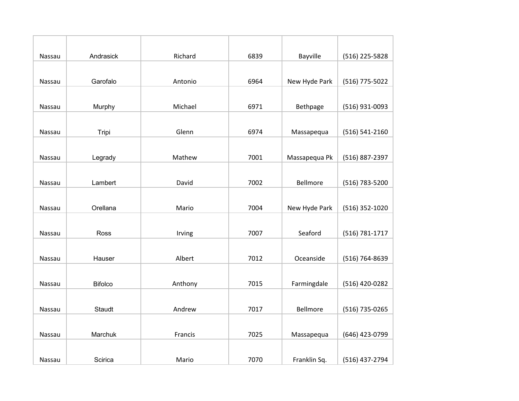| Nassau | Andrasick      | Richard | 6839 | Bayville      | (516) 225-5828 |
|--------|----------------|---------|------|---------------|----------------|
|        |                |         |      |               |                |
| Nassau | Garofalo       | Antonio | 6964 | New Hyde Park | (516) 775-5022 |
|        |                |         |      |               |                |
| Nassau | Murphy         | Michael | 6971 | Bethpage      | (516) 931-0093 |
|        |                |         |      |               |                |
| Nassau | Tripi          | Glenn   | 6974 | Massapequa    | (516) 541-2160 |
|        |                |         |      |               |                |
| Nassau | Legrady        | Mathew  | 7001 | Massapequa Pk | (516) 887-2397 |
|        |                |         |      |               |                |
| Nassau | Lambert        | David   | 7002 | Bellmore      | (516) 783-5200 |
|        |                |         |      |               |                |
| Nassau | Orellana       | Mario   | 7004 | New Hyde Park | (516) 352-1020 |
|        |                |         |      |               |                |
| Nassau | Ross           | Irving  | 7007 | Seaford       | (516) 781-1717 |
|        |                |         |      |               |                |
| Nassau | Hauser         | Albert  | 7012 | Oceanside     | (516) 764-8639 |
|        |                |         |      |               |                |
| Nassau | <b>Bifolco</b> | Anthony | 7015 | Farmingdale   | (516) 420-0282 |
|        |                |         |      |               |                |
| Nassau | Staudt         | Andrew  | 7017 | Bellmore      | (516) 735-0265 |
|        |                |         |      |               |                |
| Nassau | Marchuk        | Francis | 7025 | Massapequa    | (646) 423-0799 |
|        |                |         |      |               |                |
| Nassau | Scirica        | Mario   | 7070 | Franklin Sq.  | (516) 437-2794 |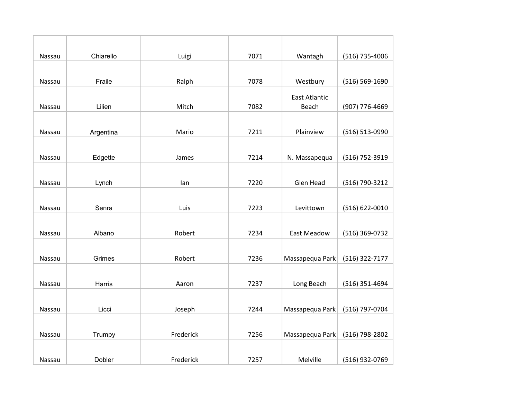| Nassau | Chiarello | Luigi     | 7071 | Wantagh                       | (516) 735-4006     |
|--------|-----------|-----------|------|-------------------------------|--------------------|
|        |           |           |      |                               |                    |
| Nassau | Fraile    | Ralph     | 7078 | Westbury                      | $(516) 569 - 1690$ |
| Nassau | Lilien    | Mitch     | 7082 | <b>East Atlantic</b><br>Beach | (907) 776-4669     |
| Nassau | Argentina | Mario     | 7211 | Plainview                     | (516) 513-0990     |
| Nassau | Edgette   | James     | 7214 | N. Massapequa                 | (516) 752-3919     |
| Nassau | Lynch     | lan       | 7220 | Glen Head                     | (516) 790-3212     |
| Nassau | Senra     | Luis      | 7223 | Levittown                     | (516) 622-0010     |
| Nassau | Albano    | Robert    | 7234 | <b>East Meadow</b>            | (516) 369-0732     |
| Nassau | Grimes    | Robert    | 7236 | Massapequa Park               | (516) 322-7177     |
| Nassau | Harris    | Aaron     | 7237 | Long Beach                    | (516) 351-4694     |
| Nassau | Licci     | Joseph    | 7244 | Massapequa Park               | (516) 797-0704     |
| Nassau | Trumpy    | Frederick | 7256 | Massapequa Park               | (516) 798-2802     |
| Nassau | Dobler    | Frederick | 7257 | Melville                      | (516) 932-0769     |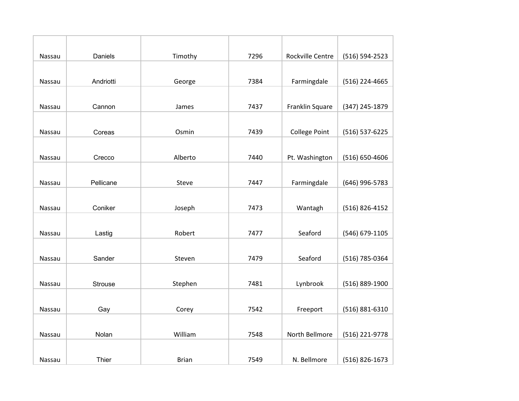| Nassau | Daniels        | Timothy      | 7296 | Rockville Centre     | (516) 594-2523 |
|--------|----------------|--------------|------|----------------------|----------------|
|        |                |              |      |                      |                |
| Nassau | Andriotti      | George       | 7384 | Farmingdale          | (516) 224-4665 |
|        |                |              |      |                      |                |
| Nassau | Cannon         | James        | 7437 | Franklin Square      | (347) 245-1879 |
|        |                |              |      |                      |                |
| Nassau | Coreas         | Osmin        | 7439 | <b>College Point</b> | (516) 537-6225 |
|        |                |              |      |                      |                |
| Nassau | Crecco         | Alberto      | 7440 | Pt. Washington       | (516) 650-4606 |
|        |                |              |      |                      |                |
| Nassau | Pellicane      | Steve        | 7447 | Farmingdale          | (646) 996-5783 |
|        |                |              |      |                      |                |
| Nassau | Coniker        | Joseph       | 7473 | Wantagh              | (516) 826-4152 |
|        |                |              |      |                      |                |
| Nassau | Lastig         | Robert       | 7477 | Seaford              | (546) 679-1105 |
|        |                |              |      |                      |                |
| Nassau | Sander         | Steven       | 7479 | Seaford              | (516) 785-0364 |
|        |                |              |      |                      |                |
| Nassau | <b>Strouse</b> | Stephen      | 7481 | Lynbrook             | (516) 889-1900 |
|        |                |              |      |                      |                |
| Nassau | Gay            | Corey        | 7542 | Freeport             | (516) 881-6310 |
|        |                |              |      |                      |                |
| Nassau | Nolan          | William      | 7548 | North Bellmore       | (516) 221-9778 |
|        |                |              |      |                      |                |
| Nassau | Thier          | <b>Brian</b> | 7549 | N. Bellmore          | (516) 826-1673 |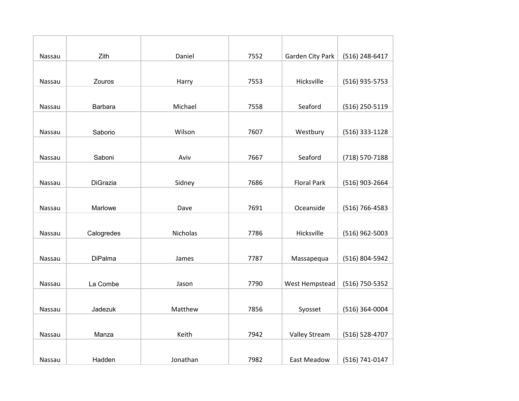| Nassau        | Zith       | Daniel   | 7552 | Garden City Park     | (516) 248-6417   |
|---------------|------------|----------|------|----------------------|------------------|
|               |            |          |      |                      |                  |
| Nassau        | Zouros     | Harry    | 7553 | Hicksville           | (516) 935-5753   |
|               |            |          |      |                      |                  |
| Nassau        | Barbara    | Michael  | 7558 | Seaford              | (516) 250-5119   |
|               |            |          |      |                      |                  |
| Nassau        | Saborio    | Wilson   | 7607 | Westbury             | (516) 333-1128   |
|               |            |          |      |                      |                  |
| Nassau        | Saboni     | Aviv     | 7667 | Seaford              | (718) 570-7188   |
|               |            |          |      |                      |                  |
| Nassau        | DiGrazia   | Sidney   | 7686 | <b>Floral Park</b>   | (516) 903-2664   |
|               |            |          |      |                      |                  |
| Nassau        | Marlowe    | Dave     | 7691 | Oceanside            | (516) 766-4583   |
|               |            |          |      |                      |                  |
| Nassau        | Calogredes | Nicholas | 7786 | Hicksville           | $(516)$ 962-5003 |
|               |            |          |      |                      |                  |
| <b>Nassau</b> | DiPalma    | James    | 7787 | Massapequa           | (516) 804-5942   |
|               |            |          |      |                      |                  |
| Nassau        | La Combe   | Jason    | 7790 | West Hempstead       | (516) 750-5352   |
|               |            |          |      |                      |                  |
| Nassau        | Jadezuk    | Matthew  | 7856 | Syosset              | (516) 364-0004   |
|               |            |          |      |                      |                  |
| Nassau        | Manza      | Keith    | 7942 | <b>Valley Stream</b> | (516) 528-4707   |
|               |            |          |      |                      |                  |
| Nassau        | Hadden     | Jonathan | 7982 | East Meadow          | (516) 741-0147   |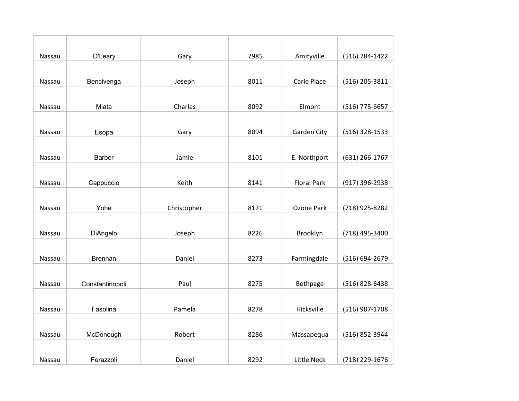| Nassau        | O'Leary         | Gary        | 7985 | Amityville         | (516) 784-1422 |
|---------------|-----------------|-------------|------|--------------------|----------------|
|               |                 |             |      |                    |                |
| Nassau        | Bencivenga      | Joseph      | 8011 | Carle Place        | (516) 205-3811 |
|               |                 |             |      |                    |                |
| Nassau        | Miata           | Charles     | 8092 | Elmont             | (516) 775-6657 |
|               |                 |             |      |                    |                |
| Nassau        | Esopa           | Gary        | 8094 | Garden City        | (516) 328-1533 |
|               |                 |             |      |                    |                |
| Nassau        | <b>Barber</b>   | Jamie       | 8101 | E. Northport       | (631) 266-1767 |
|               |                 |             |      |                    |                |
| Nassau        | Cappuccio       | Keith       | 8141 | <b>Floral Park</b> | (917) 396-2938 |
|               |                 |             |      |                    |                |
| Nassau        | Yohe            | Christopher | 8171 | Ozone Park         | (718) 925-8282 |
|               |                 |             |      |                    |                |
| Nassau        | DiAngelo        | Joseph      | 8226 | Brooklyn           | (718) 495-3400 |
|               |                 |             |      |                    |                |
| <b>Nassau</b> | <b>Brennan</b>  | Daniel      | 8273 | Farmingdale        | (516) 694-2679 |
|               |                 |             |      |                    |                |
| Nassau        | Constantinopoli | Paul        | 8275 | Bethpage           | (516) 828-6438 |
|               |                 |             |      |                    |                |
| Nassau        | Fasolina        | Pamela      | 8278 | Hicksville         | (516) 987-1708 |
|               |                 |             |      |                    |                |
| Nassau        | McDonough       | Robert      | 8286 | Massapequa         | (516) 852-3944 |
|               |                 |             |      |                    |                |
| Nassau        | Ferazzoli       | Daniel      | 8292 | <b>Little Neck</b> | (718) 229-1676 |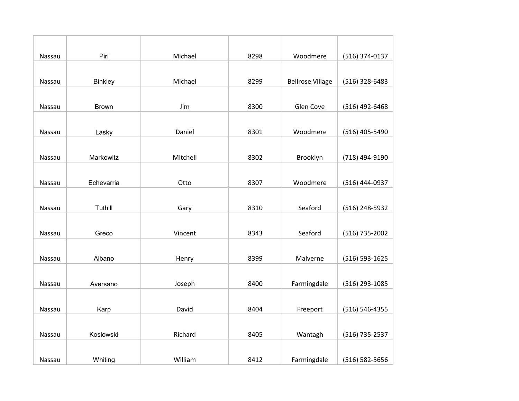| Nassau | Piri           | Michael  | 8298 | Woodmere                | (516) 374-0137 |
|--------|----------------|----------|------|-------------------------|----------------|
|        |                |          |      |                         |                |
| Nassau | <b>Binkley</b> | Michael  | 8299 | <b>Bellrose Village</b> | (516) 328-6483 |
|        |                |          |      |                         |                |
| Nassau | <b>Brown</b>   | Jim      | 8300 | Glen Cove               | (516) 492-6468 |
|        |                |          |      |                         |                |
| Nassau | Lasky          | Daniel   | 8301 | Woodmere                | (516) 405-5490 |
|        |                |          |      |                         |                |
| Nassau | Markowitz      | Mitchell | 8302 | Brooklyn                | (718) 494-9190 |
|        |                |          |      |                         |                |
| Nassau | Echevarria     | Otto     | 8307 | Woodmere                | (516) 444-0937 |
|        |                |          |      |                         |                |
| Nassau | Tuthill        | Gary     | 8310 | Seaford                 | (516) 248-5932 |
|        |                |          |      |                         |                |
| Nassau | Greco          | Vincent  | 8343 | Seaford                 | (516) 735-2002 |
|        |                |          |      |                         |                |
| Nassau | Albano         | Henry    | 8399 | Malverne                | (516) 593-1625 |
|        |                |          |      |                         |                |
| Nassau | Aversano       | Joseph   | 8400 | Farmingdale             | (516) 293-1085 |
|        |                |          |      |                         |                |
| Nassau | Karp           | David    | 8404 | Freeport                | (516) 546-4355 |
|        |                |          |      |                         |                |
| Nassau | Koslowski      | Richard  | 8405 | Wantagh                 | (516) 735-2537 |
|        |                |          |      |                         |                |
| Nassau | Whiting        | William  | 8412 | Farmingdale             | (516) 582-5656 |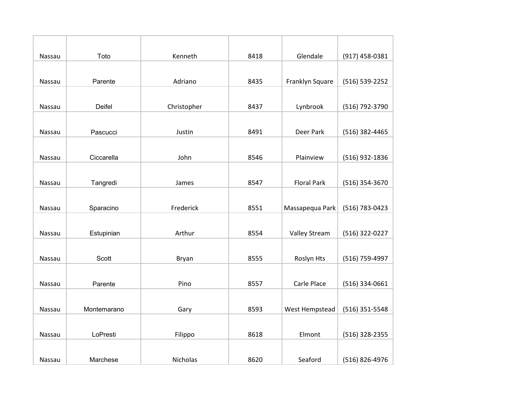| Nassau | Toto        | Kenneth     | 8418 | Glendale             | (917) 458-0381   |
|--------|-------------|-------------|------|----------------------|------------------|
|        |             |             |      |                      |                  |
| Nassau | Parente     | Adriano     | 8435 | Franklyn Square      | (516) 539-2252   |
|        |             |             |      |                      |                  |
| Nassau | Deifel      | Christopher | 8437 | Lynbrook             | (516) 792-3790   |
|        |             |             |      |                      |                  |
| Nassau | Pascucci    | Justin      | 8491 | Deer Park            | (516) 382-4465   |
|        |             |             |      |                      |                  |
| Nassau | Ciccarella  | John        | 8546 | Plainview            | (516) 932-1836   |
|        |             |             |      |                      |                  |
| Nassau | Tangredi    | James       | 8547 | <b>Floral Park</b>   | (516) 354-3670   |
|        |             |             |      |                      |                  |
| Nassau | Sparacino   | Frederick   | 8551 | Massapequa Park      | (516) 783-0423   |
|        |             |             |      |                      |                  |
| Nassau | Estupinian  | Arthur      | 8554 | <b>Valley Stream</b> | (516) 322-0227   |
|        |             |             |      |                      |                  |
| Nassau | Scott       | Bryan       | 8555 | Roslyn Hts           | (516) 759-4997   |
|        |             |             |      |                      |                  |
| Nassau | Parente     | Pino        | 8557 | Carle Place          | $(516)$ 334-0661 |
|        |             |             |      |                      |                  |
| Nassau | Montemarano | Gary        | 8593 | West Hempstead       | (516) 351-5548   |
|        |             |             |      |                      |                  |
| Nassau | LoPresti    | Filippo     | 8618 | Elmont               | (516) 328-2355   |
|        |             |             |      |                      |                  |
| Nassau | Marchese    | Nicholas    | 8620 | Seaford              | (516) 826-4976   |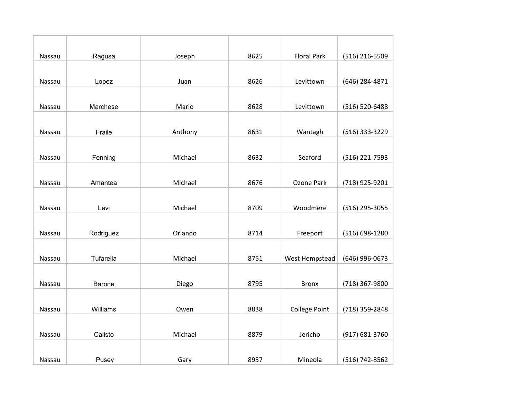| Nassau | Ragusa    | Joseph  | 8625 | <b>Floral Park</b>   | (516) 216-5509 |
|--------|-----------|---------|------|----------------------|----------------|
|        |           |         |      |                      |                |
| Nassau | Lopez     | Juan    | 8626 | Levittown            | (646) 284-4871 |
|        |           |         |      |                      |                |
| Nassau | Marchese  | Mario   | 8628 | Levittown            | (516) 520-6488 |
|        |           |         |      |                      |                |
| Nassau | Fraile    | Anthony | 8631 | Wantagh              | (516) 333-3229 |
|        |           |         |      |                      |                |
| Nassau | Fenning   | Michael | 8632 | Seaford              | (516) 221-7593 |
|        |           |         |      |                      |                |
| Nassau | Amantea   | Michael | 8676 | Ozone Park           | (718) 925-9201 |
|        |           |         |      |                      |                |
| Nassau | Levi      | Michael | 8709 | Woodmere             | (516) 295-3055 |
|        |           |         |      |                      |                |
| Nassau | Rodriguez | Orlando | 8714 | Freeport             | (516) 698-1280 |
|        |           |         |      |                      |                |
| Nassau | Tufarella | Michael | 8751 | West Hempstead       | (646) 996-0673 |
|        |           |         |      |                      |                |
| Nassau | Barone    | Diego   | 8795 | <b>Bronx</b>         | (718) 367-9800 |
|        |           |         |      |                      |                |
| Nassau | Williams  | Owen    | 8838 | <b>College Point</b> | (718) 359-2848 |
|        |           |         |      |                      |                |
| Nassau | Calisto   | Michael | 8879 | Jericho              | (917) 681-3760 |
|        |           |         |      |                      |                |
| Nassau | Pusey     | Gary    | 8957 | Mineola              | (516) 742-8562 |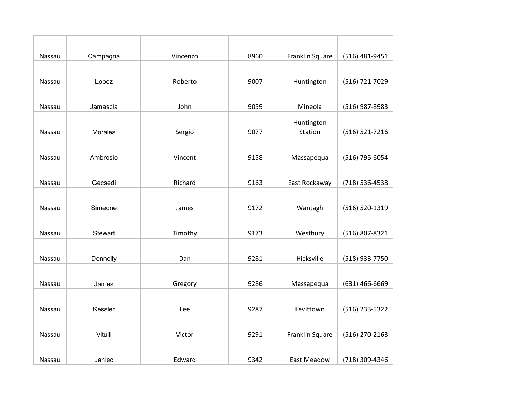| Nassau | Campagna | Vincenzo | 8960 | Franklin Square    | (516) 481-9451 |
|--------|----------|----------|------|--------------------|----------------|
|        |          |          |      |                    |                |
| Nassau | Lopez    | Roberto  | 9007 | Huntington         | (516) 721-7029 |
|        |          |          |      |                    |                |
| Nassau | Jamascia | John     | 9059 | Mineola            | (516) 987-8983 |
|        |          |          |      | Huntington         |                |
| Nassau | Morales  | Sergio   | 9077 | Station            | (516) 521-7216 |
|        |          |          |      |                    |                |
| Nassau | Ambrosio | Vincent  | 9158 | Massapequa         | (516) 795-6054 |
|        |          |          |      |                    |                |
| Nassau | Gecsedi  | Richard  | 9163 | East Rockaway      | (718) 536-4538 |
|        |          |          |      |                    |                |
| Nassau | Simeone  | James    | 9172 | Wantagh            | (516) 520-1319 |
|        |          |          |      |                    |                |
| Nassau | Stewart  | Timothy  | 9173 | Westbury           | (516) 807-8321 |
|        |          |          |      |                    |                |
| Nassau | Donnelly | Dan      | 9281 | Hicksville         | (518) 933-7750 |
|        |          |          |      |                    |                |
| Nassau | James    | Gregory  | 9286 | Massapequa         | (631) 466-6669 |
|        |          |          |      |                    |                |
| Nassau | Kessler  | Lee      | 9287 | Levittown          | (516) 233-5322 |
|        |          |          |      |                    |                |
| Nassau | Vitulli  | Victor   | 9291 | Franklin Square    | (516) 270-2163 |
|        |          |          |      |                    |                |
| Nassau | Janiec   | Edward   | 9342 | <b>East Meadow</b> | (718) 309-4346 |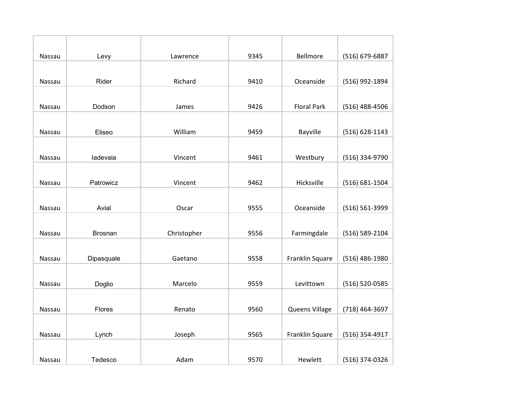| Nassau | Levy           | Lawrence    | 9345 | Bellmore           | (516) 679-6887 |
|--------|----------------|-------------|------|--------------------|----------------|
|        |                |             |      |                    |                |
| Nassau | Rider          | Richard     | 9410 | Oceanside          | (516) 992-1894 |
|        |                |             |      |                    |                |
| Nassau | Dodson         | James       | 9426 | <b>Floral Park</b> | (516) 488-4506 |
|        |                |             |      |                    |                |
| Nassau | Eliseo         | William     | 9459 | Bayville           | (516) 628-1143 |
|        |                |             |      |                    |                |
| Nassau | ladevaia       | Vincent     | 9461 | Westbury           | (516) 334-9790 |
|        |                |             |      |                    |                |
| Nassau | Patrowicz      | Vincent     | 9462 | Hicksville         | (516) 681-1504 |
|        |                |             |      |                    |                |
| Nassau | Avial          | Oscar       | 9555 | Oceanside          | (516) 561-3999 |
|        |                |             |      |                    |                |
| Nassau | <b>Brosnan</b> | Christopher | 9556 | Farmingdale        | (516) 589-2104 |
|        |                |             |      |                    |                |
| Nassau | Dipasquale     | Gaetano     | 9558 | Franklin Square    | (516) 486-1980 |
|        |                |             |      |                    |                |
| Nassau | Doglio         | Marcelo     | 9559 | Levittown          | (516) 520-0585 |
|        |                |             |      |                    |                |
| Nassau | Flores         | Renato      | 9560 | Queens Village     | (718) 464-3697 |
|        |                |             |      |                    |                |
| Nassau | Lynch          | Joseph      | 9565 | Franklin Square    | (516) 354-4917 |
|        |                |             |      |                    |                |
| Nassau | Tedesco        | Adam        | 9570 | Hewlett            | (516) 374-0326 |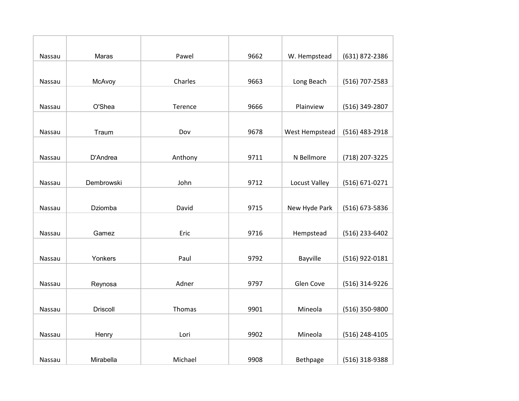| Nassau        | Maras           | Pawel   | 9662 | W. Hempstead   | (631) 872-2386 |
|---------------|-----------------|---------|------|----------------|----------------|
|               |                 |         |      |                |                |
| Nassau        | McAvoy          | Charles | 9663 | Long Beach     | (516) 707-2583 |
|               |                 |         |      |                |                |
| Nassau        | O'Shea          | Terence | 9666 | Plainview      | (516) 349-2807 |
|               |                 |         |      |                |                |
| Nassau        | Traum           | Dov     | 9678 | West Hempstead | (516) 483-2918 |
|               |                 |         |      |                |                |
| Nassau        | D'Andrea        | Anthony | 9711 | N Bellmore     | (718) 207-3225 |
|               |                 |         |      |                |                |
| Nassau        | Dembrowski      | John    | 9712 | Locust Valley  | (516) 671-0271 |
|               |                 |         |      |                |                |
| Nassau        | Dziomba         | David   | 9715 | New Hyde Park  | (516) 673-5836 |
|               |                 |         |      |                |                |
| Nassau        | Gamez           | Eric    | 9716 | Hempstead      | (516) 233-6402 |
|               |                 |         |      |                |                |
| <b>Nassau</b> | Yonkers         | Paul    | 9792 | Bayville       | (516) 922-0181 |
|               |                 |         |      |                |                |
| Nassau        | Reynosa         | Adner   | 9797 | Glen Cove      | (516) 314-9226 |
|               |                 |         |      |                |                |
| Nassau        | <b>Driscoll</b> | Thomas  | 9901 | Mineola        | (516) 350-9800 |
|               |                 |         |      |                |                |
| Nassau        | Henry           | Lori    | 9902 | Mineola        | (516) 248-4105 |
|               |                 |         |      |                |                |
| Nassau        | Mirabella       | Michael | 9908 | Bethpage       | (516) 318-9388 |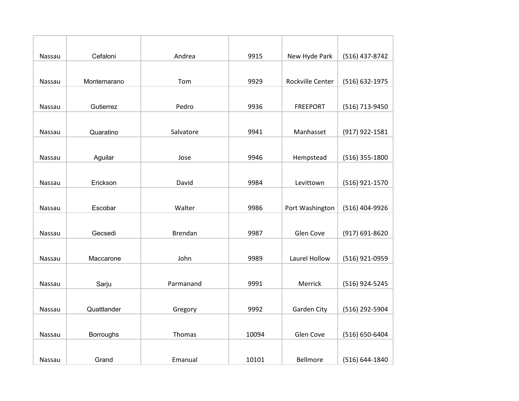| Nassau | Cefaloni         | Andrea    | 9915  | New Hyde Park    | (516) 437-8742   |
|--------|------------------|-----------|-------|------------------|------------------|
|        |                  |           |       |                  |                  |
| Nassau | Montemarano      | Tom       | 9929  | Rockville Center | (516) 632-1975   |
|        |                  |           |       |                  |                  |
| Nassau | Gutierrez        | Pedro     | 9936  | <b>FREEPORT</b>  | (516) 713-9450   |
|        |                  |           |       |                  |                  |
| Nassau | Quaratino        | Salvatore | 9941  | Manhasset        | (917) 922-1581   |
|        |                  |           |       |                  |                  |
| Nassau | Aguilar          | Jose      | 9946  | Hempstead        | $(516)$ 355-1800 |
|        |                  |           |       |                  |                  |
| Nassau | Erickson         | David     | 9984  | Levittown        | (516) 921-1570   |
|        |                  |           |       |                  |                  |
| Nassau | Escobar          | Walter    | 9986  | Port Washington  | (516) 404-9926   |
|        |                  |           |       |                  |                  |
| Nassau | Gecsedi          | Brendan   | 9987  | Glen Cove        | (917) 691-8620   |
|        |                  |           |       |                  |                  |
| Nassau | Maccarone        | John      | 9989  | Laurel Hollow    | (516) 921-0959   |
|        |                  |           |       |                  |                  |
| Nassau | Sarju            | Parmanand | 9991  | Merrick          | (516) 924-5245   |
|        |                  |           |       |                  |                  |
| Nassau | Quattlander      | Gregory   | 9992  | Garden City      | (516) 292-5904   |
|        |                  |           |       |                  |                  |
| Nassau | <b>Borroughs</b> | Thomas    | 10094 | Glen Cove        | (516) 650-6404   |
|        |                  |           |       |                  |                  |
| Nassau | Grand            | Emanual   | 10101 | Bellmore         | (516) 644-1840   |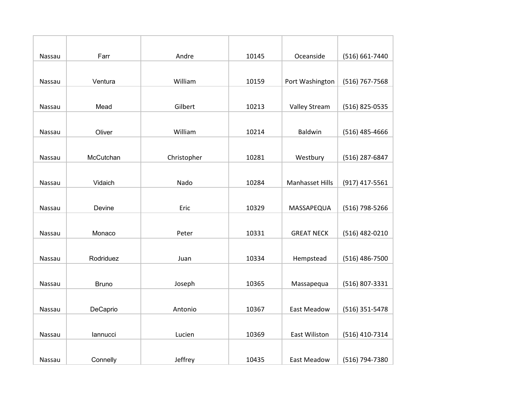| Nassau | Farr         | Andre       | 10145 | Oceanside            | (516) 661-7440   |
|--------|--------------|-------------|-------|----------------------|------------------|
|        |              |             |       |                      |                  |
| Nassau | Ventura      | William     | 10159 | Port Washington      | (516) 767-7568   |
|        |              |             |       |                      |                  |
| Nassau | Mead         | Gilbert     | 10213 | <b>Valley Stream</b> | (516) 825-0535   |
|        |              |             |       |                      |                  |
| Nassau | Oliver       | William     | 10214 | Baldwin              | $(516)$ 485-4666 |
|        |              |             |       |                      |                  |
| Nassau | McCutchan    | Christopher | 10281 | Westbury             | (516) 287-6847   |
|        |              |             |       |                      |                  |
| Nassau | Vidaich      | Nado        | 10284 | Manhasset Hills      | (917) 417-5561   |
|        |              |             |       |                      |                  |
| Nassau | Devine       | Eric        | 10329 | MASSAPEQUA           | (516) 798-5266   |
|        |              |             |       |                      |                  |
| Nassau | Monaco       | Peter       | 10331 | <b>GREAT NECK</b>    | (516) 482-0210   |
|        |              |             |       |                      |                  |
| Nassau | Rodriduez    | Juan        | 10334 | Hempstead            | $(516)$ 486-7500 |
|        |              |             |       |                      |                  |
| Nassau | <b>Bruno</b> | Joseph      | 10365 | Massapequa           | (516) 807-3331   |
|        |              |             |       |                      |                  |
| Nassau | DeCaprio     | Antonio     | 10367 | <b>East Meadow</b>   | (516) 351-5478   |
|        |              |             |       |                      |                  |
| Nassau | lannucci     | Lucien      | 10369 | East Wiliston        | (516) 410-7314   |
|        |              |             |       |                      |                  |
| Nassau | Connelly     | Jeffrey     | 10435 | <b>East Meadow</b>   | (516) 794-7380   |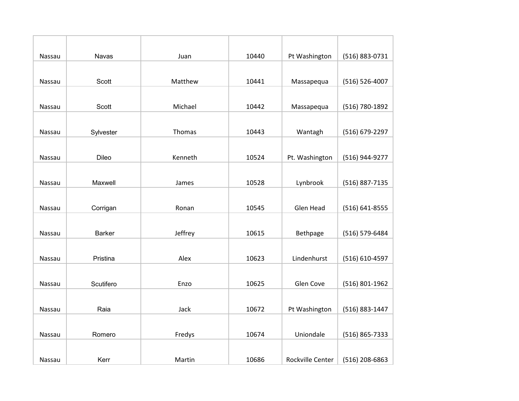| Nassau | <b>Navas</b>  | Juan    | 10440 | Pt Washington    | (516) 883-0731     |
|--------|---------------|---------|-------|------------------|--------------------|
|        |               |         |       |                  |                    |
| Nassau | Scott         | Matthew | 10441 | Massapequa       | $(516) 526 - 4007$ |
|        |               |         |       |                  |                    |
| Nassau | Scott         | Michael | 10442 | Massapequa       | (516) 780-1892     |
|        |               |         |       |                  |                    |
| Nassau | Sylvester     | Thomas  | 10443 | Wantagh          | (516) 679-2297     |
|        |               |         |       |                  |                    |
| Nassau | Dileo         | Kenneth | 10524 | Pt. Washington   | (516) 944-9277     |
|        |               |         |       |                  |                    |
| Nassau | Maxwell       | James   | 10528 | Lynbrook         | (516) 887-7135     |
|        |               |         |       |                  |                    |
| Nassau | Corrigan      | Ronan   | 10545 | Glen Head        | (516) 641-8555     |
|        |               |         |       |                  |                    |
| Nassau | <b>Barker</b> | Jeffrey | 10615 | Bethpage         | (516) 579-6484     |
|        |               |         |       |                  |                    |
| Nassau | Pristina      | Alex    | 10623 | Lindenhurst      | (516) 610-4597     |
|        |               |         |       |                  |                    |
| Nassau | Scutifero     | Enzo    | 10625 | Glen Cove        | (516) 801-1962     |
|        |               |         |       |                  |                    |
| Nassau | Raia          | Jack    | 10672 | Pt Washington    | (516) 883-1447     |
|        |               |         |       |                  |                    |
| Nassau | Romero        | Fredys  | 10674 | Uniondale        | (516) 865-7333     |
|        |               |         |       |                  |                    |
| Nassau | Kerr          | Martin  | 10686 | Rockville Center | (516) 208-6863     |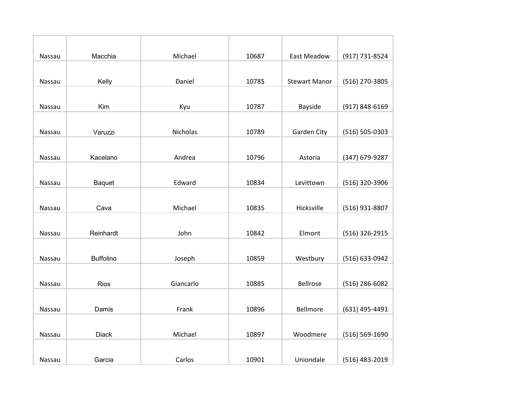| Nassau | Macchia          | Michael   | 10687 | <b>East Meadow</b>   | (917) 731-8524     |
|--------|------------------|-----------|-------|----------------------|--------------------|
|        |                  |           |       |                      |                    |
| Nassau | Kelly            | Daniel    | 10785 | <b>Stewart Manor</b> | (516) 270-3805     |
|        |                  |           |       |                      |                    |
| Nassau | Kim              | Kyu       | 10787 | Bayside              | (917) 848-6169     |
|        |                  |           |       |                      |                    |
| Nassau | Varuzzi          | Nicholas  | 10789 | Garden City          | $(516) 505 - 0303$ |
|        |                  |           |       |                      |                    |
| Nassau | Kacelano         | Andrea    | 10796 | Astoria              | (347) 679-9287     |
|        |                  |           |       |                      |                    |
| Nassau | Baquet           | Edward    | 10834 | Levittown            | (516) 320-3906     |
|        |                  |           |       |                      |                    |
| Nassau | Cava             | Michael   | 10835 | Hicksville           | (516) 931-8807     |
|        |                  |           |       |                      |                    |
| Nassau | Reinhardt        | John      | 10842 | Elmont               | (516) 326-2915     |
|        |                  |           |       |                      |                    |
| Nassau | <b>Buffolino</b> | Joseph    | 10859 | Westbury             | (516) 633-0942     |
|        |                  |           |       |                      |                    |
| Nassau | <b>Rios</b>      | Giancarlo | 10885 | Bellrose             | (516) 286-6082     |
|        |                  |           |       |                      |                    |
| Nassau | Damis            | Frank     | 10896 | Bellmore             | (631) 495-4491     |
|        |                  |           |       |                      |                    |
| Nassau | <b>Diack</b>     | Michael   | 10897 | Woodmere             | (516) 569-1690     |
|        |                  |           |       |                      |                    |
| Nassau | Garcia           | Carlos    | 10901 | Uniondale            | (516) 483-2019     |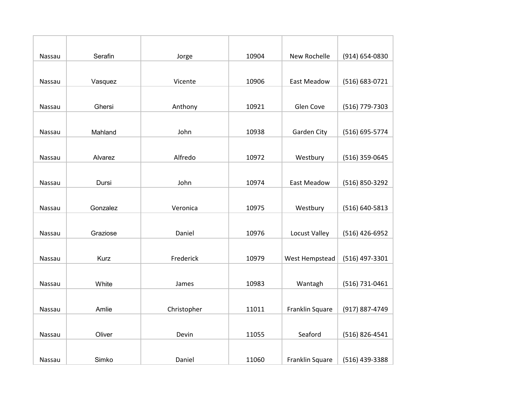| Nassau | Serafin     | Jorge       | 10904 | New Rochelle       | (914) 654-0830 |
|--------|-------------|-------------|-------|--------------------|----------------|
|        |             |             |       |                    |                |
| Nassau | Vasquez     | Vicente     | 10906 | East Meadow        | (516) 683-0721 |
|        |             |             |       |                    |                |
| Nassau | Ghersi      | Anthony     | 10921 | Glen Cove          | (516) 779-7303 |
|        |             |             |       |                    |                |
| Nassau | Mahland     | John        | 10938 | Garden City        | (516) 695-5774 |
|        |             |             |       |                    |                |
| Nassau | Alvarez     | Alfredo     | 10972 | Westbury           | (516) 359-0645 |
|        |             |             |       |                    |                |
| Nassau | Dursi       | John        | 10974 | <b>East Meadow</b> | (516) 850-3292 |
|        |             |             |       |                    |                |
| Nassau | Gonzalez    | Veronica    | 10975 | Westbury           | (516) 640-5813 |
|        |             |             |       |                    |                |
| Nassau | Graziose    | Daniel      | 10976 | Locust Valley      | (516) 426-6952 |
|        |             |             |       |                    |                |
| Nassau | <b>Kurz</b> | Frederick   | 10979 | West Hempstead     | (516) 497-3301 |
|        |             |             |       |                    |                |
| Nassau | White       | James       | 10983 | Wantagh            | (516) 731-0461 |
|        |             |             |       |                    |                |
| Nassau | Amlie       | Christopher | 11011 | Franklin Square    | (917) 887-4749 |
|        |             |             |       |                    |                |
| Nassau | Oliver      | Devin       | 11055 | Seaford            | (516) 826-4541 |
|        |             |             |       |                    |                |
| Nassau | Simko       | Daniel      | 11060 | Franklin Square    | (516) 439-3388 |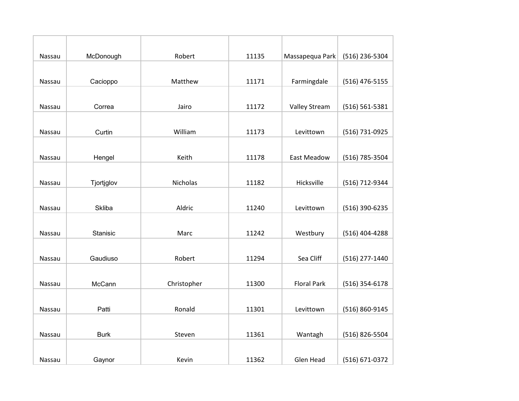| Nassau | McDonough     | Robert      | 11135 | Massapequa Park    | (516) 236-5304   |
|--------|---------------|-------------|-------|--------------------|------------------|
|        |               |             |       |                    |                  |
| Nassau | Cacioppo      | Matthew     | 11171 | Farmingdale        | $(516)$ 476-5155 |
|        |               |             |       |                    |                  |
| Nassau | Correa        | Jairo       | 11172 | Valley Stream      | (516) 561-5381   |
|        |               |             |       |                    |                  |
| Nassau | Curtin        | William     | 11173 | Levittown          | (516) 731-0925   |
|        |               |             |       |                    |                  |
| Nassau | Hengel        | Keith       | 11178 | <b>East Meadow</b> | (516) 785-3504   |
|        |               |             |       |                    |                  |
| Nassau | Tjortjglov    | Nicholas    | 11182 | Hicksville         | (516) 712-9344   |
|        |               |             |       |                    |                  |
| Nassau | <b>Skliba</b> | Aldric      | 11240 | Levittown          | (516) 390-6235   |
|        |               |             |       |                    |                  |
| Nassau | Stanisic      | Marc        | 11242 | Westbury           | (516) 404-4288   |
|        |               |             |       |                    |                  |
| Nassau | Gaudiuso      | Robert      | 11294 | Sea Cliff          | (516) 277-1440   |
|        |               |             |       |                    |                  |
| Nassau | McCann        | Christopher | 11300 | <b>Floral Park</b> | $(516)$ 354-6178 |
|        |               |             |       |                    |                  |
| Nassau | Patti         | Ronald      | 11301 | Levittown          | (516) 860-9145   |
|        |               |             |       |                    |                  |
| Nassau | <b>Burk</b>   | Steven      | 11361 | Wantagh            | (516) 826-5504   |
|        |               |             |       |                    |                  |
| Nassau | Gaynor        | Kevin       | 11362 | Glen Head          | (516) 671-0372   |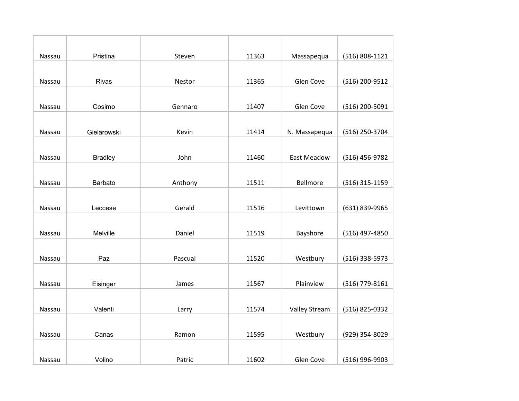| Nassau | Pristina       | Steven  | 11363 | Massapequa           | (516) 808-1121 |
|--------|----------------|---------|-------|----------------------|----------------|
|        |                |         |       |                      |                |
| Nassau | Rivas          | Nestor  | 11365 | Glen Cove            | (516) 200-9512 |
|        |                |         |       |                      |                |
| Nassau | Cosimo         | Gennaro | 11407 | Glen Cove            | (516) 200-5091 |
|        |                |         |       |                      |                |
| Nassau | Gielarowski    | Kevin   | 11414 | N. Massapequa        | (516) 250-3704 |
|        |                |         |       |                      |                |
| Nassau | <b>Bradley</b> | John    | 11460 | <b>East Meadow</b>   | (516) 456-9782 |
|        |                |         |       |                      |                |
| Nassau | Barbato        | Anthony | 11511 | Bellmore             | (516) 315-1159 |
|        |                |         |       |                      |                |
| Nassau | Leccese        | Gerald  | 11516 | Levittown            | (631) 839-9965 |
|        |                |         |       |                      |                |
| Nassau | Melville       | Daniel  | 11519 | Bayshore             | (516) 497-4850 |
|        |                |         |       |                      |                |
| Nassau | Paz            | Pascual | 11520 | Westbury             | (516) 338-5973 |
|        |                |         |       |                      |                |
| Nassau | Eisinger       | James   | 11567 | Plainview            | (516) 779-8161 |
|        |                |         |       |                      |                |
| Nassau | Valenti        | Larry   | 11574 | <b>Valley Stream</b> | (516) 825-0332 |
|        |                |         |       |                      |                |
| Nassau | Canas          | Ramon   | 11595 | Westbury             | (929) 354-8029 |
|        |                |         |       |                      |                |
| Nassau | Volino         | Patric  | 11602 | Glen Cove            | (516) 996-9903 |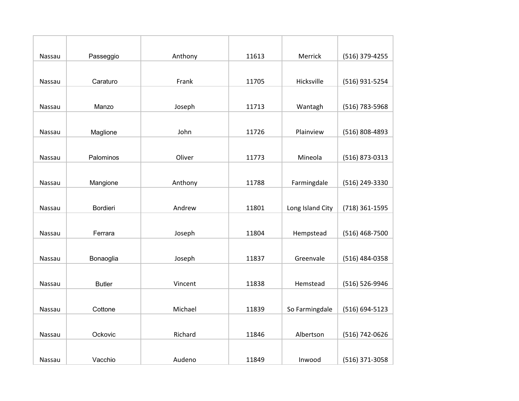| Nassau        | Passeggio     | Anthony | 11613 | Merrick          | (516) 379-4255 |
|---------------|---------------|---------|-------|------------------|----------------|
|               |               |         |       |                  |                |
| Nassau        | Caraturo      | Frank   | 11705 | Hicksville       | (516) 931-5254 |
|               |               |         |       |                  |                |
| Nassau        | Manzo         | Joseph  | 11713 | Wantagh          | (516) 783-5968 |
|               |               |         |       |                  |                |
| Nassau        | Maglione      | John    | 11726 | Plainview        | (516) 808-4893 |
|               |               |         |       |                  |                |
| Nassau        | Palominos     | Oliver  | 11773 | Mineola          | (516) 873-0313 |
|               |               |         |       |                  |                |
| Nassau        | Mangione      | Anthony | 11788 | Farmingdale      | (516) 249-3330 |
|               |               |         |       |                  |                |
| Nassau        | Bordieri      | Andrew  | 11801 | Long Island City | (718) 361-1595 |
|               |               |         |       |                  |                |
| <b>Nassau</b> | Ferrara       | Joseph  | 11804 | Hempstead        | (516) 468-7500 |
|               |               |         |       |                  |                |
| Nassau        | Bonaoglia     | Joseph  | 11837 | Greenvale        | (516) 484-0358 |
|               |               |         |       |                  |                |
| Nassau        | <b>Butler</b> | Vincent | 11838 | Hemstead         | (516) 526-9946 |
|               |               |         |       |                  |                |
| Nassau        | Cottone       | Michael | 11839 | So Farmingdale   | (516) 694-5123 |
|               |               |         |       |                  |                |
| Nassau        | Ockovic       | Richard | 11846 | Albertson        | (516) 742-0626 |
|               |               |         |       |                  |                |
| Nassau        | Vacchio       | Audeno  | 11849 | Inwood           | (516) 371-3058 |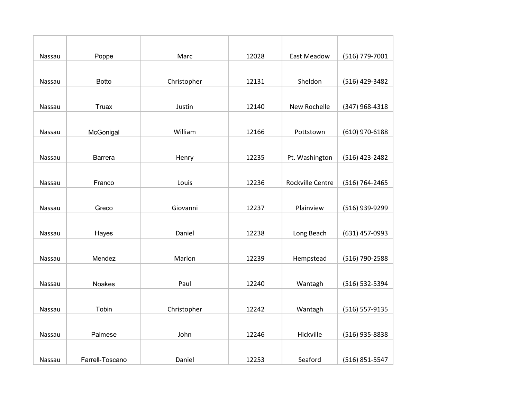| Nassau        | Poppe           | Marc        | 12028 | <b>East Meadow</b> | (516) 779-7001 |
|---------------|-----------------|-------------|-------|--------------------|----------------|
|               |                 |             |       |                    |                |
| Nassau        | <b>Botto</b>    | Christopher | 12131 | Sheldon            | (516) 429-3482 |
|               |                 |             |       |                    |                |
| Nassau        | Truax           | Justin      | 12140 | New Rochelle       | (347) 968-4318 |
|               |                 |             |       |                    |                |
| Nassau        | McGonigal       | William     | 12166 | Pottstown          | (610) 970-6188 |
|               |                 |             |       |                    |                |
| Nassau        | Barrera         | Henry       | 12235 | Pt. Washington     | (516) 423-2482 |
|               |                 |             |       |                    |                |
| Nassau        | Franco          | Louis       | 12236 | Rockville Centre   | (516) 764-2465 |
|               |                 |             |       |                    |                |
| Nassau        | Greco           | Giovanni    | 12237 | Plainview          | (516) 939-9299 |
|               |                 |             |       |                    |                |
| <b>Nassau</b> | Hayes           | Daniel      | 12238 | Long Beach         | (631) 457-0993 |
|               |                 |             |       |                    |                |
| <b>Nassau</b> | Mendez          | Marlon      | 12239 | Hempstead          | (516) 790-2588 |
|               |                 |             |       |                    |                |
| Nassau        | <b>Noakes</b>   | Paul        | 12240 | Wantagh            | (516) 532-5394 |
|               |                 |             |       |                    |                |
| Nassau        | Tobin           | Christopher | 12242 | Wantagh            | (516) 557-9135 |
|               |                 |             |       |                    |                |
| Nassau        | Palmese         | John        | 12246 | Hickville          | (516) 935-8838 |
|               |                 |             |       |                    |                |
| Nassau        | Farrell-Toscano | Daniel      | 12253 | Seaford            | (516) 851-5547 |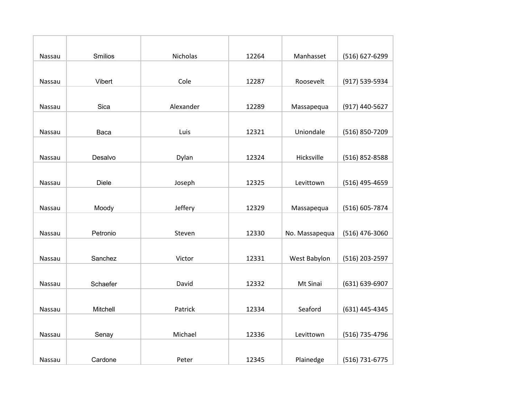| Nassau        | Smilios      | Nicholas  | 12264 | Manhasset      | (516) 627-6299 |
|---------------|--------------|-----------|-------|----------------|----------------|
|               |              |           |       |                |                |
| Nassau        | Vibert       | Cole      | 12287 | Roosevelt      | (917) 539-5934 |
|               |              |           |       |                |                |
| Nassau        | Sica         | Alexander | 12289 | Massapequa     | (917) 440-5627 |
|               |              |           |       |                |                |
| Nassau        | Baca         | Luis      | 12321 | Uniondale      | (516) 850-7209 |
|               |              |           |       |                |                |
| Nassau        | Desalvo      | Dylan     | 12324 | Hicksville     | (516) 852-8588 |
|               |              |           |       |                |                |
| Nassau        | <b>Diele</b> | Joseph    | 12325 | Levittown      | (516) 495-4659 |
|               |              |           |       |                |                |
| Nassau        | Moody        | Jeffery   | 12329 | Massapequa     | (516) 605-7874 |
|               |              |           |       |                |                |
| Nassau        | Petronio     | Steven    | 12330 | No. Massapequa | (516) 476-3060 |
|               |              |           |       |                |                |
| <b>Nassau</b> | Sanchez      | Victor    | 12331 | West Babylon   | (516) 203-2597 |
|               |              |           |       |                |                |
| Nassau        | Schaefer     | David     | 12332 | Mt Sinai       | (631) 639-6907 |
|               |              |           |       |                |                |
| Nassau        | Mitchell     | Patrick   | 12334 | Seaford        | (631) 445-4345 |
|               |              |           |       |                |                |
| Nassau        | Senay        | Michael   | 12336 | Levittown      | (516) 735-4796 |
|               |              |           |       |                |                |
| Nassau        | Cardone      | Peter     | 12345 | Plainedge      | (516) 731-6775 |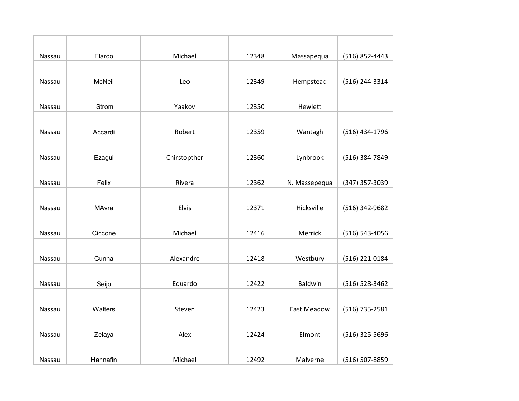| Nassau | Elardo        | Michael      | 12348 | Massapequa     | (516) 852-4443 |
|--------|---------------|--------------|-------|----------------|----------------|
|        |               |              |       |                |                |
| Nassau | <b>McNeil</b> | Leo          | 12349 | Hempstead      | (516) 244-3314 |
|        |               |              |       |                |                |
| Nassau | Strom         | Yaakov       | 12350 | Hewlett        |                |
|        |               |              |       |                |                |
| Nassau | Accardi       | Robert       | 12359 | Wantagh        | (516) 434-1796 |
|        |               |              |       |                |                |
| Nassau | Ezagui        | Chirstopther | 12360 | Lynbrook       | (516) 384-7849 |
|        |               |              |       |                |                |
| Nassau | Felix         | Rivera       | 12362 | N. Massepequa  | (347) 357-3039 |
|        |               |              |       |                |                |
| Nassau | MAvra         | Elvis        | 12371 | Hicksville     | (516) 342-9682 |
|        |               |              |       |                |                |
| Nassau | Ciccone       | Michael      | 12416 | Merrick        | (516) 543-4056 |
|        |               |              |       |                |                |
| Nassau | Cunha         | Alexandre    | 12418 | Westbury       | (516) 221-0184 |
|        |               |              |       |                |                |
| Nassau | Seijo         | Eduardo      | 12422 | <b>Baldwin</b> | (516) 528-3462 |
|        |               |              |       |                |                |
| Nassau | Walters       | Steven       | 12423 | East Meadow    | (516) 735-2581 |
|        |               |              |       |                |                |
| Nassau | Zelaya        | Alex         | 12424 | Elmont         | (516) 325-5696 |
|        |               |              |       |                |                |
| Nassau | Hannafin      | Michael      | 12492 | Malverne       | (516) 507-8859 |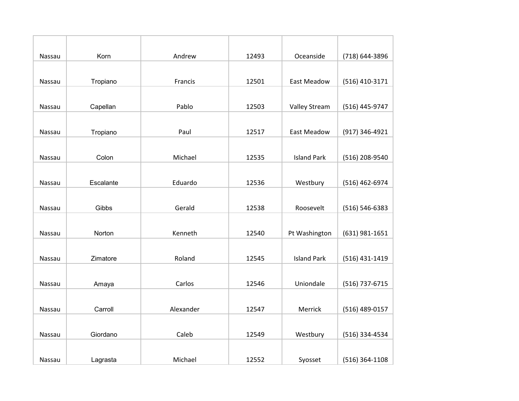| Nassau | Korn      | Andrew    | 12493 | Oceanside          | (718) 644-3896     |
|--------|-----------|-----------|-------|--------------------|--------------------|
|        |           |           |       |                    |                    |
| Nassau | Tropiano  | Francis   | 12501 | East Meadow        | (516) 410-3171     |
|        |           |           |       |                    |                    |
| Nassau | Capellan  | Pablo     | 12503 | Valley Stream      | (516) 445-9747     |
|        |           |           |       |                    |                    |
| Nassau | Tropiano  | Paul      | 12517 | East Meadow        | (917) 346-4921     |
|        |           |           |       |                    |                    |
| Nassau | Colon     | Michael   | 12535 | <b>Island Park</b> | (516) 208-9540     |
|        |           |           |       |                    |                    |
| Nassau | Escalante | Eduardo   | 12536 | Westbury           | (516) 462-6974     |
|        |           |           |       |                    |                    |
| Nassau | Gibbs     | Gerald    | 12538 | Roosevelt          | $(516) 546 - 6383$ |
|        |           |           |       |                    |                    |
| Nassau | Norton    | Kenneth   | 12540 | Pt Washington      | (631) 981-1651     |
|        |           |           |       |                    |                    |
| Nassau | Zimatore  | Roland    | 12545 | <b>Island Park</b> | (516) 431-1419     |
|        |           |           |       |                    |                    |
| Nassau | Amaya     | Carlos    | 12546 | Uniondale          | (516) 737-6715     |
|        |           |           |       |                    |                    |
| Nassau | Carroll   | Alexander | 12547 | Merrick            | (516) 489-0157     |
|        |           |           |       |                    |                    |
| Nassau | Giordano  | Caleb     | 12549 | Westbury           | (516) 334-4534     |
|        |           |           |       |                    |                    |
| Nassau | Lagrasta  | Michael   | 12552 | Syosset            | $(516)$ 364-1108   |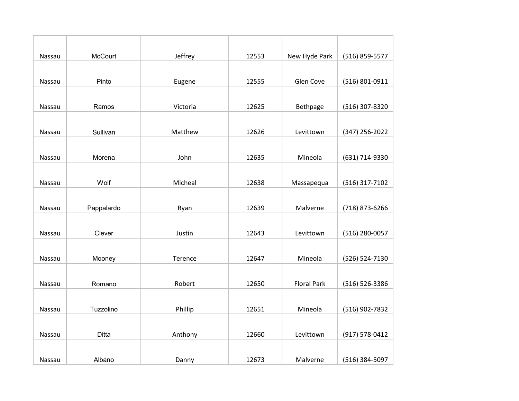| Nassau | <b>McCourt</b> | Jeffrey  | 12553 | New Hyde Park      | (516) 859-5577 |
|--------|----------------|----------|-------|--------------------|----------------|
|        |                |          |       |                    |                |
| Nassau | Pinto          | Eugene   | 12555 | Glen Cove          | (516) 801-0911 |
|        |                |          |       |                    |                |
| Nassau | Ramos          | Victoria | 12625 | Bethpage           | (516) 307-8320 |
|        |                |          |       |                    |                |
| Nassau | Sullivan       | Matthew  | 12626 | Levittown          | (347) 256-2022 |
|        |                |          |       |                    |                |
| Nassau | Morena         | John     | 12635 | Mineola            | (631) 714-9330 |
|        |                |          |       |                    |                |
| Nassau | Wolf           | Micheal  | 12638 | Massapequa         | (516) 317-7102 |
|        |                |          |       |                    |                |
| Nassau | Pappalardo     | Ryan     | 12639 | Malverne           | (718) 873-6266 |
|        |                |          |       |                    |                |
| Nassau | Clever         | Justin   | 12643 | Levittown          | (516) 280-0057 |
|        |                |          |       |                    |                |
| Nassau | Mooney         | Terence  | 12647 | Mineola            | (526) 524-7130 |
|        |                |          |       |                    |                |
| Nassau | Romano         | Robert   | 12650 | <b>Floral Park</b> | (516) 526-3386 |
|        |                |          |       |                    |                |
| Nassau | Tuzzolino      | Phillip  | 12651 | Mineola            | (516) 902-7832 |
|        |                |          |       |                    |                |
| Nassau | Ditta          | Anthony  | 12660 | Levittown          | (917) 578-0412 |
|        |                |          |       |                    |                |
| Nassau | Albano         | Danny    | 12673 | Malverne           | (516) 384-5097 |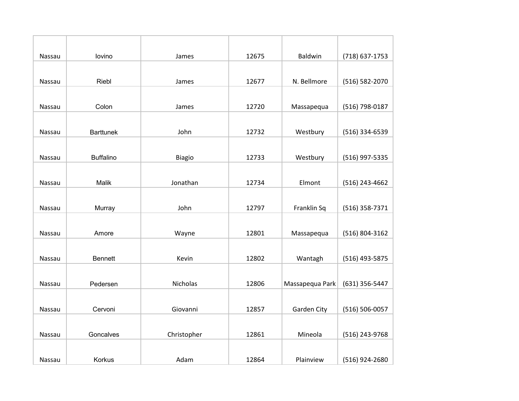| Nassau | lovino           | James         | 12675 | <b>Baldwin</b>  | (718) 637-1753 |
|--------|------------------|---------------|-------|-----------------|----------------|
|        |                  |               |       |                 |                |
| Nassau | Riebl            | James         | 12677 | N. Bellmore     | (516) 582-2070 |
|        |                  |               |       |                 |                |
| Nassau | Colon            | James         | 12720 | Massapequa      | (516) 798-0187 |
|        |                  |               |       |                 |                |
| Nassau | <b>Barttunek</b> | John          | 12732 | Westbury        | (516) 334-6539 |
|        |                  |               |       |                 |                |
| Nassau | <b>Buffalino</b> | <b>Biagio</b> | 12733 | Westbury        | (516) 997-5335 |
|        |                  |               |       |                 |                |
| Nassau | Malik            | Jonathan      | 12734 | Elmont          | (516) 243-4662 |
|        |                  |               |       |                 |                |
| Nassau | Murray           | John          | 12797 | Franklin Sq     | (516) 358-7371 |
|        |                  |               |       |                 |                |
| Nassau | Amore            | Wayne         | 12801 | Massapequa      | (516) 804-3162 |
|        |                  |               |       |                 |                |
| Nassau | <b>Bennett</b>   | Kevin         | 12802 | Wantagh         | (516) 493-5875 |
|        |                  |               |       |                 |                |
| Nassau | Pedersen         | Nicholas      | 12806 | Massapequa Park | (631) 356-5447 |
|        |                  |               |       |                 |                |
| Nassau | Cervoni          | Giovanni      | 12857 | Garden City     | (516) 506-0057 |
|        |                  |               |       |                 |                |
| Nassau | Goncalves        | Christopher   | 12861 | Mineola         | (516) 243-9768 |
|        |                  |               |       |                 |                |
| Nassau | Korkus           | Adam          | 12864 | Plainview       | (516) 924-2680 |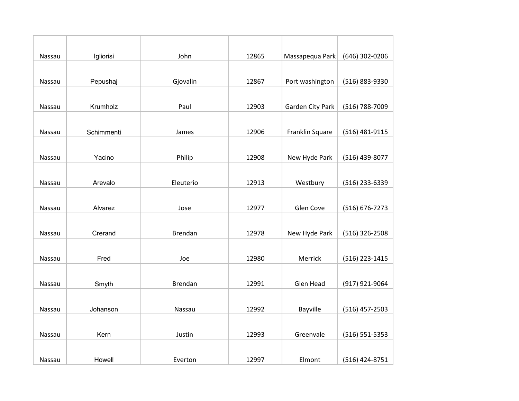| Nassau | Igliorisi  | John           | 12865 | Massapequa Park  | (646) 302-0206     |
|--------|------------|----------------|-------|------------------|--------------------|
|        |            |                |       |                  |                    |
| Nassau | Pepushaj   | Gjovalin       | 12867 | Port washington  | (516) 883-9330     |
|        |            |                |       |                  |                    |
| Nassau | Krumholz   | Paul           | 12903 | Garden City Park | (516) 788-7009     |
|        |            |                |       |                  |                    |
| Nassau | Schimmenti | James          | 12906 | Franklin Square  | (516) 481-9115     |
|        |            |                |       |                  |                    |
| Nassau | Yacino     | Philip         | 12908 | New Hyde Park    | (516) 439-8077     |
|        |            |                |       |                  |                    |
| Nassau | Arevalo    | Eleuterio      | 12913 | Westbury         | (516) 233-6339     |
|        |            |                |       |                  |                    |
| Nassau | Alvarez    | Jose           | 12977 | Glen Cove        | (516) 676-7273     |
|        |            |                |       |                  |                    |
| Nassau | Crerand    | <b>Brendan</b> | 12978 | New Hyde Park    | (516) 326-2508     |
|        |            |                |       |                  |                    |
| Nassau | Fred       | Joe            | 12980 | Merrick          | (516) 223-1415     |
|        |            |                |       |                  |                    |
| Nassau | Smyth      | <b>Brendan</b> | 12991 | Glen Head        | (917) 921-9064     |
|        |            |                |       |                  |                    |
| Nassau | Johanson   | Nassau         | 12992 | Bayville         | $(516)$ 457-2503   |
|        |            |                |       |                  |                    |
| Nassau | Kern       | Justin         | 12993 | Greenvale        | $(516) 551 - 5353$ |
|        |            |                |       |                  |                    |
| Nassau | Howell     | Everton        | 12997 | Elmont           | (516) 424-8751     |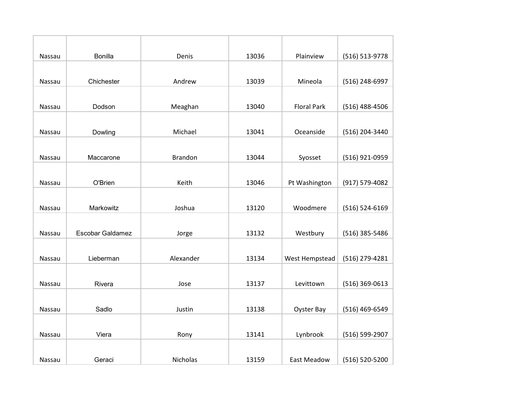| Nassau | <b>Bonilla</b>          | Denis          | 13036 | Plainview          | (516) 513-9778 |
|--------|-------------------------|----------------|-------|--------------------|----------------|
|        |                         |                |       |                    |                |
| Nassau | Chichester              | Andrew         | 13039 | Mineola            | (516) 248-6997 |
|        |                         |                |       |                    |                |
| Nassau | Dodson                  | Meaghan        | 13040 | <b>Floral Park</b> | (516) 488-4506 |
|        |                         |                |       |                    |                |
| Nassau | Dowling                 | Michael        | 13041 | Oceanside          | (516) 204-3440 |
|        |                         |                |       |                    |                |
| Nassau | Maccarone               | <b>Brandon</b> | 13044 | Syosset            | (516) 921-0959 |
|        |                         |                |       |                    |                |
| Nassau | O'Brien                 | Keith          | 13046 | Pt Washington      | (917) 579-4082 |
|        |                         |                |       |                    |                |
| Nassau | Markowitz               | Joshua         | 13120 | Woodmere           | (516) 524-6169 |
|        |                         |                |       |                    |                |
| Nassau | <b>Escobar Galdamez</b> | Jorge          | 13132 | Westbury           | (516) 385-5486 |
|        |                         |                |       |                    |                |
| Nassau | Lieberman               | Alexander      | 13134 | West Hempstead     | (516) 279-4281 |
|        |                         |                |       |                    |                |
| Nassau | Rivera                  | Jose           | 13137 | Levittown          | (516) 369-0613 |
|        |                         |                |       |                    |                |
| Nassau | Sadlo                   | Justin         | 13138 | Oyster Bay         | (516) 469-6549 |
|        |                         |                |       |                    |                |
| Nassau | Viera                   | Rony           | 13141 | Lynbrook           | (516) 599-2907 |
|        |                         |                |       |                    |                |
| Nassau | Geraci                  | Nicholas       | 13159 | <b>East Meadow</b> | (516) 520-5200 |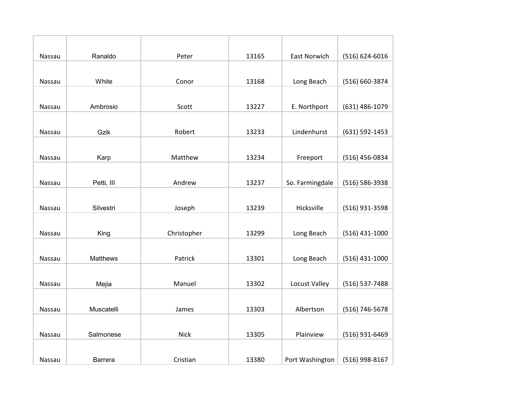| Nassau | Ranaldo         | Peter       | 13165 | <b>East Norwich</b> | $(516) 624 - 6016$ |
|--------|-----------------|-------------|-------|---------------------|--------------------|
|        |                 |             |       |                     |                    |
| Nassau | White           | Conor       | 13168 | Long Beach          | (516) 660-3874     |
|        |                 |             |       |                     |                    |
| Nassau | Ambrosio        | Scott       | 13227 | E. Northport        | (631) 486-1079     |
|        |                 |             |       |                     |                    |
| Nassau | Gzik            | Robert      | 13233 | Lindenhurst         | (631) 592-1453     |
|        |                 |             |       |                     |                    |
| Nassau | Karp            | Matthew     | 13234 | Freeport            | (516) 456-0834     |
|        |                 |             |       |                     |                    |
| Nassau | Petti, III      | Andrew      | 13237 | So. Farmingdale     | (516) 586-3938     |
|        |                 |             |       |                     |                    |
| Nassau | Silvestri       | Joseph      | 13239 | Hicksville          | (516) 931-3598     |
|        |                 |             |       |                     |                    |
| Nassau | King            | Christopher | 13299 | Long Beach          | $(516)$ 431-1000   |
|        |                 |             |       |                     |                    |
| Nassau | <b>Matthews</b> | Patrick     | 13301 | Long Beach          | $(516)$ 431-1000   |
|        |                 |             |       |                     |                    |
| Nassau | Mejia           | Manuel      | 13302 | Locust Valley       | (516) 537-7488     |
|        |                 |             |       |                     |                    |
| Nassau | Muscatelli      | James       | 13303 | Albertson           | (516) 746-5678     |
|        |                 |             |       |                     |                    |
| Nassau | Salmonese       | <b>Nick</b> | 13305 | Plainview           | (516) 931-6469     |
|        |                 |             |       |                     |                    |
| Nassau | <b>Barrera</b>  | Cristian    | 13380 | Port Washington     | (516) 998-8167     |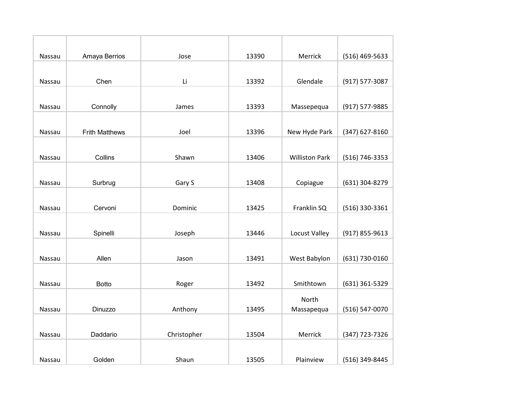| Nassau | Amaya Berrios         | Jose        | 13390 | Merrick               | (516) 469-5633 |
|--------|-----------------------|-------------|-------|-----------------------|----------------|
|        |                       |             |       |                       |                |
| Nassau | Chen                  | Li          | 13392 | Glendale              | (917) 577-3087 |
|        |                       |             |       |                       |                |
| Nassau | Connolly              | James       | 13393 | Massepequa            | (917) 577-9885 |
|        |                       |             |       |                       |                |
| Nassau | <b>Frith Matthews</b> | Joel        | 13396 | New Hyde Park         | (347) 627-8160 |
|        |                       |             |       |                       |                |
| Nassau | Collins               | Shawn       | 13406 | <b>Williston Park</b> | (516) 746-3353 |
|        |                       |             |       |                       |                |
| Nassau | Surbrug               | Gary S      | 13408 | Copiague              | (631) 304-8279 |
|        |                       |             |       |                       |                |
| Nassau | Cervoni               | Dominic     | 13425 | Franklin SQ           | (516) 330-3361 |
|        |                       |             |       |                       |                |
| Nassau | Spinelli              | Joseph      | 13446 | Locust Valley         | (917) 855-9613 |
|        |                       |             |       |                       |                |
| Nassau | Allen                 | Jason       | 13491 | West Babylon          | (631) 730-0160 |
|        |                       |             |       |                       |                |
| Nassau | <b>Botto</b>          | Roger       | 13492 | Smithtown             | (631) 361-5329 |
|        |                       |             |       | North                 |                |
| Nassau | Dinuzzo               | Anthony     | 13495 | Massapequa            | (516) 547-0070 |
|        |                       |             |       |                       |                |
| Nassau | Daddario              | Christopher | 13504 | Merrick               | (347) 723-7326 |
|        |                       |             |       |                       |                |
| Nassau | Golden                | Shaun       | 13505 | Plainview             | (516) 349-8445 |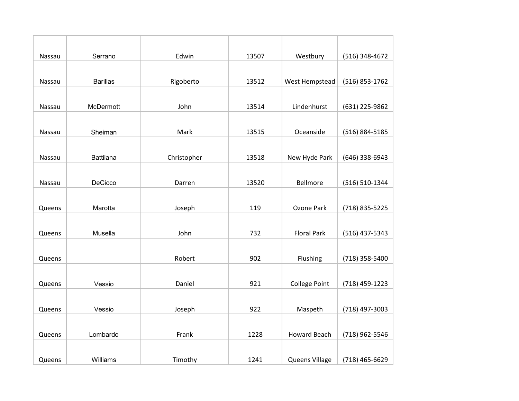| Nassau | Serrano          | Edwin       | 13507 | Westbury             | (516) 348-4672 |
|--------|------------------|-------------|-------|----------------------|----------------|
|        |                  |             |       |                      |                |
| Nassau | <b>Barillas</b>  | Rigoberto   | 13512 | West Hempstead       | (516) 853-1762 |
|        |                  |             |       |                      |                |
| Nassau | McDermott        | John        | 13514 | Lindenhurst          | (631) 225-9862 |
|        |                  |             |       |                      |                |
| Nassau | Sheiman          | Mark        | 13515 | Oceanside            | (516) 884-5185 |
|        |                  |             |       |                      |                |
| Nassau | <b>Battilana</b> | Christopher | 13518 | New Hyde Park        | (646) 338-6943 |
|        |                  |             |       |                      |                |
| Nassau | DeCicco          | Darren      | 13520 | Bellmore             | (516) 510-1344 |
|        |                  |             |       |                      |                |
| Queens | Marotta          | Joseph      | 119   | <b>Ozone Park</b>    | (718) 835-5225 |
|        |                  |             |       |                      |                |
| Queens | Musella          | John        | 732   | <b>Floral Park</b>   | (516) 437-5343 |
|        |                  |             |       |                      |                |
| Queens |                  | Robert      | 902   | Flushing             | (718) 358-5400 |
|        |                  |             |       |                      |                |
| Queens | Vessio           | Daniel      | 921   | <b>College Point</b> | (718) 459-1223 |
|        |                  |             |       |                      |                |
| Queens | Vessio           | Joseph      | 922   | Maspeth              | (718) 497-3003 |
|        |                  |             |       |                      |                |
| Queens | Lombardo         | Frank       | 1228  | <b>Howard Beach</b>  | (718) 962-5546 |
|        |                  |             |       |                      |                |
| Queens | Williams         | Timothy     | 1241  | Queens Village       | (718) 465-6629 |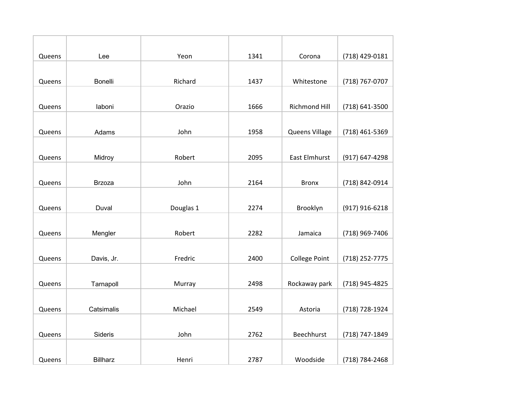| Queens | Lee             | Yeon      | 1341 | Corona               | (718) 429-0181 |
|--------|-----------------|-----------|------|----------------------|----------------|
|        |                 |           |      |                      |                |
| Queens | Bonelli         | Richard   | 1437 | Whitestone           | (718) 767-0707 |
|        |                 |           |      |                      |                |
| Queens | laboni          | Orazio    | 1666 | <b>Richmond Hill</b> | (718) 641-3500 |
|        |                 |           |      |                      |                |
| Queens | Adams           | John      | 1958 | Queens Village       | (718) 461-5369 |
|        |                 |           |      |                      |                |
| Queens | Midroy          | Robert    | 2095 | <b>East Elmhurst</b> | (917) 647-4298 |
|        |                 |           |      |                      |                |
| Queens | <b>Brzoza</b>   | John      | 2164 | <b>Bronx</b>         | (718) 842-0914 |
|        |                 |           |      |                      |                |
| Queens | Duval           | Douglas 1 | 2274 | Brooklyn             | (917) 916-6218 |
|        |                 |           |      |                      |                |
| Queens | Mengler         | Robert    | 2282 | Jamaica              | (718) 969-7406 |
|        |                 |           |      |                      |                |
| Queens | Davis, Jr.      | Fredric   | 2400 | <b>College Point</b> | (718) 252-7775 |
|        |                 |           |      |                      |                |
| Queens | Tarnapoll       | Murray    | 2498 | Rockaway park        | (718) 945-4825 |
|        |                 |           |      |                      |                |
| Queens | Catsimalis      | Michael   | 2549 | Astoria              | (718) 728-1924 |
|        |                 |           |      |                      |                |
| Queens | Sideris         | John      | 2762 | Beechhurst           | (718) 747-1849 |
|        |                 |           |      |                      |                |
| Queens | <b>Billharz</b> | Henri     | 2787 | Woodside             | (718) 784-2468 |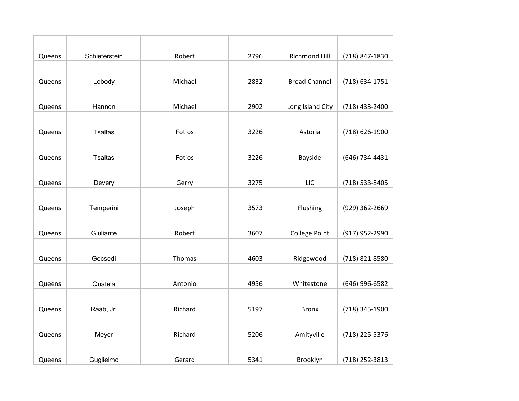| Queens | Schieferstein  | Robert  | 2796 | <b>Richmond Hill</b> | (718) 847-1830 |
|--------|----------------|---------|------|----------------------|----------------|
|        |                |         |      |                      |                |
| Queens | Lobody         | Michael | 2832 | <b>Broad Channel</b> | (718) 634-1751 |
|        |                |         |      |                      |                |
| Queens | Hannon         | Michael | 2902 | Long Island City     | (718) 433-2400 |
|        |                |         |      |                      |                |
| Queens | <b>Tsaltas</b> | Fotios  | 3226 | Astoria              | (718) 626-1900 |
|        |                |         |      |                      |                |
| Queens | <b>Tsaltas</b> | Fotios  | 3226 | Bayside              | (646) 734-4431 |
|        |                |         |      |                      |                |
| Queens | Devery         | Gerry   | 3275 | <b>LIC</b>           | (718) 533-8405 |
|        |                |         |      |                      |                |
| Queens | Temperini      | Joseph  | 3573 | Flushing             | (929) 362-2669 |
|        |                |         |      |                      |                |
| Queens | Giuliante      | Robert  | 3607 | <b>College Point</b> | (917) 952-2990 |
|        |                |         |      |                      |                |
| Queens | Gecsedi        | Thomas  | 4603 | Ridgewood            | (718) 821-8580 |
|        |                |         |      |                      |                |
| Queens | Quatela        | Antonio | 4956 | Whitestone           | (646) 996-6582 |
|        |                |         |      |                      |                |
| Queens | Raab, Jr.      | Richard | 5197 | <b>Bronx</b>         | (718) 345-1900 |
|        |                |         |      |                      |                |
| Queens | Meyer          | Richard | 5206 | Amityville           | (718) 225-5376 |
|        |                |         |      |                      |                |
| Queens | Guglielmo      | Gerard  | 5341 | Brooklyn             | (718) 252-3813 |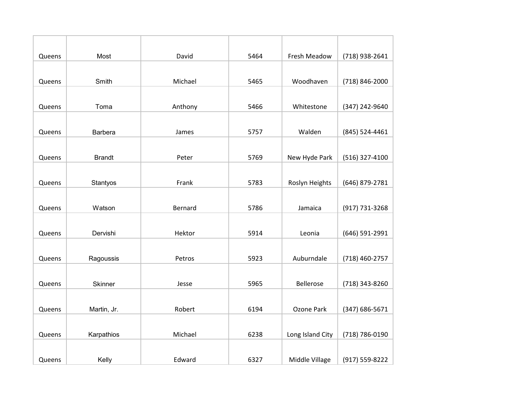| Queens | Most           | David   | 5464 | Fresh Meadow     | (718) 938-2641 |
|--------|----------------|---------|------|------------------|----------------|
|        |                |         |      |                  |                |
| Queens | Smith          | Michael | 5465 | Woodhaven        | (718) 846-2000 |
|        |                |         |      |                  |                |
| Queens | Toma           | Anthony | 5466 | Whitestone       | (347) 242-9640 |
|        |                |         |      |                  |                |
| Queens | <b>Barbera</b> | James   | 5757 | Walden           | (845) 524-4461 |
|        |                |         |      |                  |                |
| Queens | <b>Brandt</b>  | Peter   | 5769 | New Hyde Park    | (516) 327-4100 |
|        |                |         |      |                  |                |
| Queens | Stantyos       | Frank   | 5783 | Roslyn Heights   | (646) 879-2781 |
|        |                |         |      |                  |                |
| Queens | Watson         | Bernard | 5786 | Jamaica          | (917) 731-3268 |
|        |                |         |      |                  |                |
| Queens | Dervishi       | Hektor  | 5914 | Leonia           | (646) 591-2991 |
|        |                |         |      |                  |                |
| Queens | Ragoussis      | Petros  | 5923 | Auburndale       | (718) 460-2757 |
|        |                |         |      |                  |                |
| Queens | Skinner        | Jesse   | 5965 | <b>Bellerose</b> | (718) 343-8260 |
|        |                |         |      |                  |                |
| Queens | Martin, Jr.    | Robert  | 6194 | Ozone Park       | (347) 686-5671 |
|        |                |         |      |                  |                |
| Queens | Karpathios     | Michael | 6238 | Long Island City | (718) 786-0190 |
|        |                |         |      |                  |                |
| Queens | Kelly          | Edward  | 6327 | Middle Village   | (917) 559-8222 |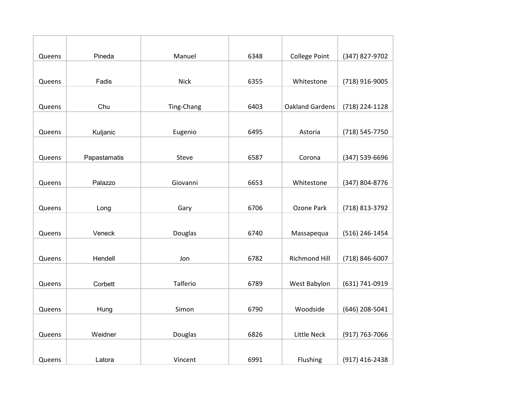| Queens | Pineda       | Manuel      | 6348 | <b>College Point</b>   | (347) 827-9702 |
|--------|--------------|-------------|------|------------------------|----------------|
|        |              |             |      |                        |                |
| Queens | Fadis        | <b>Nick</b> | 6355 | Whitestone             | (718) 916-9005 |
|        |              |             |      |                        |                |
| Queens | Chu          | Ting-Chang  | 6403 | <b>Oakland Gardens</b> | (718) 224-1128 |
|        |              |             |      |                        |                |
| Queens | Kuljanic     | Eugenio     | 6495 | Astoria                | (718) 545-7750 |
|        |              |             |      |                        |                |
| Queens | Papastamatis | Steve       | 6587 | Corona                 | (347) 539-6696 |
|        |              |             |      |                        |                |
| Queens | Palazzo      | Giovanni    | 6653 | Whitestone             | (347) 804-8776 |
|        |              |             |      |                        |                |
| Queens | Long         | Gary        | 6706 | Ozone Park             | (718) 813-3792 |
|        |              |             |      |                        |                |
| Queens | Veneck       | Douglas     | 6740 | Massapequa             | (516) 246-1454 |
|        |              |             |      |                        |                |
| Queens | Hendell      | Jon         | 6782 | Richmond Hill          | (718) 846-6007 |
|        |              |             |      |                        |                |
| Queens | Corbett      | Talferio    | 6789 | West Babylon           | (631) 741-0919 |
|        |              |             |      |                        |                |
| Queens | Hung         | Simon       | 6790 | Woodside               | (646) 208-5041 |
|        |              |             |      |                        |                |
| Queens | Weidner      | Douglas     | 6826 | Little Neck            | (917) 763-7066 |
|        |              |             |      |                        |                |
| Queens | Latora       | Vincent     | 6991 | Flushing               | (917) 416-2438 |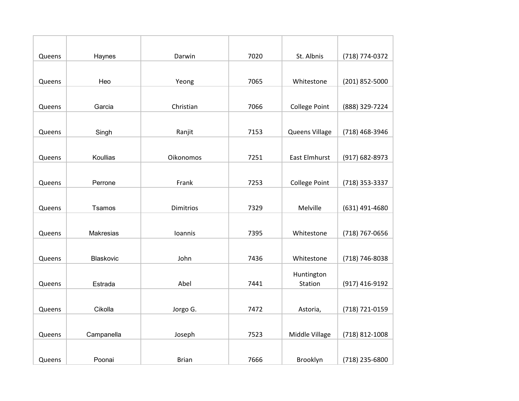| Queens | Haynes     | Darwin           | 7020 | St. Albnis           | (718) 774-0372 |
|--------|------------|------------------|------|----------------------|----------------|
|        |            |                  |      |                      |                |
| Queens | Heo        | Yeong            | 7065 | Whitestone           | (201) 852-5000 |
|        |            |                  |      |                      |                |
| Queens | Garcia     | Christian        | 7066 | <b>College Point</b> | (888) 329-7224 |
|        |            |                  |      |                      |                |
| Queens | Singh      | Ranjit           | 7153 | Queens Village       | (718) 468-3946 |
|        |            |                  |      |                      |                |
| Queens | Koullias   | Oikonomos        | 7251 | <b>East Elmhurst</b> | (917) 682-8973 |
|        |            |                  |      |                      |                |
| Queens | Perrone    | Frank            | 7253 | <b>College Point</b> | (718) 353-3337 |
|        |            |                  |      |                      |                |
| Queens | Tsamos     | <b>Dimitrios</b> | 7329 | Melville             | (631) 491-4680 |
|        |            |                  |      |                      |                |
| Queens | Makresias  | Ioannis          | 7395 | Whitestone           | (718) 767-0656 |
|        |            |                  |      |                      |                |
| Queens | Blaskovic  | John             | 7436 | Whitestone           | (718) 746-8038 |
|        |            |                  |      | Huntington           |                |
| Queens | Estrada    | Abel             | 7441 | Station              | (917) 416-9192 |
|        |            |                  |      |                      |                |
| Queens | Cikolla    | Jorgo G.         | 7472 | Astoria,             | (718) 721-0159 |
|        |            |                  |      |                      |                |
| Queens | Campanella | Joseph           | 7523 | Middle Village       | (718) 812-1008 |
|        |            |                  |      |                      |                |
| Queens | Poonai     | <b>Brian</b>     | 7666 | Brooklyn             | (718) 235-6800 |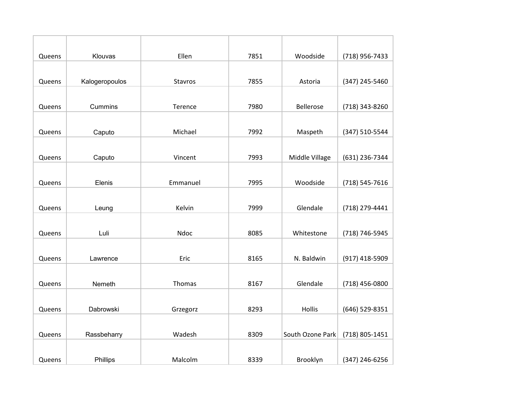| Queens | Klouvas        | Ellen    | 7851 | Woodside         | (718) 956-7433 |
|--------|----------------|----------|------|------------------|----------------|
|        |                |          |      |                  |                |
| Queens | Kalogeropoulos | Stavros  | 7855 | Astoria          | (347) 245-5460 |
|        |                |          |      |                  |                |
| Queens | Cummins        | Terence  | 7980 | <b>Bellerose</b> | (718) 343-8260 |
|        |                |          |      |                  |                |
| Queens | Caputo         | Michael  | 7992 | Maspeth          | (347) 510-5544 |
|        |                |          |      |                  |                |
| Queens | Caputo         | Vincent  | 7993 | Middle Village   | (631) 236-7344 |
|        |                |          |      |                  |                |
| Queens | Elenis         | Emmanuel | 7995 | Woodside         | (718) 545-7616 |
|        |                |          |      |                  |                |
| Queens | Leung          | Kelvin   | 7999 | Glendale         | (718) 279-4441 |
|        |                |          |      |                  |                |
| Queens | Luli           | Ndoc     | 8085 | Whitestone       | (718) 746-5945 |
|        |                |          |      |                  |                |
| Queens | Lawrence       | Eric     | 8165 | N. Baldwin       | (917) 418-5909 |
|        |                |          |      |                  |                |
| Queens | Nemeth         | Thomas   | 8167 | Glendale         | (718) 456-0800 |
|        |                |          |      |                  |                |
| Queens | Dabrowski      | Grzegorz | 8293 | Hollis           | (646) 529-8351 |
|        |                |          |      |                  |                |
| Queens | Rassbeharry    | Wadesh   | 8309 | South Ozone Park | (718) 805-1451 |
|        |                |          |      |                  |                |
| Queens | Phillips       | Malcolm  | 8339 | Brooklyn         | (347) 246-6256 |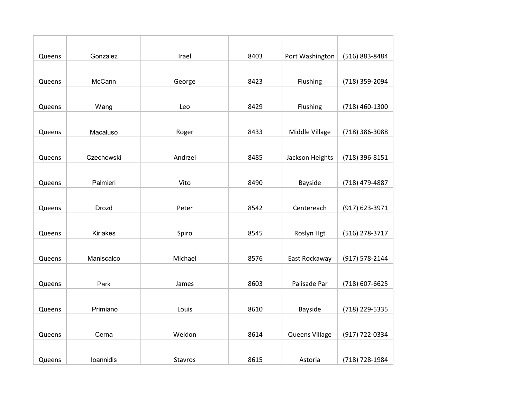| Queens | Gonzalez     | Irael   | 8403 | Port Washington | (516) 883-8484 |
|--------|--------------|---------|------|-----------------|----------------|
|        |              |         |      |                 |                |
| Queens | McCann       | George  | 8423 | Flushing        | (718) 359-2094 |
|        |              |         |      |                 |                |
| Queens | Wang         | Leo     | 8429 | Flushing        | (718) 460-1300 |
|        |              |         |      |                 |                |
| Queens | Macaluso     | Roger   | 8433 | Middle Village  | (718) 386-3088 |
|        |              |         |      |                 |                |
| Queens | Czechowski   | Andrzei | 8485 | Jackson Heights | (718) 396-8151 |
|        |              |         |      |                 |                |
| Queens | Palmieri     | Vito    | 8490 | Bayside         | (718) 479-4887 |
|        |              |         |      |                 |                |
| Queens | <b>Drozd</b> | Peter   | 8542 | Centereach      | (917) 623-3971 |
|        |              |         |      |                 |                |
| Queens | Kiriakes     | Spiro   | 8545 | Roslyn Hgt      | (516) 278-3717 |
|        |              |         |      |                 |                |
| Queens | Maniscalco   | Michael | 8576 | East Rockaway   | (917) 578-2144 |
|        |              |         |      |                 |                |
| Queens | Park         | James   | 8603 | Palisade Par    | (718) 607-6625 |
|        |              |         |      |                 |                |
| Queens | Primiano     | Louis   | 8610 | Bayside         | (718) 229-5335 |
|        |              |         |      |                 |                |
| Queens | Cerna        | Weldon  | 8614 | Queens Village  | (917) 722-0334 |
|        |              |         |      |                 |                |
| Queens | loannidis    | Stavros | 8615 | Astoria         | (718) 728-1984 |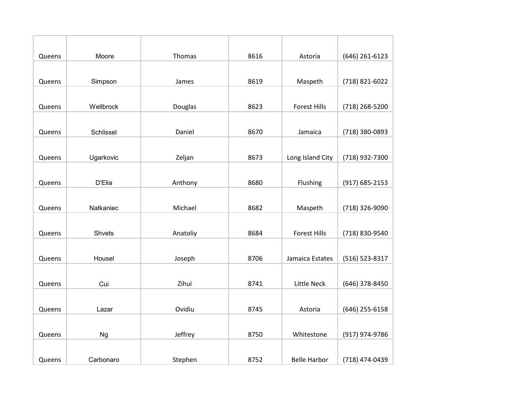| Queens | Moore     | Thomas   | 8616 | Astoria             | (646) 261-6123     |
|--------|-----------|----------|------|---------------------|--------------------|
|        |           |          |      |                     |                    |
| Queens | Simpson   | James    | 8619 | Maspeth             | (718) 821-6022     |
|        |           |          |      |                     |                    |
| Queens | Wellbrock | Douglas  | 8623 | <b>Forest Hills</b> | (718) 268-5200     |
|        |           |          |      |                     |                    |
| Queens | Schlissel | Daniel   | 8670 | Jamaica             | (718) 380-0893     |
|        |           |          |      |                     |                    |
| Queens | Ugarkovic | Zeljan   | 8673 | Long Island City    | (718) 932-7300     |
|        |           |          |      |                     |                    |
| Queens | D'Elia    | Anthony  | 8680 | Flushing            | $(917) 685 - 2153$ |
|        |           |          |      |                     |                    |
| Queens | Natkaniec | Michael  | 8682 | Maspeth             | (718) 326-9090     |
|        |           |          |      |                     |                    |
| Queens | Shvets    | Anatoliy | 8684 | <b>Forest Hills</b> | (718) 830-9540     |
|        |           |          |      |                     |                    |
| Queens | Housel    | Joseph   | 8706 | Jamaica Estates     | (516) 523-8317     |
|        |           |          |      |                     |                    |
| Queens | Cui       | Zihui    | 8741 | <b>Little Neck</b>  | (646) 378-8450     |
|        |           |          |      |                     |                    |
| Queens | Lazar     | Ovidiu   | 8745 | Astoria             | (646) 255-6158     |
|        |           |          |      |                     |                    |
| Queens | <b>Ng</b> | Jeffrey  | 8750 | Whitestone          | (917) 974-9786     |
|        |           |          |      |                     |                    |
| Queens | Carbonaro | Stephen  | 8752 | <b>Belle Harbor</b> | (718) 474-0439     |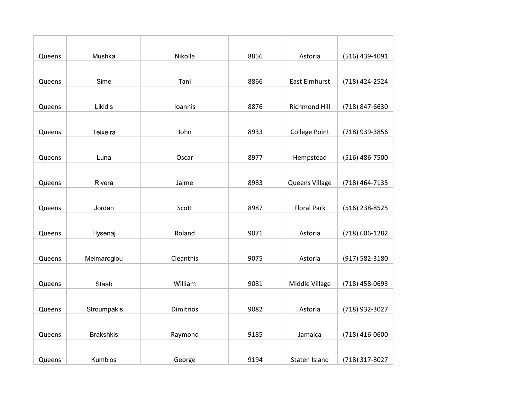| Queens | Mushka           | Nikolla          | 8856 | Astoria              | (516) 439-4091   |
|--------|------------------|------------------|------|----------------------|------------------|
|        |                  |                  |      |                      |                  |
| Queens | Sime             | Tani             | 8866 | <b>East Elmhurst</b> | (718) 424-2524   |
|        |                  |                  |      |                      |                  |
| Queens | Likidis          | Ioannis          | 8876 | <b>Richmond Hill</b> | (718) 847-6630   |
|        |                  |                  |      |                      |                  |
| Queens | Teixeira         | John             | 8933 | <b>College Point</b> | (718) 939-3856   |
|        |                  |                  |      |                      |                  |
| Queens | Luna             | Oscar            | 8977 | Hempstead            | $(516)$ 486-7500 |
|        |                  |                  |      |                      |                  |
| Queens | Rivera           | Jaime            | 8983 | Queens Village       | (718) 464-7135   |
|        |                  |                  |      |                      |                  |
| Queens | Jordan           | Scott            | 8987 | <b>Floral Park</b>   | (516) 238-8525   |
|        |                  |                  |      |                      |                  |
| Queens | Hysenaj          | Roland           | 9071 | Astoria              | (718) 606-1282   |
|        |                  |                  |      |                      |                  |
| Queens | Meimaroglou      | Cleanthis        | 9075 | Astoria              | (917) 582-3180   |
|        |                  |                  |      |                      |                  |
| Queens | Staab            | William          | 9081 | Middle Village       | (718) 458-0693   |
|        |                  |                  |      |                      |                  |
| Queens | Stroumpakis      | <b>Dimitrios</b> | 9082 | Astoria              | (718) 932-3027   |
|        |                  |                  |      |                      |                  |
| Queens | <b>Brakshkis</b> | Raymond          | 9185 | Jamaica              | $(718)$ 416-0600 |
|        |                  |                  |      |                      |                  |
| Queens | Kumbios          | George           | 9194 | Staten Island        | (718) 317-8027   |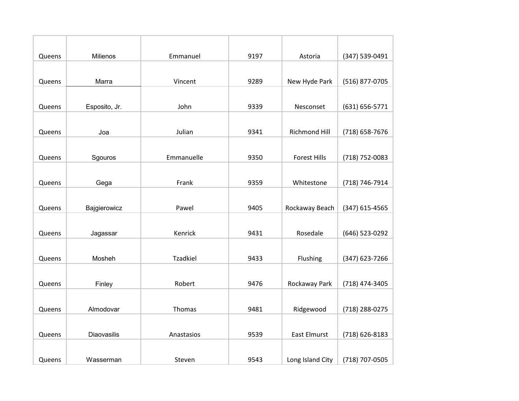| Queens | Milienos      | Emmanuel        | 9197 | Astoria              | (347) 539-0491 |
|--------|---------------|-----------------|------|----------------------|----------------|
|        |               |                 |      |                      |                |
| Queens | Marra         | Vincent         | 9289 | New Hyde Park        | (516) 877-0705 |
|        |               |                 |      |                      |                |
| Queens | Esposito, Jr. | John            | 9339 | Nesconset            | (631) 656-5771 |
|        |               |                 |      |                      |                |
| Queens | Joa           | Julian          | 9341 | <b>Richmond Hill</b> | (718) 658-7676 |
|        |               |                 |      |                      |                |
| Queens | Sgouros       | Emmanuelle      | 9350 | <b>Forest Hills</b>  | (718) 752-0083 |
|        |               |                 |      |                      |                |
| Queens | Gega          | Frank           | 9359 | Whitestone           | (718) 746-7914 |
|        |               |                 |      |                      |                |
| Queens | Bajgierowicz  | Pawel           | 9405 | Rockaway Beach       | (347) 615-4565 |
|        |               |                 |      |                      |                |
| Queens | Jagassar      | Kenrick         | 9431 | Rosedale             | (646) 523-0292 |
|        |               |                 |      |                      |                |
| Queens | Mosheh        | <b>Tzadkiel</b> | 9433 | Flushing             | (347) 623-7266 |
|        |               |                 |      |                      |                |
| Queens | Finley        | Robert          | 9476 | Rockaway Park        | (718) 474-3405 |
|        |               |                 |      |                      |                |
| Queens | Almodovar     | Thomas          | 9481 | Ridgewood            | (718) 288-0275 |
|        |               |                 |      |                      |                |
| Queens | Diaovasilis   | Anastasios      | 9539 | <b>East Elmurst</b>  | (718) 626-8183 |
|        |               |                 |      |                      |                |
| Queens | Wasserman     | Steven          | 9543 | Long Island City     | (718) 707-0505 |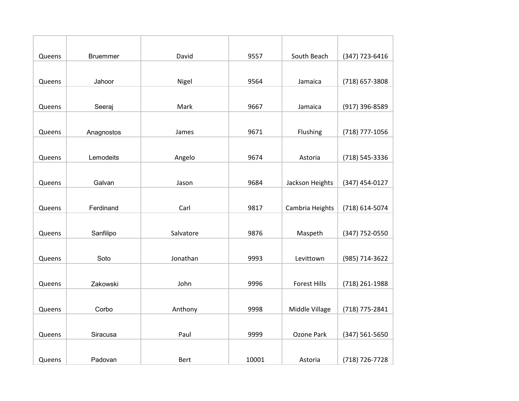| Queens | <b>Bruemmer</b> | David       | 9557  | South Beach         | (347) 723-6416   |
|--------|-----------------|-------------|-------|---------------------|------------------|
|        |                 |             |       |                     |                  |
| Queens | Jahoor          | Nigel       | 9564  | Jamaica             | (718) 657-3808   |
|        |                 |             |       |                     |                  |
| Queens | Seeraj          | Mark        | 9667  | Jamaica             | (917) 396-8589   |
|        |                 |             |       |                     |                  |
| Queens | Anagnostos      | James       | 9671  | Flushing            | (718) 777-1056   |
|        |                 |             |       |                     |                  |
| Queens | Lemodeits       | Angelo      | 9674  | Astoria             | (718) 545-3336   |
|        |                 |             |       |                     |                  |
| Queens | Galvan          | Jason       | 9684  | Jackson Heights     | $(347)$ 454-0127 |
|        |                 |             |       |                     |                  |
| Queens | Ferdinand       | Carl        | 9817  | Cambria Heights     | (718) 614-5074   |
|        |                 |             |       |                     |                  |
| Queens | Sanfilipo       | Salvatore   | 9876  | Maspeth             | (347) 752-0550   |
|        |                 |             |       |                     |                  |
| Queens | Soto            | Jonathan    | 9993  | Levittown           | (985) 714-3622   |
|        |                 |             |       |                     |                  |
| Queens | Zakowski        | John        | 9996  | <b>Forest Hills</b> | (718) 261-1988   |
|        |                 |             |       |                     |                  |
| Queens | Corbo           | Anthony     | 9998  | Middle Village      | (718) 775-2841   |
|        |                 |             |       |                     |                  |
| Queens | Siracusa        | Paul        | 9999  | Ozone Park          | (347) 561-5650   |
|        |                 |             |       |                     |                  |
| Queens | Padovan         | <b>Bert</b> | 10001 | Astoria             | (718) 726-7728   |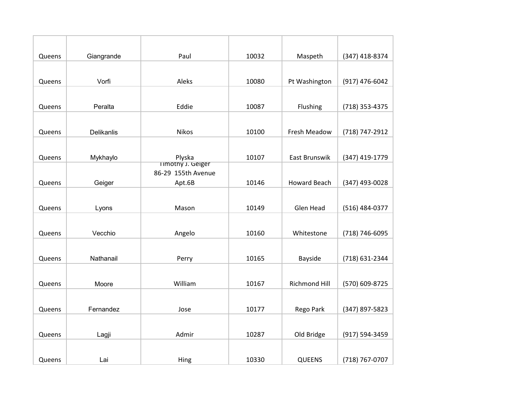| Queens | Giangrande        | Paul                                    | 10032 | Maspeth              | (347) 418-8374 |
|--------|-------------------|-----------------------------------------|-------|----------------------|----------------|
|        |                   |                                         |       |                      |                |
| Queens | Vorfi             | Aleks                                   | 10080 | Pt Washington        | (917) 476-6042 |
|        |                   |                                         |       |                      |                |
| Queens | Peralta           | Eddie                                   | 10087 | Flushing             | (718) 353-4375 |
|        |                   |                                         |       |                      |                |
| Queens | <b>Delikanlis</b> | <b>Nikos</b>                            | 10100 | Fresh Meadow         | (718) 747-2912 |
|        |                   |                                         |       |                      |                |
| Queens | Mykhaylo          | Plyska                                  | 10107 | East Brunswik        | (347) 419-1779 |
|        |                   | Timothy J. Geiger<br>86-29 155th Avenue |       |                      |                |
| Queens | Geiger            | Apt.6B                                  | 10146 | <b>Howard Beach</b>  | (347) 493-0028 |
|        |                   |                                         |       |                      |                |
| Queens | Lyons             | Mason                                   | 10149 | Glen Head            | (516) 484-0377 |
|        |                   |                                         |       |                      |                |
| Queens | Vecchio           | Angelo                                  | 10160 | Whitestone           | (718) 746-6095 |
|        |                   |                                         |       |                      |                |
| Queens | Nathanail         | Perry                                   | 10165 | Bayside              | (718) 631-2344 |
|        |                   |                                         |       |                      |                |
| Queens | Moore             | William                                 | 10167 | <b>Richmond Hill</b> | (570) 609-8725 |
|        |                   |                                         |       |                      |                |
| Queens | Fernandez         | Jose                                    | 10177 | Rego Park            | (347) 897-5823 |
|        |                   |                                         |       |                      |                |
| Queens | Lagji             | Admir                                   | 10287 | Old Bridge           | (917) 594-3459 |
|        |                   |                                         |       |                      |                |
| Queens | Lai               | Hing                                    | 10330 | <b>QUEENS</b>        | (718) 767-0707 |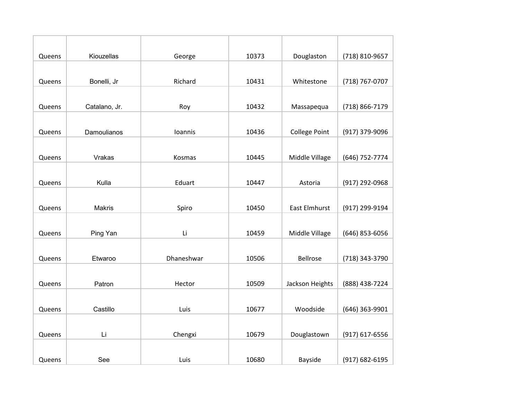| Queens | Kiouzellas    | George     | 10373 | Douglaston           | (718) 810-9657 |
|--------|---------------|------------|-------|----------------------|----------------|
|        |               |            |       |                      |                |
| Queens | Bonelli, Jr   | Richard    | 10431 | Whitestone           | (718) 767-0707 |
|        |               |            |       |                      |                |
| Queens | Catalano, Jr. | Roy        | 10432 | Massapequa           | (718) 866-7179 |
|        |               |            |       |                      |                |
| Queens | Damoulianos   | Ioannis    | 10436 | <b>College Point</b> | (917) 379-9096 |
|        |               |            |       |                      |                |
| Queens | Vrakas        | Kosmas     | 10445 | Middle Village       | (646) 752-7774 |
|        |               |            |       |                      |                |
| Queens | Kulla         | Eduart     | 10447 | Astoria              | (917) 292-0968 |
|        |               |            |       |                      |                |
| Queens | <b>Makris</b> | Spiro      | 10450 | <b>East Elmhurst</b> | (917) 299-9194 |
|        |               |            |       |                      |                |
| Queens | Ping Yan      | Li         | 10459 | Middle Village       | (646) 853-6056 |
|        |               |            |       |                      |                |
| Queens | Etwaroo       | Dhaneshwar | 10506 | <b>Bellrose</b>      | (718) 343-3790 |
|        |               |            |       |                      |                |
| Queens | Patron        | Hector     | 10509 | Jackson Heights      | (888) 438-7224 |
|        |               |            |       |                      |                |
| Queens | Castillo      | Luis       | 10677 | Woodside             | (646) 363-9901 |
|        |               |            |       |                      |                |
| Queens | Li            | Chengxi    | 10679 | Douglastown          | (917) 617-6556 |
|        |               |            |       |                      |                |
| Queens | See           | Luis       | 10680 | Bayside              | (917) 682-6195 |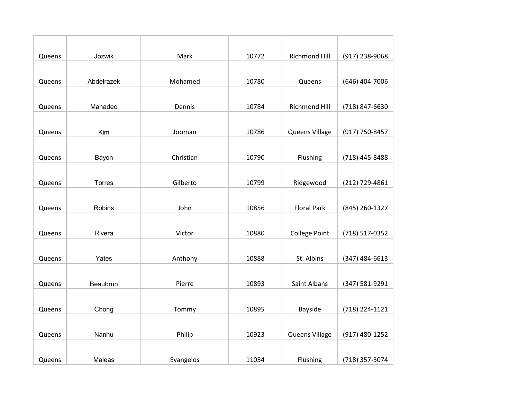| Queens | Jozwik        | Mark      | 10772 | <b>Richmond Hill</b> | (917) 238-9068   |
|--------|---------------|-----------|-------|----------------------|------------------|
|        |               |           |       |                      |                  |
| Queens | Abdelrazek    | Mohamed   | 10780 | Queens               | (646) 404-7006   |
|        |               |           |       |                      |                  |
| Queens | Mahadeo       | Dennis    | 10784 | <b>Richmond Hill</b> | (718) 847-6630   |
|        |               |           |       |                      |                  |
| Queens | Kim           | Jooman    | 10786 | Queens Village       | (917) 750-8457   |
|        |               |           |       |                      |                  |
| Queens | Bayon         | Christian | 10790 | Flushing             | (718) 445-8488   |
|        |               |           |       |                      |                  |
| Queens | <b>Torres</b> | Gilberto  | 10799 | Ridgewood            | (212) 729-4861   |
|        |               |           |       |                      |                  |
| Queens | Robins        | John      | 10856 | <b>Floral Park</b>   | (845) 260-1327   |
|        |               |           |       |                      |                  |
| Queens | Rivera        | Victor    | 10880 | <b>College Point</b> | (718) 517-0352   |
|        |               |           |       |                      |                  |
| Queens | Yates         | Anthony   | 10888 | St. Albins           | $(347)$ 484-6613 |
|        |               |           |       |                      |                  |
| Queens | Beaubrun      | Pierre    | 10893 | <b>Saint Albans</b>  | (347) 581-9291   |
|        |               |           |       |                      |                  |
| Queens | Chong         | Tommy     | 10895 | Bayside              | (718) 224-1121   |
|        |               |           |       |                      |                  |
| Queens | Nanhu         | Philip    | 10923 | Queens Village       | (917) 480-1252   |
|        |               |           |       |                      |                  |
| Queens | Maleas        | Evangelos | 11054 | Flushing             | (718) 357-5074   |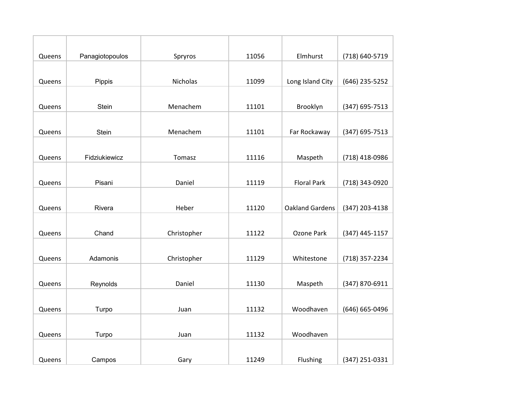| Queens | Panagiotopoulos | Spryros     | 11056 | Elmhurst               | (718) 640-5719 |
|--------|-----------------|-------------|-------|------------------------|----------------|
|        |                 |             |       |                        |                |
| Queens | Pippis          | Nicholas    | 11099 | Long Island City       | (646) 235-5252 |
|        |                 |             |       |                        |                |
| Queens | Stein           | Menachem    | 11101 | Brooklyn               | (347) 695-7513 |
|        |                 |             |       |                        |                |
| Queens | Stein           | Menachem    | 11101 | Far Rockaway           | (347) 695-7513 |
|        |                 |             |       |                        |                |
| Queens | Fidziukiewicz   | Tomasz      | 11116 | Maspeth                | (718) 418-0986 |
|        |                 |             |       |                        |                |
| Queens | Pisani          | Daniel      | 11119 | <b>Floral Park</b>     | (718) 343-0920 |
|        |                 |             |       |                        |                |
| Queens | Rivera          | Heber       | 11120 | <b>Oakland Gardens</b> | (347) 203-4138 |
|        |                 |             |       |                        |                |
| Queens | Chand           | Christopher | 11122 | Ozone Park             | (347) 445-1157 |
|        |                 |             |       |                        |                |
| Queens | Adamonis        | Christopher | 11129 | Whitestone             | (718) 357-2234 |
|        |                 |             |       |                        |                |
| Queens | Reynolds        | Daniel      | 11130 | Maspeth                | (347) 870-6911 |
|        |                 |             |       |                        |                |
| Queens | Turpo           | Juan        | 11132 | Woodhaven              | (646) 665-0496 |
|        |                 |             |       |                        |                |
| Queens | Turpo           | Juan        | 11132 | Woodhaven              |                |
|        |                 |             |       |                        |                |
| Queens | Campos          | Gary        | 11249 | Flushing               | (347) 251-0331 |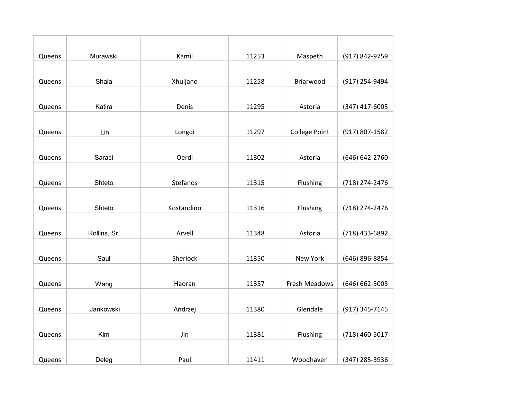| Queens | Murawski     | Kamil      | 11253 | Maspeth              | (917) 842-9759 |
|--------|--------------|------------|-------|----------------------|----------------|
|        |              |            |       |                      |                |
| Queens | Shala        | Xhuljano   | 11258 | Briarwood            | (917) 254-9494 |
|        |              |            |       |                      |                |
| Queens | Katira       | Denis      | 11295 | Astoria              | (347) 417-6005 |
|        |              |            |       |                      |                |
| Queens | Lin          | Longqi     | 11297 | <b>College Point</b> | (917) 807-1582 |
|        |              |            |       |                      |                |
| Queens | Saraci       | Oerdi      | 11302 | Astoria              | (646) 642-2760 |
|        |              |            |       |                      |                |
| Queens | Shteto       | Stefanos   | 11315 | Flushing             | (718) 274-2476 |
|        |              |            |       |                      |                |
| Queens | Shteto       | Kostandino | 11316 | Flushing             | (718) 274-2476 |
|        |              |            |       |                      |                |
| Queens | Rollins, Sr. | Arvell     | 11348 | Astoria              | (718) 433-6892 |
|        |              |            |       |                      |                |
| Queens | Saul         | Sherlock   | 11350 | New York             | (646) 896-8854 |
|        |              |            |       |                      |                |
| Queens | Wang         | Haoran     | 11357 | Fresh Meadows        | (646) 662-5005 |
|        |              |            |       |                      |                |
| Queens | Jankowski    | Andrzej    | 11380 | Glendale             | (917) 345-7145 |
|        |              |            |       |                      |                |
| Queens | Kim          | Jin        | 11381 | Flushing             | (718) 460-5017 |
|        |              |            |       |                      |                |
| Queens | Deleg        | Paul       | 11411 | Woodhaven            | (347) 285-3936 |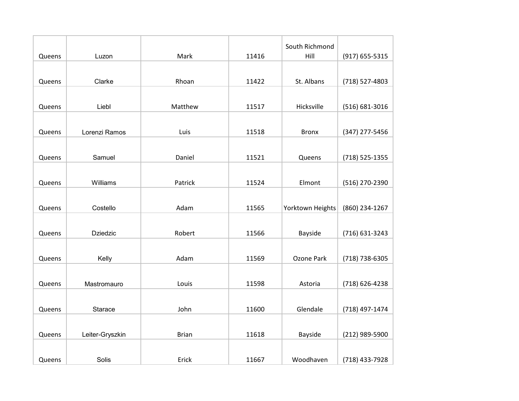|        |                 |              |       | South Richmond   |                    |
|--------|-----------------|--------------|-------|------------------|--------------------|
| Queens | Luzon           | Mark         | 11416 | Hill             | (917) 655-5315     |
|        |                 |              |       |                  |                    |
| Queens | Clarke          | Rhoan        | 11422 | St. Albans       | (718) 527-4803     |
|        |                 |              |       |                  |                    |
| Queens | Liebl           | Matthew      | 11517 | Hicksville       | $(516) 681 - 3016$ |
|        |                 |              |       |                  |                    |
| Queens | Lorenzi Ramos   | Luis         | 11518 | <b>Bronx</b>     | (347) 277-5456     |
|        |                 |              |       |                  |                    |
| Queens | Samuel          | Daniel       | 11521 | Queens           | (718) 525-1355     |
|        |                 |              |       |                  |                    |
| Queens | Williams        | Patrick      | 11524 | Elmont           | (516) 270-2390     |
|        |                 |              |       |                  |                    |
| Queens | Costello        | Adam         | 11565 | Yorktown Heights | (860) 234-1267     |
|        |                 |              |       |                  |                    |
| Queens | <b>Dziedzic</b> | Robert       | 11566 | Bayside          | (716) 631-3243     |
|        |                 |              |       |                  |                    |
| Queens | Kelly           | Adam         | 11569 | Ozone Park       | (718) 738-6305     |
|        |                 |              |       |                  |                    |
| Queens | Mastromauro     | Louis        | 11598 | Astoria          | (718) 626-4238     |
|        |                 |              |       |                  |                    |
| Queens | Starace         | John         | 11600 | Glendale         | (718) 497-1474     |
|        |                 |              |       |                  |                    |
| Queens | Leiter-Gryszkin | <b>Brian</b> | 11618 | Bayside          | (212) 989-5900     |
|        |                 |              |       |                  |                    |
| Queens | Solis           | Erick        | 11667 | Woodhaven        | (718) 433-7928     |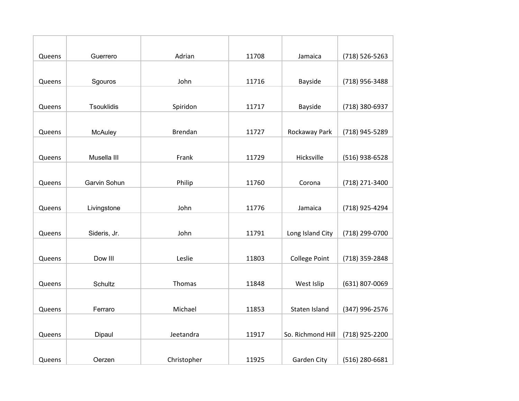| Queens | Guerrero     | Adrian         | 11708 | Jamaica              | (718) 526-5263 |
|--------|--------------|----------------|-------|----------------------|----------------|
|        |              |                |       |                      |                |
| Queens | Sgouros      | John           | 11716 | Bayside              | (718) 956-3488 |
|        |              |                |       |                      |                |
| Queens | Tsouklidis   | Spiridon       | 11717 | <b>Bayside</b>       | (718) 380-6937 |
|        |              |                |       |                      |                |
| Queens | McAuley      | <b>Brendan</b> | 11727 | Rockaway Park        | (718) 945-5289 |
|        |              |                |       |                      |                |
| Queens | Musella III  | Frank          | 11729 | Hicksville           | (516) 938-6528 |
|        |              |                |       |                      |                |
| Queens | Garvin Sohun | Philip         | 11760 | Corona               | (718) 271-3400 |
|        |              |                |       |                      |                |
| Queens | Livingstone  | John           | 11776 | Jamaica              | (718) 925-4294 |
|        |              |                |       |                      |                |
| Queens | Sideris, Jr. | John           | 11791 | Long Island City     | (718) 299-0700 |
|        |              |                |       |                      |                |
| Queens | Dow III      | Leslie         | 11803 | <b>College Point</b> | (718) 359-2848 |
|        |              |                |       |                      |                |
| Queens | Schultz      | Thomas         | 11848 | West Islip           | (631) 807-0069 |
|        |              |                |       |                      |                |
| Queens | Ferraro      | Michael        | 11853 | Staten Island        | (347) 996-2576 |
|        |              |                |       |                      |                |
| Queens | Dipaul       | Jeetandra      | 11917 | So. Richmond Hill    | (718) 925-2200 |
|        |              |                |       |                      |                |
| Queens | Oerzen       | Christopher    | 11925 | Garden City          | (516) 280-6681 |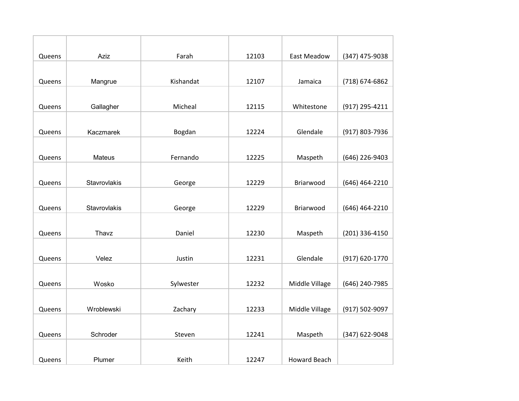| Queens | Aziz          | Farah     | 12103 | East Meadow         | (347) 475-9038 |
|--------|---------------|-----------|-------|---------------------|----------------|
|        |               |           |       |                     |                |
| Queens | Mangrue       | Kishandat | 12107 | Jamaica             | (718) 674-6862 |
|        |               |           |       |                     |                |
| Queens | Gallagher     | Micheal   | 12115 | Whitestone          | (917) 295-4211 |
|        |               |           |       |                     |                |
| Queens | Kaczmarek     | Bogdan    | 12224 | Glendale            | (917) 803-7936 |
|        |               |           |       |                     |                |
| Queens | Mateus        | Fernando  | 12225 | Maspeth             | (646) 226-9403 |
|        |               |           |       |                     |                |
| Queens | Stavrovlakis  | George    | 12229 | Briarwood           | (646) 464-2210 |
|        |               |           |       |                     |                |
| Queens | Stavrovlakis  | George    | 12229 | Briarwood           | (646) 464-2210 |
|        |               |           |       |                     |                |
| Queens | Thavz         | Daniel    | 12230 | Maspeth             | (201) 336-4150 |
|        |               |           |       |                     |                |
| Queens | Velez         | Justin    | 12231 | Glendale            | (917) 620-1770 |
|        |               |           |       |                     |                |
| Queens | Wosko         | Sylwester | 12232 | Middle Village      | (646) 240-7985 |
|        |               |           |       |                     |                |
| Queens | Wroblewski    | Zachary   | 12233 | Middle Village      | (917) 502-9097 |
|        |               |           |       |                     |                |
| Queens | Schroder      | Steven    | 12241 | Maspeth             | (347) 622-9048 |
|        |               |           |       |                     |                |
| Queens | <b>Plumer</b> | Keith     | 12247 | <b>Howard Beach</b> |                |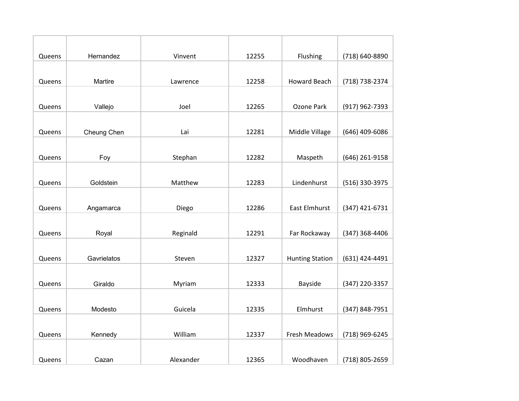| Queens | Hernandez   | Vinvent   | 12255 | Flushing               | (718) 640-8890 |
|--------|-------------|-----------|-------|------------------------|----------------|
|        |             |           |       |                        |                |
| Queens | Martire     | Lawrence  | 12258 | <b>Howard Beach</b>    | (718) 738-2374 |
|        |             |           |       |                        |                |
| Queens | Vallejo     | Joel      | 12265 | Ozone Park             | (917) 962-7393 |
|        |             |           |       |                        |                |
| Queens | Cheung Chen | Lai       | 12281 | Middle Village         | (646) 409-6086 |
|        |             |           |       |                        |                |
| Queens | Foy         | Stephan   | 12282 | Maspeth                | (646) 261-9158 |
|        |             |           |       |                        |                |
| Queens | Goldstein   | Matthew   | 12283 | Lindenhurst            | (516) 330-3975 |
|        |             |           |       |                        |                |
| Queens | Angamarca   | Diego     | 12286 | <b>East Elmhurst</b>   | (347) 421-6731 |
|        |             |           |       |                        |                |
| Queens | Royal       | Reginald  | 12291 | Far Rockaway           | (347) 368-4406 |
|        |             |           |       |                        |                |
| Queens | Gavrielatos | Steven    | 12327 | <b>Hunting Station</b> | (631) 424-4491 |
|        |             |           |       |                        |                |
| Queens | Giraldo     | Myriam    | 12333 | Bayside                | (347) 220-3357 |
|        |             |           |       |                        |                |
| Queens | Modesto     | Guicela   | 12335 | Elmhurst               | (347) 848-7951 |
|        |             |           |       |                        |                |
| Queens | Kennedy     | William   | 12337 | <b>Fresh Meadows</b>   | (718) 969-6245 |
|        |             |           |       |                        |                |
| Queens | Cazan       | Alexander | 12365 | Woodhaven              | (718) 805-2659 |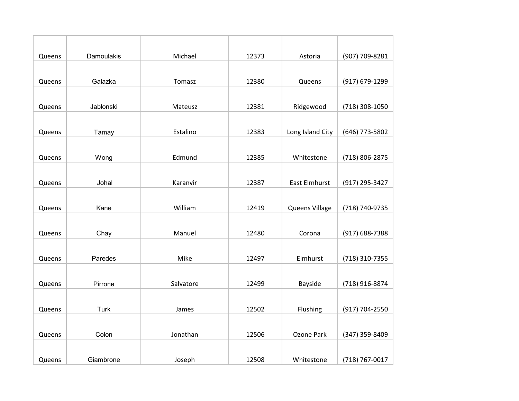| Queens | Damoulakis  | Michael   | 12373 | Astoria              | (907) 709-8281 |
|--------|-------------|-----------|-------|----------------------|----------------|
|        |             |           |       |                      |                |
| Queens | Galazka     | Tomasz    | 12380 | Queens               | (917) 679-1299 |
|        |             |           |       |                      |                |
| Queens | Jablonski   | Mateusz   | 12381 | Ridgewood            | (718) 308-1050 |
|        |             |           |       |                      |                |
| Queens | Tamay       | Estalino  | 12383 | Long Island City     | (646) 773-5802 |
|        |             |           |       |                      |                |
| Queens | Wong        | Edmund    | 12385 | Whitestone           | (718) 806-2875 |
|        |             |           |       |                      |                |
| Queens | Johal       | Karanvir  | 12387 | <b>East Elmhurst</b> | (917) 295-3427 |
|        |             |           |       |                      |                |
| Queens | Kane        | William   | 12419 | Queens Village       | (718) 740-9735 |
|        |             |           |       |                      |                |
| Queens | Chay        | Manuel    | 12480 | Corona               | (917) 688-7388 |
|        |             |           |       |                      |                |
| Queens | Paredes     | Mike      | 12497 | Elmhurst             | (718) 310-7355 |
|        |             |           |       |                      |                |
| Queens | Pirrone     | Salvatore | 12499 | <b>Bayside</b>       | (718) 916-8874 |
|        |             |           |       |                      |                |
| Queens | <b>Turk</b> | James     | 12502 | Flushing             | (917) 704-2550 |
|        |             |           |       |                      |                |
| Queens | Colon       | Jonathan  | 12506 | Ozone Park           | (347) 359-8409 |
|        |             |           |       |                      |                |
| Queens | Giambrone   | Joseph    | 12508 | Whitestone           | (718) 767-0017 |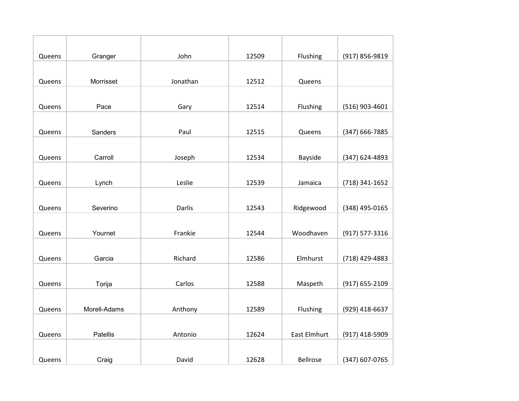| Queens | Granger      | John     | 12509 | Flushing            | (917) 856-9819 |
|--------|--------------|----------|-------|---------------------|----------------|
|        |              |          |       |                     |                |
| Queens | Morrisset    | Jonathan | 12512 | Queens              |                |
|        |              |          |       |                     |                |
| Queens | Pace         | Gary     | 12514 | Flushing            | (516) 903-4601 |
|        |              |          |       |                     |                |
| Queens | Sanders      | Paul     | 12515 | Queens              | (347) 666-7885 |
|        |              |          |       |                     |                |
| Queens | Carroll      | Joseph   | 12534 | Bayside             | (347) 624-4893 |
|        |              |          |       |                     |                |
| Queens | Lynch        | Leslie   | 12539 | Jamaica             | (718) 341-1652 |
|        |              |          |       |                     |                |
| Queens | Severino     | Darlis   | 12543 | Ridgewood           | (348) 495-0165 |
|        |              |          |       |                     |                |
| Queens | Yournet      | Frankie  | 12544 | Woodhaven           | (917) 577-3316 |
|        |              |          |       |                     |                |
| Queens | Garcia       | Richard  | 12586 | Elmhurst            | (718) 429-4883 |
|        |              |          |       |                     |                |
| Queens | Torija       | Carlos   | 12588 | Maspeth             | (917) 655-2109 |
|        |              |          |       |                     |                |
| Queens | Morell-Adams | Anthony  | 12589 | Flushing            | (929) 418-6637 |
|        |              |          |       |                     |                |
| Queens | Patellis     | Antonio  | 12624 | <b>East Elmhurt</b> | (917) 418-5909 |
|        |              |          |       |                     |                |
| Queens | Craig        | David    | 12628 | Bellrose            | (347) 607-0765 |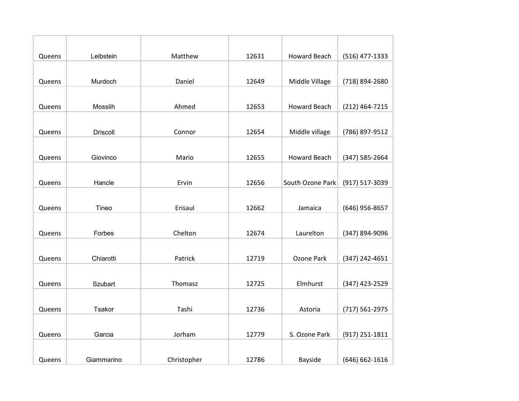| Queens | Leibstein       | Matthew     | 12631 | <b>Howard Beach</b> | (516) 477-1333     |
|--------|-----------------|-------------|-------|---------------------|--------------------|
|        |                 |             |       |                     |                    |
| Queens | Murdoch         | Daniel      | 12649 | Middle Village      | (718) 894-2680     |
|        |                 |             |       |                     |                    |
| Queens | Mosslih         | Ahmed       | 12653 | <b>Howard Beach</b> | (212) 464-7215     |
|        |                 |             |       |                     |                    |
| Queens | <b>Driscoll</b> | Connor      | 12654 | Middle village      | (786) 897-9512     |
|        |                 |             |       |                     |                    |
| Queens | Giovinco        | Mario       | 12655 | <b>Howard Beach</b> | $(347) 585 - 2664$ |
|        |                 |             |       |                     |                    |
| Queens | Hancle          | Ervin       | 12656 | South Ozone Park    | (917) 517-3039     |
|        |                 |             |       |                     |                    |
| Queens | Tineo           | Erisaul     | 12662 | Jamaica             | (646) 956-8657     |
|        |                 |             |       |                     |                    |
| Queens | Forbes          | Chelton     | 12674 | Laurelton           | (347) 894-9096     |
|        |                 |             |       |                     |                    |
| Queens | Chiarotti       | Patrick     | 12719 | Ozone Park          | (347) 242-4651     |
|        |                 |             |       |                     |                    |
| Queens | Szubart         | Thomasz     | 12725 | Elmhurst            | (347) 423-2529     |
|        |                 |             |       |                     |                    |
| Queens | Tsakor          | Tashi       | 12736 | Astoria             | (717) 561-2975     |
|        |                 |             |       |                     |                    |
| Queens | Garcia          | Jorham      | 12779 | S. Ozone Park       | (917) 251-1811     |
|        |                 |             |       |                     |                    |
| Queens | Giammarino      | Christopher | 12786 | Bayside             | (646) 662-1616     |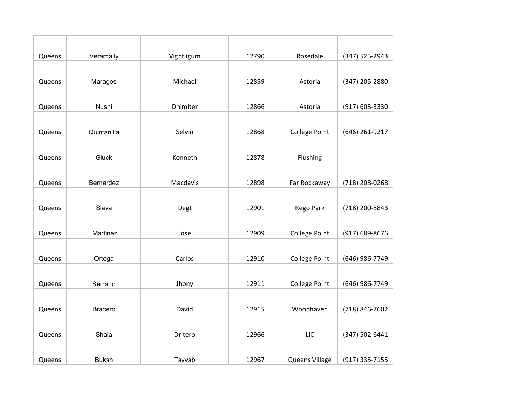| Queens | Veramally      | Vightligum | 12790 | Rosedale             | (347) 525-2943 |
|--------|----------------|------------|-------|----------------------|----------------|
|        |                |            |       |                      |                |
| Queens | Maragos        | Michael    | 12859 | Astoria              | (347) 205-2880 |
|        |                |            |       |                      |                |
| Queens | Nushi          | Dhimiter   | 12866 | Astoria              | (917) 603-3330 |
|        |                |            |       |                      |                |
| Queens | Quintanilla    | Selvin     | 12868 | <b>College Point</b> | (646) 261-9217 |
|        |                |            |       |                      |                |
| Queens | Gluck          | Kenneth    | 12878 | Flushing             |                |
|        |                |            |       |                      |                |
| Queens | Bernardez      | Macdavis   | 12898 | Far Rockaway         | (718) 208-0268 |
|        |                |            |       |                      |                |
| Queens | Slava          | Degt       | 12901 | Rego Park            | (718) 200-8843 |
|        |                |            |       |                      |                |
| Queens | Martinez       | Jose       | 12909 | <b>College Point</b> | (917) 689-8676 |
|        |                |            |       |                      |                |
| Queens | Ortega         | Carlos     | 12910 | <b>College Point</b> | (646) 986-7749 |
|        |                |            |       |                      |                |
| Queens | Serrano        | Jhony      | 12911 | <b>College Point</b> | (646) 986-7749 |
|        |                |            |       |                      |                |
| Queens | <b>Bracero</b> | David      | 12915 | Woodhaven            | (718) 846-7602 |
|        |                |            |       |                      |                |
| Queens | Shala          | Dritero    | 12966 | LIC                  | (347) 502-6441 |
|        |                |            |       |                      |                |
| Queens | <b>Buksh</b>   | Tayyab     | 12967 | Queens Village       | (917) 335-7155 |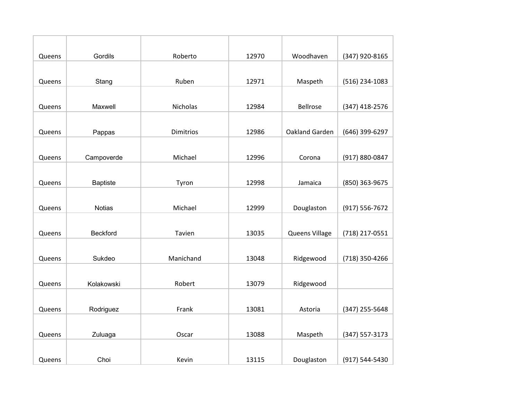| Queens | Gordils         | Roberto          | 12970 | Woodhaven      | (347) 920-8165 |
|--------|-----------------|------------------|-------|----------------|----------------|
|        |                 |                  |       |                |                |
| Queens | Stang           | Ruben            | 12971 | Maspeth        | (516) 234-1083 |
|        |                 |                  |       |                |                |
| Queens | Maxwell         | Nicholas         | 12984 | Bellrose       | (347) 418-2576 |
|        |                 |                  |       |                |                |
| Queens | Pappas          | <b>Dimitrios</b> | 12986 | Oakland Garden | (646) 399-6297 |
|        |                 |                  |       |                |                |
| Queens | Campoverde      | Michael          | 12996 | Corona         | (917) 880-0847 |
|        |                 |                  |       |                |                |
| Queens | <b>Baptiste</b> | Tyron            | 12998 | Jamaica        | (850) 363-9675 |
|        |                 |                  |       |                |                |
| Queens | <b>Notias</b>   | Michael          | 12999 | Douglaston     | (917) 556-7672 |
|        |                 |                  |       |                |                |
| Queens | <b>Beckford</b> | Tavien           | 13035 | Queens Village | (718) 217-0551 |
|        |                 |                  |       |                |                |
| Queens | Sukdeo          | Manichand        | 13048 | Ridgewood      | (718) 350-4266 |
|        |                 |                  |       |                |                |
| Queens | Kolakowski      | Robert           | 13079 | Ridgewood      |                |
|        |                 |                  |       |                |                |
| Queens | Rodriguez       | Frank            | 13081 | Astoria        | (347) 255-5648 |
|        |                 |                  |       |                |                |
| Queens | Zuluaga         | Oscar            | 13088 | Maspeth        | (347) 557-3173 |
|        |                 |                  |       |                |                |
| Queens | Choi            | Kevin            | 13115 | Douglaston     | (917) 544-5430 |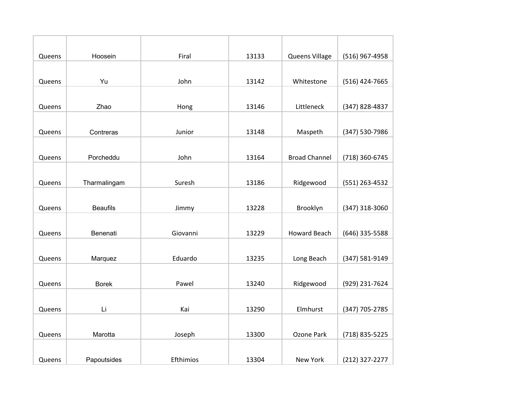| Queens | Hoosein         | Firal     | 13133 | Queens Village       | (516) 967-4958 |
|--------|-----------------|-----------|-------|----------------------|----------------|
|        |                 |           |       |                      |                |
| Queens | Yu              | John      | 13142 | Whitestone           | (516) 424-7665 |
|        |                 |           |       |                      |                |
| Queens | Zhao            | Hong      | 13146 | Littleneck           | (347) 828-4837 |
|        |                 |           |       |                      |                |
| Queens | Contreras       | Junior    | 13148 | Maspeth              | (347) 530-7986 |
|        |                 |           |       |                      |                |
| Queens | Porcheddu       | John      | 13164 | <b>Broad Channel</b> | (718) 360-6745 |
|        |                 |           |       |                      |                |
| Queens | Tharmalingam    | Suresh    | 13186 | Ridgewood            | (551) 263-4532 |
|        |                 |           |       |                      |                |
| Queens | <b>Beaufils</b> | Jimmy     | 13228 | Brooklyn             | (347) 318-3060 |
|        |                 |           |       |                      |                |
| Queens | Benenati        | Giovanni  | 13229 | <b>Howard Beach</b>  | (646) 335-5588 |
|        |                 |           |       |                      |                |
| Queens | Marquez         | Eduardo   | 13235 | Long Beach           | (347) 581-9149 |
|        |                 |           |       |                      |                |
| Queens | <b>Borek</b>    | Pawel     | 13240 | Ridgewood            | (929) 231-7624 |
|        |                 |           |       |                      |                |
| Queens | Li              | Kai       | 13290 | Elmhurst             | (347) 705-2785 |
|        |                 |           |       |                      |                |
| Queens | Marotta         | Joseph    | 13300 | Ozone Park           | (718) 835-5225 |
|        |                 |           |       |                      |                |
| Queens | Papoutsides     | Efthimios | 13304 | New York             | (212) 327-2277 |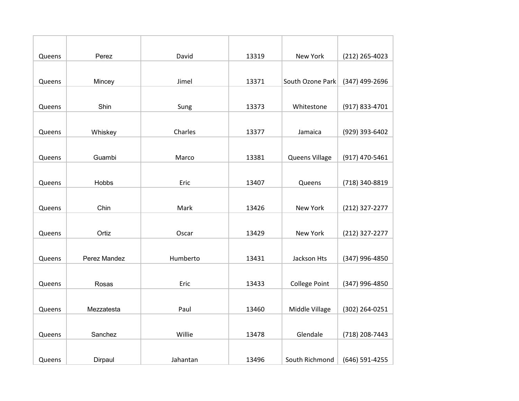| Queens | Perez        | David    | 13319 | <b>New York</b>      | (212) 265-4023 |
|--------|--------------|----------|-------|----------------------|----------------|
|        |              |          |       |                      |                |
| Queens | Mincey       | Jimel    | 13371 | South Ozone Park     | (347) 499-2696 |
|        |              |          |       |                      |                |
| Queens | Shin         | Sung     | 13373 | Whitestone           | (917) 833-4701 |
|        |              |          |       |                      |                |
| Queens | Whiskey      | Charles  | 13377 | Jamaica              | (929) 393-6402 |
|        |              |          |       |                      |                |
| Queens | Guambi       | Marco    | 13381 | Queens Village       | (917) 470-5461 |
|        |              |          |       |                      |                |
| Queens | Hobbs        | Eric     | 13407 | Queens               | (718) 340-8819 |
|        |              |          |       |                      |                |
| Queens | Chin         | Mark     | 13426 | New York             | (212) 327-2277 |
|        |              |          |       |                      |                |
| Queens | Ortiz        | Oscar    | 13429 | New York             | (212) 327-2277 |
|        |              |          |       |                      |                |
| Queens | Perez Mandez | Humberto | 13431 | Jackson Hts          | (347) 996-4850 |
|        |              |          |       |                      |                |
| Queens | Rosas        | Eric     | 13433 | <b>College Point</b> | (347) 996-4850 |
|        |              |          |       |                      |                |
| Queens | Mezzatesta   | Paul     | 13460 | Middle Village       | (302) 264-0251 |
|        |              |          |       |                      |                |
| Queens | Sanchez      | Willie   | 13478 | Glendale             | (718) 208-7443 |
|        |              |          |       |                      |                |
| Queens | Dirpaul      | Jahantan | 13496 | South Richmond       | (646) 591-4255 |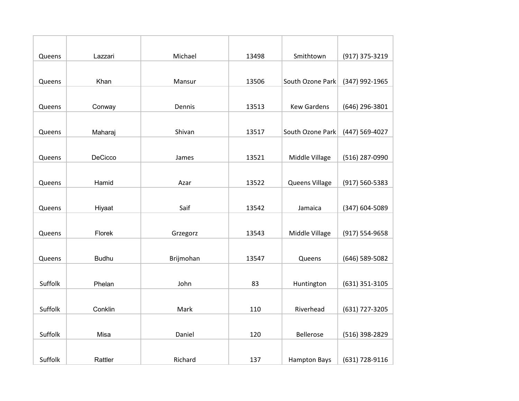| Queens  | Lazzari      | Michael   | 13498 | Smithtown           | (917) 375-3219 |
|---------|--------------|-----------|-------|---------------------|----------------|
|         |              |           |       |                     |                |
| Queens  | Khan         | Mansur    | 13506 | South Ozone Park    | (347) 992-1965 |
|         |              |           |       |                     |                |
| Queens  | Conway       | Dennis    | 13513 | <b>Kew Gardens</b>  | (646) 296-3801 |
|         |              |           |       |                     |                |
| Queens  | Maharaj      | Shivan    | 13517 | South Ozone Park    | (447) 569-4027 |
|         |              |           |       |                     |                |
| Queens  | DeCicco      | James     | 13521 | Middle Village      | (516) 287-0990 |
|         |              |           |       |                     |                |
| Queens  | Hamid        | Azar      | 13522 | Queens Village      | (917) 560-5383 |
|         |              |           |       |                     |                |
| Queens  | Hiyaat       | Saif      | 13542 | Jamaica             | (347) 604-5089 |
|         |              |           |       |                     |                |
| Queens  | Florek       | Grzegorz  | 13543 | Middle Village      | (917) 554-9658 |
|         |              |           |       |                     |                |
| Queens  | <b>Budhu</b> | Brijmohan | 13547 | Queens              | (646) 589-5082 |
|         |              |           |       |                     |                |
| Suffolk | Phelan       | John      | 83    | Huntington          | (631) 351-3105 |
|         |              |           |       |                     |                |
| Suffolk | Conklin      | Mark      | 110   | Riverhead           | (631) 727-3205 |
|         |              |           |       |                     |                |
| Suffolk | Misa         | Daniel    | 120   | <b>Bellerose</b>    | (516) 398-2829 |
|         |              |           |       |                     |                |
| Suffolk | Rattler      | Richard   | 137   | <b>Hampton Bays</b> | (631) 728-9116 |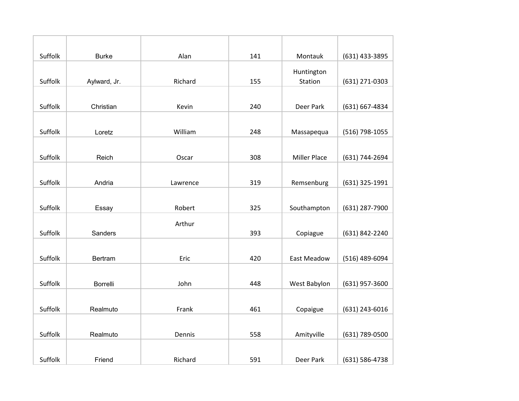| Suffolk | <b>Burke</b>    | Alan     | 141 | Montauk             | (631) 433-3895 |
|---------|-----------------|----------|-----|---------------------|----------------|
|         |                 |          |     | Huntington          |                |
| Suffolk | Aylward, Jr.    | Richard  | 155 | Station             | (631) 271-0303 |
|         |                 |          |     |                     |                |
| Suffolk | Christian       | Kevin    | 240 | Deer Park           | (631) 667-4834 |
|         |                 |          |     |                     |                |
| Suffolk | Loretz          | William  | 248 | Massapequa          | (516) 798-1055 |
|         |                 |          |     |                     |                |
| Suffolk | Reich           | Oscar    | 308 | <b>Miller Place</b> | (631) 744-2694 |
|         |                 |          |     |                     |                |
| Suffolk | Andria          | Lawrence | 319 | Remsenburg          | (631) 325-1991 |
|         |                 |          |     |                     |                |
| Suffolk | Essay           | Robert   | 325 | Southampton         | (631) 287-7900 |
|         |                 | Arthur   |     |                     |                |
| Suffolk | Sanders         |          | 393 | Copiague            | (631) 842-2240 |
|         |                 |          |     |                     |                |
| Suffolk | Bertram         | Eric     | 420 | <b>East Meadow</b>  | (516) 489-6094 |
|         |                 |          |     |                     |                |
| Suffolk | <b>Borrelli</b> | John     | 448 | West Babylon        | (631) 957-3600 |
|         |                 |          |     |                     |                |
| Suffolk | Realmuto        | Frank    | 461 | Copaigue            | (631) 243-6016 |
|         |                 |          |     |                     |                |
| Suffolk | Realmuto        | Dennis   | 558 | Amityville          | (631) 789-0500 |
|         |                 |          |     |                     |                |
| Suffolk | Friend          | Richard  | 591 | Deer Park           | (631) 586-4738 |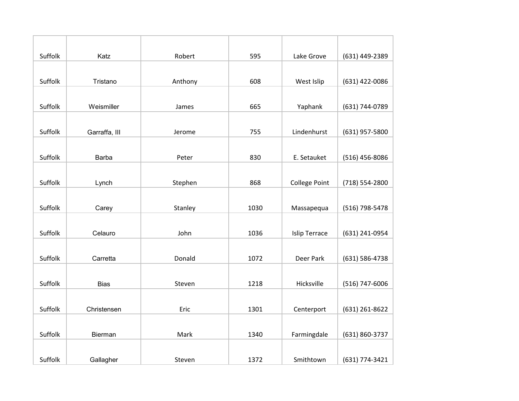| Suffolk | Katz          | Robert  | 595  | Lake Grove           | (631) 449-2389 |
|---------|---------------|---------|------|----------------------|----------------|
|         |               |         |      |                      |                |
| Suffolk | Tristano      | Anthony | 608  | West Islip           | (631) 422-0086 |
|         |               |         |      |                      |                |
| Suffolk | Weismiller    | James   | 665  | Yaphank              | (631) 744-0789 |
|         |               |         |      |                      |                |
| Suffolk | Garraffa, III | Jerome  | 755  | Lindenhurst          | (631) 957-5800 |
|         |               |         |      |                      |                |
| Suffolk | <b>Barba</b>  | Peter   | 830  | E. Setauket          | (516) 456-8086 |
|         |               |         |      |                      |                |
| Suffolk | Lynch         | Stephen | 868  | <b>College Point</b> | (718) 554-2800 |
|         |               |         |      |                      |                |
| Suffolk | Carey         | Stanley | 1030 | Massapequa           | (516) 798-5478 |
|         |               |         |      |                      |                |
| Suffolk | Celauro       | John    | 1036 | <b>Islip Terrace</b> | (631) 241-0954 |
|         |               |         |      |                      |                |
| Suffolk | Carretta      | Donald  | 1072 | Deer Park            | (631) 586-4738 |
|         |               |         |      |                      |                |
| Suffolk | <b>Bias</b>   | Steven  | 1218 | Hicksville           | (516) 747-6006 |
|         |               |         |      |                      |                |
| Suffolk | Christensen   | Eric    | 1301 | Centerport           | (631) 261-8622 |
|         |               |         |      |                      |                |
| Suffolk | Bierman       | Mark    | 1340 | Farmingdale          | (631) 860-3737 |
|         |               |         |      |                      |                |
| Suffolk | Gallagher     | Steven  | 1372 | Smithtown            | (631) 774-3421 |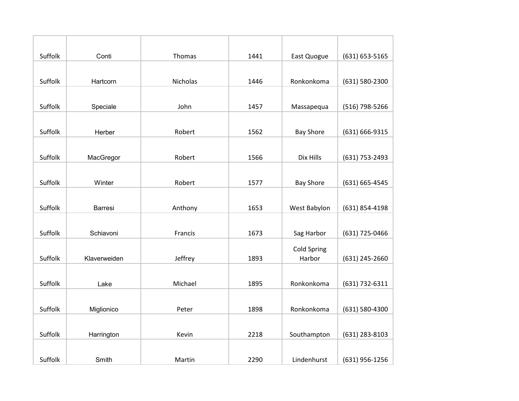| Suffolk | Conti        | Thomas   | 1441 | East Quogue        | (631) 653-5165 |
|---------|--------------|----------|------|--------------------|----------------|
|         |              |          |      |                    |                |
| Suffolk | Hartcorn     | Nicholas | 1446 | Ronkonkoma         | (631) 580-2300 |
|         |              |          |      |                    |                |
| Suffolk | Speciale     | John     | 1457 | Massapequa         | (516) 798-5266 |
|         |              |          |      |                    |                |
| Suffolk | Herber       | Robert   | 1562 | <b>Bay Shore</b>   | (631) 666-9315 |
|         |              |          |      |                    |                |
| Suffolk | MacGregor    | Robert   | 1566 | Dix Hills          | (631) 753-2493 |
|         |              |          |      |                    |                |
| Suffolk | Winter       | Robert   | 1577 | <b>Bay Shore</b>   | (631) 665-4545 |
|         |              |          |      |                    |                |
| Suffolk | Barresi      | Anthony  | 1653 | West Babylon       | (631) 854-4198 |
|         |              |          |      |                    |                |
| Suffolk | Schiavoni    | Francis  | 1673 | Sag Harbor         | (631) 725-0466 |
|         |              |          |      | <b>Cold Spring</b> |                |
| Suffolk | Klaverweiden | Jeffrey  | 1893 | Harbor             | (631) 245-2660 |
|         |              |          |      |                    |                |
| Suffolk | Lake         | Michael  | 1895 | Ronkonkoma         | (631) 732-6311 |
|         |              |          |      |                    |                |
| Suffolk | Miglionico   | Peter    | 1898 | Ronkonkoma         | (631) 580-4300 |
|         |              |          |      |                    |                |
| Suffolk | Harrington   | Kevin    | 2218 | Southampton        | (631) 283-8103 |
|         |              |          |      |                    |                |
| Suffolk | Smith        | Martin   | 2290 | Lindenhurst        | (631) 956-1256 |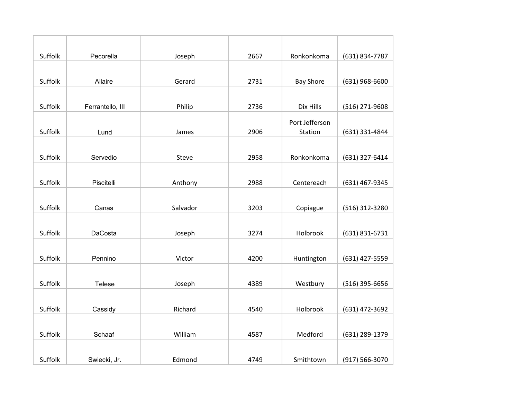| Suffolk | Pecorella        | Joseph   | 2667 | Ronkonkoma       | (631) 834-7787   |
|---------|------------------|----------|------|------------------|------------------|
|         |                  |          |      |                  |                  |
| Suffolk | Allaire          | Gerard   | 2731 | <b>Bay Shore</b> | $(631)$ 968-6600 |
|         |                  |          |      |                  |                  |
| Suffolk | Ferrantello, III | Philip   | 2736 | Dix Hills        | (516) 271-9608   |
|         |                  |          |      | Port Jefferson   |                  |
| Suffolk | Lund             | James    | 2906 | Station          | (631) 331-4844   |
|         |                  |          |      |                  |                  |
| Suffolk | Servedio         | Steve    | 2958 | Ronkonkoma       | (631) 327-6414   |
|         |                  |          |      |                  |                  |
| Suffolk | Piscitelli       | Anthony  | 2988 | Centereach       | (631) 467-9345   |
|         |                  |          |      |                  |                  |
| Suffolk | Canas            | Salvador | 3203 | Copiague         | (516) 312-3280   |
|         |                  |          |      |                  |                  |
| Suffolk | DaCosta          | Joseph   | 3274 | Holbrook         | (631) 831-6731   |
|         |                  |          |      |                  |                  |
| Suffolk | Pennino          | Victor   | 4200 | Huntington       | (631) 427-5559   |
|         |                  |          |      |                  |                  |
| Suffolk | Telese           | Joseph   | 4389 | Westbury         | $(516)$ 395-6656 |
|         |                  |          |      |                  |                  |
| Suffolk | Cassidy          | Richard  | 4540 | Holbrook         | (631) 472-3692   |
|         |                  |          |      |                  |                  |
| Suffolk | Schaaf           | William  | 4587 | Medford          | (631) 289-1379   |
|         |                  |          |      |                  |                  |
| Suffolk | Swiecki, Jr.     | Edmond   | 4749 | Smithtown        | (917) 566-3070   |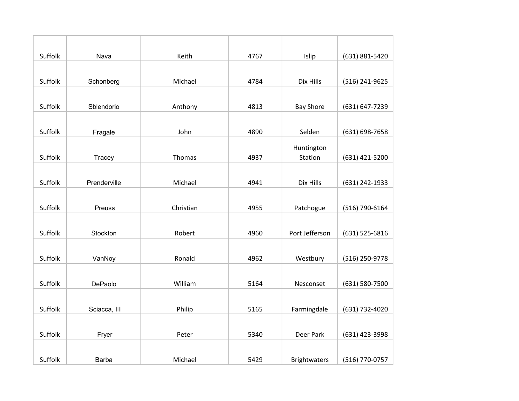| Suffolk | Nava         | Keith     | 4767 | Islip               | (631) 881-5420 |
|---------|--------------|-----------|------|---------------------|----------------|
|         |              |           |      |                     |                |
| Suffolk | Schonberg    | Michael   | 4784 | Dix Hills           | (516) 241-9625 |
|         |              |           |      |                     |                |
| Suffolk | Sblendorio   | Anthony   | 4813 | <b>Bay Shore</b>    | (631) 647-7239 |
|         |              |           |      |                     |                |
| Suffolk | Fragale      | John      | 4890 | Selden              | (631) 698-7658 |
|         |              |           |      | Huntington          |                |
| Suffolk | Tracey       | Thomas    | 4937 | Station             | (631) 421-5200 |
|         |              |           |      |                     |                |
| Suffolk | Prenderville | Michael   | 4941 | Dix Hills           | (631) 242-1933 |
|         |              |           |      |                     |                |
| Suffolk | Preuss       | Christian | 4955 | Patchogue           | (516) 790-6164 |
|         |              |           |      |                     |                |
| Suffolk | Stockton     | Robert    | 4960 | Port Jefferson      | (631) 525-6816 |
|         |              |           |      |                     |                |
| Suffolk | VanNoy       | Ronald    | 4962 | Westbury            | (516) 250-9778 |
|         |              |           |      |                     |                |
| Suffolk | DePaolo      | William   | 5164 | Nesconset           | (631) 580-7500 |
|         |              |           |      |                     |                |
| Suffolk | Sciacca, III | Philip    | 5165 | Farmingdale         | (631) 732-4020 |
|         |              |           |      |                     |                |
| Suffolk | Fryer        | Peter     | 5340 | Deer Park           | (631) 423-3998 |
|         |              |           |      |                     |                |
| Suffolk | Barba        | Michael   | 5429 | <b>Brightwaters</b> | (516) 770-0757 |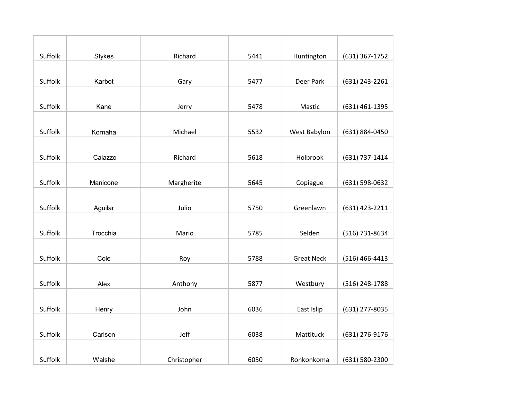| Suffolk | <b>Stykes</b> | Richard     | 5441 | Huntington        | (631) 367-1752 |
|---------|---------------|-------------|------|-------------------|----------------|
|         |               |             |      |                   |                |
| Suffolk | Karbot        | Gary        | 5477 | Deer Park         | (631) 243-2261 |
|         |               |             |      |                   |                |
| Suffolk | Kane          | Jerry       | 5478 | Mastic            | (631) 461-1395 |
|         |               |             |      |                   |                |
| Suffolk | Kornaha       | Michael     | 5532 | West Babylon      | (631) 884-0450 |
|         |               |             |      |                   |                |
| Suffolk | Caiazzo       | Richard     | 5618 | Holbrook          | (631) 737-1414 |
|         |               |             |      |                   |                |
| Suffolk | Manicone      | Margherite  | 5645 | Copiague          | (631) 598-0632 |
|         |               |             |      |                   |                |
| Suffolk | Aguilar       | Julio       | 5750 | Greenlawn         | (631) 423-2211 |
|         |               |             |      |                   |                |
| Suffolk | Trocchia      | Mario       | 5785 | Selden            | (516) 731-8634 |
|         |               |             |      |                   |                |
| Suffolk | Cole          | Roy         | 5788 | <b>Great Neck</b> | (516) 466-4413 |
|         |               |             |      |                   |                |
| Suffolk | Alex          | Anthony     | 5877 | Westbury          | (516) 248-1788 |
|         |               |             |      |                   |                |
| Suffolk | Henry         | John        | 6036 | East Islip        | (631) 277-8035 |
|         |               |             |      |                   |                |
| Suffolk | Carlson       | Jeff        | 6038 | Mattituck         | (631) 276-9176 |
|         |               |             |      |                   |                |
| Suffolk | Walshe        | Christopher | 6050 | Ronkonkoma        | (631) 580-2300 |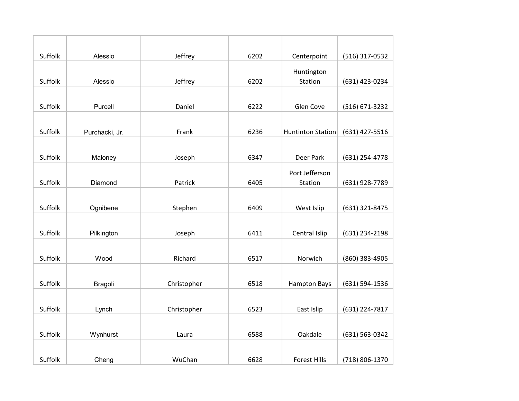| Suffolk | Alessio        | Jeffrey     | 6202 | Centerpoint              | (516) 317-0532 |
|---------|----------------|-------------|------|--------------------------|----------------|
|         |                |             |      | Huntington               |                |
| Suffolk | Alessio        | Jeffrey     | 6202 | Station                  | (631) 423-0234 |
|         |                |             |      |                          |                |
| Suffolk | Purcell        | Daniel      | 6222 | Glen Cove                | (516) 671-3232 |
|         |                |             |      |                          |                |
| Suffolk | Purchacki, Jr. | Frank       | 6236 | <b>Huntinton Station</b> | (631) 427-5516 |
|         |                |             |      |                          |                |
| Suffolk | Maloney        | Joseph      | 6347 | Deer Park                | (631) 254-4778 |
|         |                |             |      | Port Jefferson           |                |
| Suffolk | Diamond        | Patrick     | 6405 | Station                  | (631) 928-7789 |
|         |                |             |      |                          |                |
| Suffolk | Ognibene       | Stephen     | 6409 | West Islip               | (631) 321-8475 |
|         |                |             |      |                          |                |
| Suffolk | Pilkington     | Joseph      | 6411 | Central Islip            | (631) 234-2198 |
|         |                |             |      |                          |                |
| Suffolk | Wood           | Richard     | 6517 | Norwich                  | (860) 383-4905 |
|         |                |             |      |                          |                |
| Suffolk | Bragoli        | Christopher | 6518 | <b>Hampton Bays</b>      | (631) 594-1536 |
|         |                |             |      |                          |                |
| Suffolk | Lynch          | Christopher | 6523 | East Islip               | (631) 224-7817 |
|         |                |             |      |                          |                |
| Suffolk | Wynhurst       | Laura       | 6588 | Oakdale                  | (631) 563-0342 |
|         |                |             |      |                          |                |
| Suffolk | Cheng          | WuChan      | 6628 | <b>Forest Hills</b>      | (718) 806-1370 |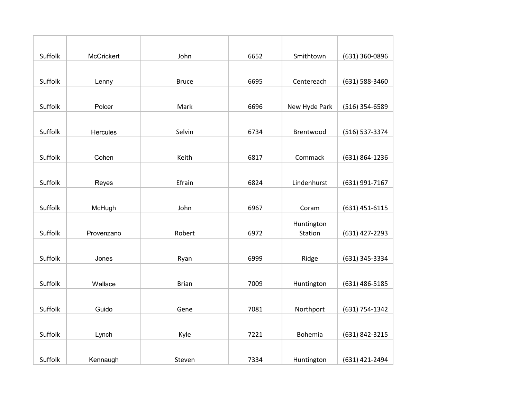| Suffolk | McCrickert | John         | 6652 | Smithtown     | (631) 360-0896 |
|---------|------------|--------------|------|---------------|----------------|
|         |            |              |      |               |                |
| Suffolk | Lenny      | <b>Bruce</b> | 6695 | Centereach    | (631) 588-3460 |
|         |            |              |      |               |                |
| Suffolk | Polcer     | Mark         | 6696 | New Hyde Park | (516) 354-6589 |
|         |            |              |      |               |                |
| Suffolk | Hercules   | Selvin       | 6734 | Brentwood     | (516) 537-3374 |
|         |            |              |      |               |                |
| Suffolk | Cohen      | Keith        | 6817 | Commack       | (631) 864-1236 |
|         |            |              |      |               |                |
| Suffolk | Reyes      | Efrain       | 6824 | Lindenhurst   | (631) 991-7167 |
|         |            |              |      |               |                |
| Suffolk | McHugh     | John         | 6967 | Coram         | (631) 451-6115 |
|         |            |              |      | Huntington    |                |
| Suffolk | Provenzano | Robert       | 6972 | Station       | (631) 427-2293 |
|         |            |              |      |               |                |
| Suffolk | Jones      | Ryan         | 6999 | Ridge         | (631) 345-3334 |
|         |            |              |      |               |                |
| Suffolk | Wallace    | <b>Brian</b> | 7009 | Huntington    | (631) 486-5185 |
|         |            |              |      |               |                |
| Suffolk | Guido      | Gene         | 7081 | Northport     | (631) 754-1342 |
|         |            |              |      |               |                |
| Suffolk | Lynch      | Kyle         | 7221 | Bohemia       | (631) 842-3215 |
|         |            |              |      |               |                |
| Suffolk | Kennaugh   | Steven       | 7334 | Huntington    | (631) 421-2494 |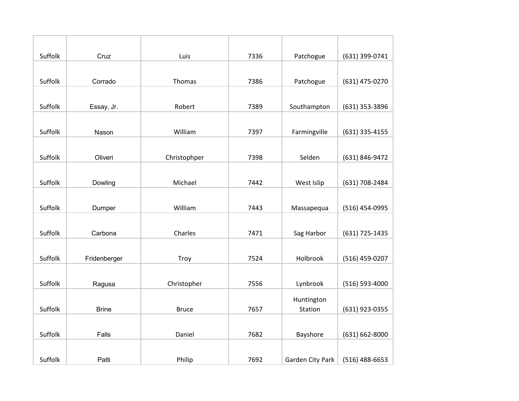| Suffolk | Cruz         | Luis         | 7336 | Patchogue        | (631) 399-0741   |
|---------|--------------|--------------|------|------------------|------------------|
|         |              |              |      |                  |                  |
| Suffolk | Corrado      | Thomas       | 7386 | Patchogue        | (631) 475-0270   |
|         |              |              |      |                  |                  |
| Suffolk | Essay, Jr.   | Robert       | 7389 | Southampton      | (631) 353-3896   |
|         |              |              |      |                  |                  |
| Suffolk | Nason        | William      | 7397 | Farmingville     | (631) 335-4155   |
|         |              |              |      |                  |                  |
| Suffolk | Oliveri      | Christophper | 7398 | Selden           | (631) 846-9472   |
|         |              |              |      |                  |                  |
| Suffolk | Dowling      | Michael      | 7442 | West Islip       | (631) 708-2484   |
|         |              |              |      |                  |                  |
| Suffolk | Dumper       | William      | 7443 | Massapequa       | (516) 454-0995   |
|         |              |              |      |                  |                  |
| Suffolk | Carbona      | Charles      | 7471 | Sag Harbor       | (631) 725-1435   |
|         |              |              |      |                  |                  |
| Suffolk | Fridenberger | Troy         | 7524 | Holbrook         | (516) 459-0207   |
|         |              |              |      |                  |                  |
| Suffolk | Ragusa       | Christopher  | 7556 | Lynbrook         | (516) 593-4000   |
|         |              |              |      | Huntington       |                  |
| Suffolk | <b>Brine</b> | <b>Bruce</b> | 7657 | Station          | (631) 923-0355   |
|         |              |              |      |                  |                  |
| Suffolk | Falls        | Daniel       | 7682 | Bayshore         | (631) 662-8000   |
|         |              |              |      |                  |                  |
| Suffolk | Patti        | Philip       | 7692 | Garden City Park | $(516)$ 488-6653 |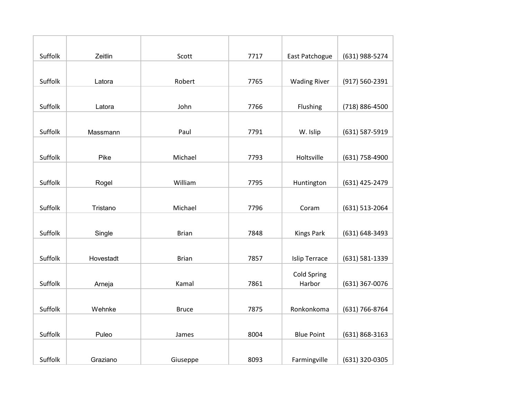| Suffolk | Zeitlin   | Scott        | 7717 | East Patchogue       | (631) 988-5274 |
|---------|-----------|--------------|------|----------------------|----------------|
|         |           |              |      |                      |                |
| Suffolk | Latora    | Robert       | 7765 | <b>Wading River</b>  | (917) 560-2391 |
|         |           |              |      |                      |                |
| Suffolk | Latora    | John         | 7766 | Flushing             | (718) 886-4500 |
|         |           |              |      |                      |                |
| Suffolk | Massmann  | Paul         | 7791 | W. Islip             | (631) 587-5919 |
|         |           |              |      |                      |                |
| Suffolk | Pike      | Michael      | 7793 | Holtsville           | (631) 758-4900 |
|         |           |              |      |                      |                |
| Suffolk | Rogel     | William      | 7795 | Huntington           | (631) 425-2479 |
|         |           |              |      |                      |                |
| Suffolk | Tristano  | Michael      | 7796 | Coram                | (631) 513-2064 |
|         |           |              |      |                      |                |
| Suffolk | Single    | <b>Brian</b> | 7848 | <b>Kings Park</b>    | (631) 648-3493 |
|         |           |              |      |                      |                |
| Suffolk | Hovestadt | <b>Brian</b> | 7857 | <b>Islip Terrace</b> | (631) 581-1339 |
|         |           |              |      | <b>Cold Spring</b>   |                |
| Suffolk | Arneja    | Kamal        | 7861 | Harbor               | (631) 367-0076 |
|         |           |              |      |                      |                |
| Suffolk | Wehnke    | <b>Bruce</b> | 7875 | Ronkonkoma           | (631) 766-8764 |
|         |           |              |      |                      |                |
| Suffolk | Puleo     | James        | 8004 | <b>Blue Point</b>    | (631) 868-3163 |
|         |           |              |      |                      |                |
| Suffolk | Graziano  | Giuseppe     | 8093 | Farmingville         | (631) 320-0305 |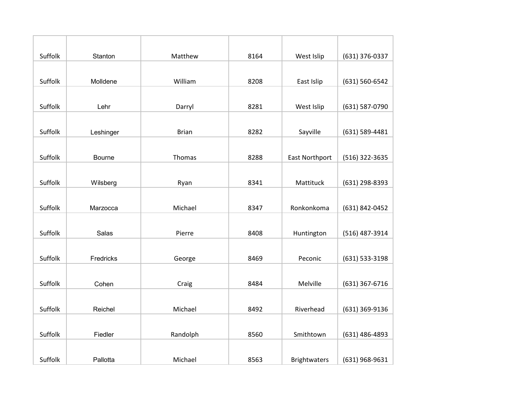| Suffolk | Stanton   | Matthew      | 8164 | West Islip            | (631) 376-0337 |
|---------|-----------|--------------|------|-----------------------|----------------|
|         |           |              |      |                       |                |
| Suffolk | Molldene  | William      | 8208 | East Islip            | (631) 560-6542 |
|         |           |              |      |                       |                |
| Suffolk | Lehr      | Darryl       | 8281 | West Islip            | (631) 587-0790 |
|         |           |              |      |                       |                |
| Suffolk | Leshinger | <b>Brian</b> | 8282 | Sayville              | (631) 589-4481 |
|         |           |              |      |                       |                |
| Suffolk | Bourne    | Thomas       | 8288 | <b>East Northport</b> | (516) 322-3635 |
|         |           |              |      |                       |                |
| Suffolk | Wilsberg  | Ryan         | 8341 | Mattituck             | (631) 298-8393 |
|         |           |              |      |                       |                |
| Suffolk | Marzocca  | Michael      | 8347 | Ronkonkoma            | (631) 842-0452 |
|         |           |              |      |                       |                |
| Suffolk | Salas     | Pierre       | 8408 | Huntington            | (516) 487-3914 |
|         |           |              |      |                       |                |
| Suffolk | Fredricks | George       | 8469 | Peconic               | (631) 533-3198 |
|         |           |              |      |                       |                |
| Suffolk | Cohen     | Craig        | 8484 | Melville              | (631) 367-6716 |
|         |           |              |      |                       |                |
| Suffolk | Reichel   | Michael      | 8492 | Riverhead             | (631) 369-9136 |
|         |           |              |      |                       |                |
| Suffolk | Fiedler   | Randolph     | 8560 | Smithtown             | (631) 486-4893 |
|         |           |              |      |                       |                |
| Suffolk | Pallotta  | Michael      | 8563 | <b>Brightwaters</b>   | (631) 968-9631 |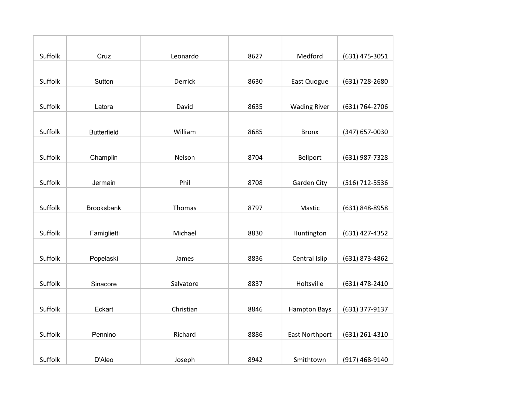| Suffolk | Cruz               | Leonardo  | 8627 | Medford               | (631) 475-3051 |
|---------|--------------------|-----------|------|-----------------------|----------------|
|         |                    |           |      |                       |                |
| Suffolk | Sutton             | Derrick   | 8630 | East Quogue           | (631) 728-2680 |
|         |                    |           |      |                       |                |
| Suffolk | Latora             | David     | 8635 | <b>Wading River</b>   | (631) 764-2706 |
|         |                    |           |      |                       |                |
| Suffolk | <b>Butterfield</b> | William   | 8685 | <b>Bronx</b>          | (347) 657-0030 |
|         |                    |           |      |                       |                |
| Suffolk | Champlin           | Nelson    | 8704 | Bellport              | (631) 987-7328 |
|         |                    |           |      |                       |                |
| Suffolk | Jermain            | Phil      | 8708 | Garden City           | (516) 712-5536 |
|         |                    |           |      |                       |                |
| Suffolk | <b>Brooksbank</b>  | Thomas    | 8797 | Mastic                | (631) 848-8958 |
|         |                    |           |      |                       |                |
| Suffolk | Famiglietti        | Michael   | 8830 | Huntington            | (631) 427-4352 |
|         |                    |           |      |                       |                |
| Suffolk | Popelaski          | James     | 8836 | Central Islip         | (631) 873-4862 |
|         |                    |           |      |                       |                |
| Suffolk | Sinacore           | Salvatore | 8837 | Holtsville            | (631) 478-2410 |
|         |                    |           |      |                       |                |
| Suffolk | Eckart             | Christian | 8846 | <b>Hampton Bays</b>   | (631) 377-9137 |
|         |                    |           |      |                       |                |
| Suffolk | Pennino            | Richard   | 8886 | <b>East Northport</b> | (631) 261-4310 |
|         |                    |           |      |                       |                |
| Suffolk | D'Aleo             | Joseph    | 8942 | Smithtown             | (917) 468-9140 |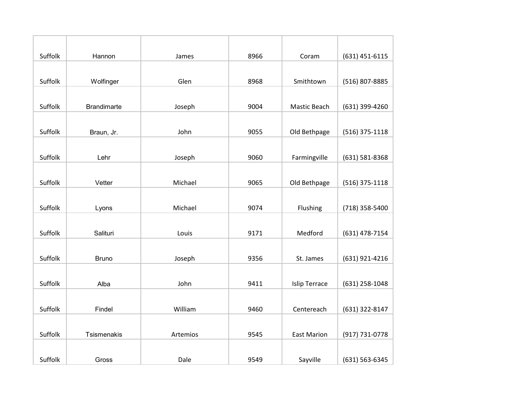| Suffolk | Hannon             | James    | 8966 | Coram                | (631) 451-6115   |
|---------|--------------------|----------|------|----------------------|------------------|
|         |                    |          |      |                      |                  |
| Suffolk | Wolfinger          | Glen     | 8968 | Smithtown            | (516) 807-8885   |
|         |                    |          |      |                      |                  |
| Suffolk | <b>Brandimarte</b> | Joseph   | 9004 | Mastic Beach         | (631) 399-4260   |
|         |                    |          |      |                      |                  |
| Suffolk | Braun, Jr.         | John     | 9055 | Old Bethpage         | $(516)$ 375-1118 |
|         |                    |          |      |                      |                  |
| Suffolk | Lehr               | Joseph   | 9060 | Farmingville         | (631) 581-8368   |
|         |                    |          |      |                      |                  |
| Suffolk | Vetter             | Michael  | 9065 | Old Bethpage         | $(516)$ 375-1118 |
|         |                    |          |      |                      |                  |
| Suffolk | Lyons              | Michael  | 9074 | Flushing             | (718) 358-5400   |
|         |                    |          |      |                      |                  |
| Suffolk | Salituri           | Louis    | 9171 | Medford              | (631) 478-7154   |
|         |                    |          |      |                      |                  |
| Suffolk | <b>Bruno</b>       | Joseph   | 9356 | St. James            | (631) 921-4216   |
|         |                    |          |      |                      |                  |
| Suffolk | Alba               | John     | 9411 | <b>Islip Terrace</b> | (631) 258-1048   |
|         |                    |          |      |                      |                  |
| Suffolk | Findel             | William  | 9460 | Centereach           | (631) 322-8147   |
|         |                    |          |      |                      |                  |
| Suffolk | Tsismenakis        | Artemios | 9545 | <b>East Marion</b>   | (917) 731-0778   |
|         |                    |          |      |                      |                  |
| Suffolk | Gross              | Dale     | 9549 | Sayville             | (631) 563-6345   |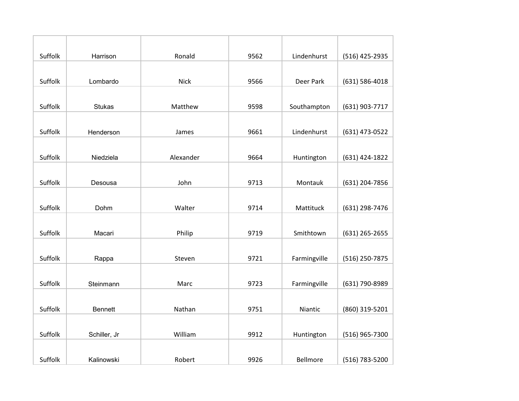| Suffolk | Harrison       | Ronald      | 9562 | Lindenhurst  | (516) 425-2935     |
|---------|----------------|-------------|------|--------------|--------------------|
|         |                |             |      |              |                    |
| Suffolk | Lombardo       | <b>Nick</b> | 9566 | Deer Park    | $(631) 586 - 4018$ |
|         |                |             |      |              |                    |
| Suffolk | <b>Stukas</b>  | Matthew     | 9598 | Southampton  | (631) 903-7717     |
|         |                |             |      |              |                    |
| Suffolk | Henderson      | James       | 9661 | Lindenhurst  | (631) 473-0522     |
|         |                |             |      |              |                    |
| Suffolk | Niedziela      | Alexander   | 9664 | Huntington   | (631) 424-1822     |
|         |                |             |      |              |                    |
| Suffolk | Desousa        | John        | 9713 | Montauk      | (631) 204-7856     |
|         |                |             |      |              |                    |
| Suffolk | Dohm           | Walter      | 9714 | Mattituck    | (631) 298-7476     |
|         |                |             |      |              |                    |
| Suffolk | Macari         | Philip      | 9719 | Smithtown    | (631) 265-2655     |
|         |                |             |      |              |                    |
| Suffolk | Rappa          | Steven      | 9721 | Farmingville | (516) 250-7875     |
|         |                |             |      |              |                    |
| Suffolk | Steinmann      | Marc        | 9723 | Farmingville | (631) 790-8989     |
|         |                |             |      |              |                    |
| Suffolk | <b>Bennett</b> | Nathan      | 9751 | Niantic      | (860) 319-5201     |
|         |                |             |      |              |                    |
| Suffolk | Schiller, Jr   | William     | 9912 | Huntington   | (516) 965-7300     |
|         |                |             |      |              |                    |
| Suffolk | Kalinowski     | Robert      | 9926 | Bellmore     | (516) 783-5200     |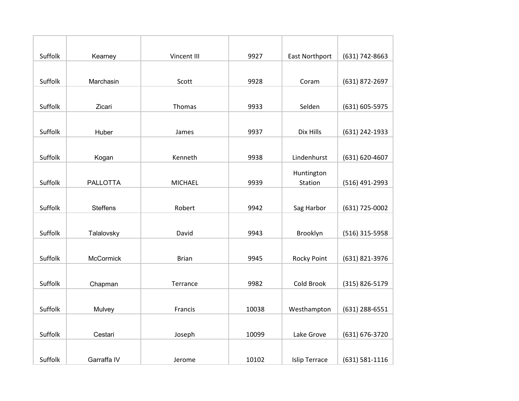| Suffolk | Kearney          | Vincent III    | 9927  | <b>East Northport</b> | (631) 742-8663 |
|---------|------------------|----------------|-------|-----------------------|----------------|
|         |                  |                |       |                       |                |
| Suffolk | Marchasin        | Scott          | 9928  | Coram                 | (631) 872-2697 |
|         |                  |                |       |                       |                |
| Suffolk | Zicari           | Thomas         | 9933  | Selden                | (631) 605-5975 |
|         |                  |                |       |                       |                |
| Suffolk | Huber            | James          | 9937  | Dix Hills             | (631) 242-1933 |
|         |                  |                |       |                       |                |
| Suffolk | Kogan            | Kenneth        | 9938  | Lindenhurst           | (631) 620-4607 |
|         |                  |                |       | Huntington            |                |
| Suffolk | <b>PALLOTTA</b>  | <b>MICHAEL</b> | 9939  | Station               | (516) 491-2993 |
|         |                  |                |       |                       |                |
| Suffolk | <b>Steffens</b>  | Robert         | 9942  | Sag Harbor            | (631) 725-0002 |
|         |                  |                |       |                       |                |
| Suffolk | Talalovsky       | David          | 9943  | Brooklyn              | (516) 315-5958 |
|         |                  |                |       |                       |                |
| Suffolk | <b>McCormick</b> | <b>Brian</b>   | 9945  | Rocky Point           | (631) 821-3976 |
|         |                  |                |       |                       |                |
| Suffolk | Chapman          | Terrance       | 9982  | Cold Brook            | (315) 826-5179 |
|         |                  |                |       |                       |                |
| Suffolk | Mulvey           | Francis        | 10038 | Westhampton           | (631) 288-6551 |
|         |                  |                |       |                       |                |
| Suffolk | Cestari          | Joseph         | 10099 | Lake Grove            | (631) 676-3720 |
|         |                  |                |       |                       |                |
| Suffolk | Garraffa IV      | Jerome         | 10102 | <b>Islip Terrace</b>  | (631) 581-1116 |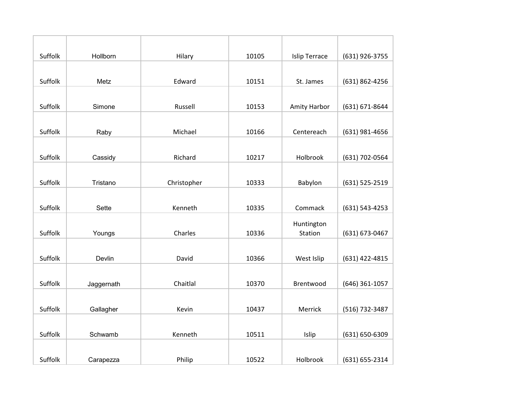| Suffolk | Hollborn   | Hilary      | 10105 | <b>Islip Terrace</b> | (631) 926-3755 |
|---------|------------|-------------|-------|----------------------|----------------|
|         |            |             |       |                      |                |
| Suffolk | Metz       | Edward      | 10151 | St. James            | (631) 862-4256 |
|         |            |             |       |                      |                |
| Suffolk | Simone     | Russell     | 10153 | Amity Harbor         | (631) 671-8644 |
|         |            |             |       |                      |                |
| Suffolk | Raby       | Michael     | 10166 | Centereach           | (631) 981-4656 |
|         |            |             |       |                      |                |
| Suffolk | Cassidy    | Richard     | 10217 | Holbrook             | (631) 702-0564 |
|         |            |             |       |                      |                |
| Suffolk | Tristano   | Christopher | 10333 | Babylon              | (631) 525-2519 |
|         |            |             |       |                      |                |
| Suffolk | Sette      | Kenneth     | 10335 | Commack              | (631) 543-4253 |
|         |            |             |       | Huntington           |                |
| Suffolk | Youngs     | Charles     | 10336 | Station              | (631) 673-0467 |
|         |            |             |       |                      |                |
| Suffolk | Devlin     | David       | 10366 | West Islip           | (631) 422-4815 |
|         |            |             |       |                      |                |
| Suffolk | Jaggernath | Chaitlal    | 10370 | Brentwood            | (646) 361-1057 |
|         |            |             |       |                      |                |
| Suffolk | Gallagher  | Kevin       | 10437 | Merrick              | (516) 732-3487 |
|         |            |             |       |                      |                |
| Suffolk | Schwamb    | Kenneth     | 10511 | Islip                | (631) 650-6309 |
|         |            |             |       |                      |                |
| Suffolk | Carapezza  | Philip      | 10522 | Holbrook             | (631) 655-2314 |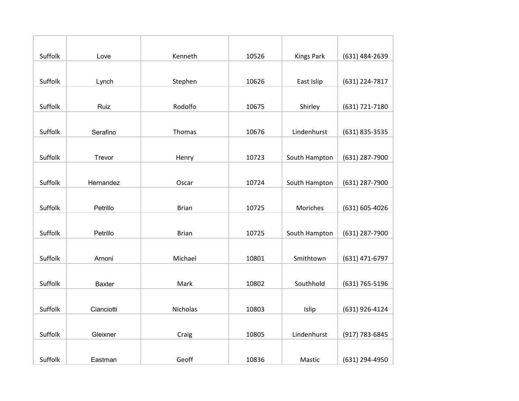| Suffolk | Love          | Kenneth      | 10526 | <b>Kings Park</b> | (631) 484-2639 |
|---------|---------------|--------------|-------|-------------------|----------------|
|         |               |              |       |                   |                |
| Suffolk | Lynch         | Stephen      | 10626 | East Islip        | (631) 224-7817 |
|         |               |              |       |                   |                |
| Suffolk | Ruiz          | Rodolfo      | 10675 | Shirley           | (631) 721-7180 |
|         |               |              |       |                   |                |
| Suffolk | Serafino      | Thomas       | 10676 | Lindenhurst       | (631) 835-3535 |
|         |               |              |       |                   |                |
| Suffolk | Trevor        | Henry        | 10723 | South Hampton     | (631) 287-7900 |
|         |               |              |       |                   |                |
| Suffolk | Hernandez     | Oscar        | 10724 | South Hampton     | (631) 287-7900 |
|         |               |              |       |                   |                |
| Suffolk | Petrillo      | <b>Brian</b> | 10725 | Moriches          | (631) 605-4026 |
|         |               |              |       |                   |                |
| Suffolk | Petrillo      | <b>Brian</b> | 10725 | South Hampton     | (631) 287-7900 |
|         |               |              |       |                   |                |
| Suffolk | Arnoni        | Michael      | 10801 | Smithtown         | (631) 471-6797 |
|         |               |              |       |                   |                |
| Suffolk | <b>Baxter</b> | Mark         | 10802 | Southhold         | (631) 765-5196 |
|         |               |              |       |                   |                |
| Suffolk | Cianciotti    | Nicholas     | 10803 | Islip             | (631) 926-4124 |
|         |               |              |       |                   |                |
| Suffolk | Gleixner      | Craig        | 10805 | Lindenhurst       | (917) 783-6845 |
|         |               |              |       |                   |                |
| Suffolk | Eastman       | Geoff        | 10836 | Mastic            | (631) 294-4950 |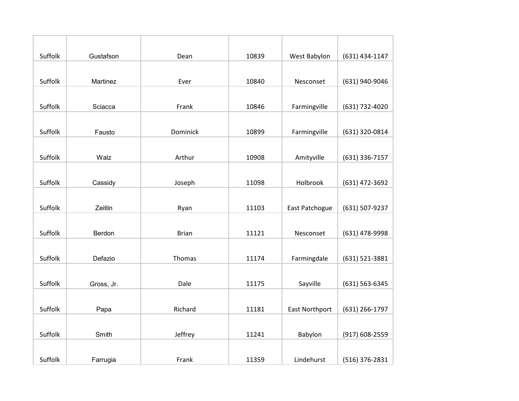| Suffolk | Gustafson  | Dean         | 10839 | West Babylon          | (631) 434-1147 |
|---------|------------|--------------|-------|-----------------------|----------------|
|         |            |              |       |                       |                |
| Suffolk | Martinez   | Ever         | 10840 | Nesconset             | (631) 940-9046 |
|         |            |              |       |                       |                |
| Suffolk | Sciacca    | Frank        | 10846 | Farmingville          | (631) 732-4020 |
|         |            |              |       |                       |                |
| Suffolk | Fausto     | Dominick     | 10899 | Farmingville          | (631) 320-0814 |
|         |            |              |       |                       |                |
| Suffolk | Walz       | Arthur       | 10908 | Amityville            | (631) 336-7157 |
|         |            |              |       |                       |                |
| Suffolk | Cassidy    | Joseph       | 11098 | Holbrook              | (631) 472-3692 |
|         |            |              |       |                       |                |
| Suffolk | Zeitlin    | Ryan         | 11103 | East Patchogue        | (631) 507-9237 |
|         |            |              |       |                       |                |
| Suffolk | Berdon     | <b>Brian</b> | 11121 | Nesconset             | (631) 478-9998 |
|         |            |              |       |                       |                |
| Suffolk | Defazio    | Thomas       | 11174 | Farmingdale           | (631) 521-3881 |
|         |            |              |       |                       |                |
| Suffolk | Gross, Jr. | Dale         | 11175 | Sayville              | (631) 563-6345 |
|         |            |              |       |                       |                |
| Suffolk | Papa       | Richard      | 11181 | <b>East Northport</b> | (631) 266-1797 |
|         |            |              |       |                       |                |
| Suffolk | Smith      | Jeffrey      | 11241 | Babylon               | (917) 608-2559 |
|         |            |              |       |                       |                |
| Suffolk | Farrugia   | Frank        | 11359 | Lindehurst            | (516) 376-2831 |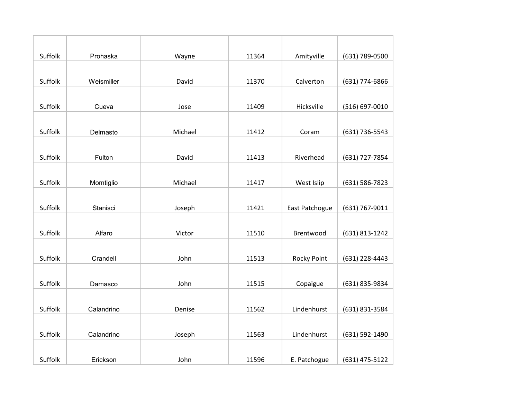| Suffolk | Prohaska   | Wayne   | 11364 | Amityville     | (631) 789-0500 |
|---------|------------|---------|-------|----------------|----------------|
|         |            |         |       |                |                |
| Suffolk | Weismiller | David   | 11370 | Calverton      | (631) 774-6866 |
|         |            |         |       |                |                |
| Suffolk | Cueva      | Jose    | 11409 | Hicksville     | (516) 697-0010 |
|         |            |         |       |                |                |
| Suffolk | Delmasto   | Michael | 11412 | Coram          | (631) 736-5543 |
|         |            |         |       |                |                |
| Suffolk | Fulton     | David   | 11413 | Riverhead      | (631) 727-7854 |
|         |            |         |       |                |                |
| Suffolk | Momtiglio  | Michael | 11417 | West Islip     | (631) 586-7823 |
|         |            |         |       |                |                |
| Suffolk | Stanisci   | Joseph  | 11421 | East Patchogue | (631) 767-9011 |
|         |            |         |       |                |                |
| Suffolk | Alfaro     | Victor  | 11510 | Brentwood      | (631) 813-1242 |
|         |            |         |       |                |                |
| Suffolk | Crandell   | John    | 11513 | Rocky Point    | (631) 228-4443 |
|         |            |         |       |                |                |
| Suffolk | Damasco    | John    | 11515 | Copaigue       | (631) 835-9834 |
|         |            |         |       |                |                |
| Suffolk | Calandrino | Denise  | 11562 | Lindenhurst    | (631) 831-3584 |
|         |            |         |       |                |                |
| Suffolk | Calandrino | Joseph  | 11563 | Lindenhurst    | (631) 592-1490 |
|         |            |         |       |                |                |
| Suffolk | Erickson   | John    | 11596 | E. Patchogue   | (631) 475-5122 |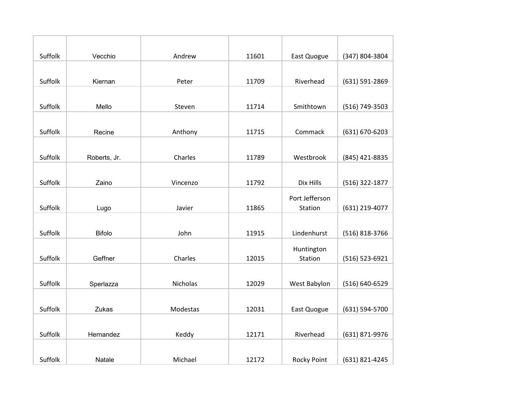| Suffolk | Vecchio       | Andrew          | 11601 | East Quogue    | (347) 804-3804 |
|---------|---------------|-----------------|-------|----------------|----------------|
|         |               |                 |       |                |                |
| Suffolk | Kiernan       | Peter           | 11709 | Riverhead      | (631) 591-2869 |
|         |               |                 |       |                |                |
| Suffolk | Mello         | Steven          | 11714 | Smithtown      | (516) 749-3503 |
|         |               |                 |       |                |                |
| Suffolk | Recine        | Anthony         | 11715 | Commack        | (631) 670-6203 |
|         |               |                 |       |                |                |
| Suffolk | Roberts, Jr.  | Charles         | 11789 | Westbrook      | (845) 421-8835 |
|         |               |                 |       |                |                |
| Suffolk | Zaino         | Vincenzo        | 11792 | Dix Hills      | (516) 322-1877 |
|         |               |                 |       | Port Jefferson |                |
| Suffolk | Lugo          | Javier          | 11865 | Station        | (631) 219-4077 |
|         |               |                 |       |                |                |
| Suffolk | <b>Bifolo</b> | John            | 11915 | Lindenhurst    | (516) 818-3766 |
|         |               |                 |       | Huntington     |                |
| Suffolk | Geffner       | Charles         | 12015 | Station        | (516) 523-6921 |
|         |               |                 |       |                |                |
| Suffolk | Sperlazza     | <b>Nicholas</b> | 12029 | West Babylon   | (516) 640-6529 |
|         |               |                 |       |                |                |
| Suffolk | Zukas         | Modestas        | 12031 | East Quogue    | (631) 594-5700 |
|         |               |                 |       |                |                |
| Suffolk | Hernandez     | Keddy           | 12171 | Riverhead      | (631) 871-9976 |
|         |               |                 |       |                |                |
| Suffolk | Natale        | Michael         | 12172 | Rocky Point    | (631) 821-4245 |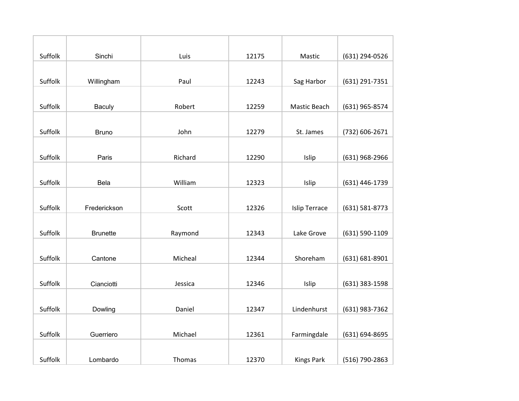| Suffolk | Sinchi          | Luis    | 12175 | Mastic               | (631) 294-0526 |
|---------|-----------------|---------|-------|----------------------|----------------|
|         |                 |         |       |                      |                |
| Suffolk | Willingham      | Paul    | 12243 | Sag Harbor           | (631) 291-7351 |
|         |                 |         |       |                      |                |
| Suffolk | Baculy          | Robert  | 12259 | Mastic Beach         | (631) 965-8574 |
|         |                 |         |       |                      |                |
| Suffolk | <b>Bruno</b>    | John    | 12279 | St. James            | (732) 606-2671 |
|         |                 |         |       |                      |                |
| Suffolk | Paris           | Richard | 12290 | Islip                | (631) 968-2966 |
|         |                 |         |       |                      |                |
| Suffolk | <b>Bela</b>     | William | 12323 | Islip                | (631) 446-1739 |
|         |                 |         |       |                      |                |
| Suffolk | Frederickson    | Scott   | 12326 | <b>Islip Terrace</b> | (631) 581-8773 |
|         |                 |         |       |                      |                |
| Suffolk | <b>Brunette</b> | Raymond | 12343 | Lake Grove           | (631) 590-1109 |
|         |                 |         |       |                      |                |
| Suffolk | Cantone         | Micheal | 12344 | Shoreham             | (631) 681-8901 |
|         |                 |         |       |                      |                |
| Suffolk | Cianciotti      | Jessica | 12346 | Islip                | (631) 383-1598 |
|         |                 |         |       |                      |                |
| Suffolk | Dowling         | Daniel  | 12347 | Lindenhurst          | (631) 983-7362 |
|         |                 |         |       |                      |                |
| Suffolk | Guerriero       | Michael | 12361 | Farmingdale          | (631) 694-8695 |
|         |                 |         |       |                      |                |
| Suffolk | Lombardo        | Thomas  | 12370 | <b>Kings Park</b>    | (516) 790-2863 |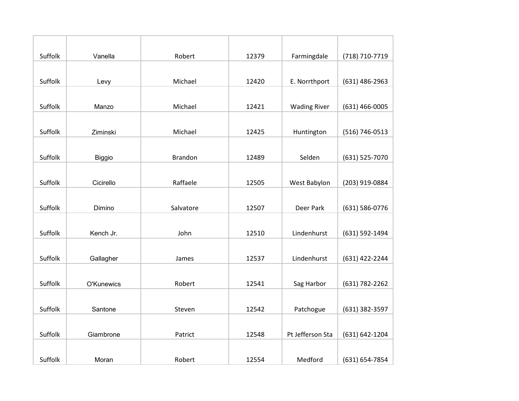| Suffolk | Vanella       | Robert         | 12379 | Farmingdale         | (718) 710-7719 |
|---------|---------------|----------------|-------|---------------------|----------------|
|         |               |                |       |                     |                |
| Suffolk | Levy          | Michael        | 12420 | E. Norrthport       | (631) 486-2963 |
|         |               |                |       |                     |                |
| Suffolk | Manzo         | Michael        | 12421 | <b>Wading River</b> | (631) 466-0005 |
|         |               |                |       |                     |                |
| Suffolk | Ziminski      | Michael        | 12425 | Huntington          | (516) 746-0513 |
|         |               |                |       |                     |                |
| Suffolk | <b>Biggio</b> | <b>Brandon</b> | 12489 | Selden              | (631) 525-7070 |
|         |               |                |       |                     |                |
| Suffolk | Cicirello     | Raffaele       | 12505 | West Babylon        | (203) 919-0884 |
|         |               |                |       |                     |                |
| Suffolk | Dimino        | Salvatore      | 12507 | Deer Park           | (631) 586-0776 |
|         |               |                |       |                     |                |
| Suffolk | Kench Jr.     | John           | 12510 | Lindenhurst         | (631) 592-1494 |
|         |               |                |       |                     |                |
| Suffolk | Gallagher     | James          | 12537 | Lindenhurst         | (631) 422-2244 |
|         |               |                |       |                     |                |
| Suffolk | O'Kunewics    | Robert         | 12541 | Sag Harbor          | (631) 782-2262 |
|         |               |                |       |                     |                |
| Suffolk | Santone       | Steven         | 12542 | Patchogue           | (631) 382-3597 |
|         |               |                |       |                     |                |
| Suffolk | Giambrone     | Patrict        | 12548 | Pt Jefferson Sta    | (631) 642-1204 |
|         |               |                |       |                     |                |
| Suffolk | Moran         | Robert         | 12554 | Medford             | (631) 654-7854 |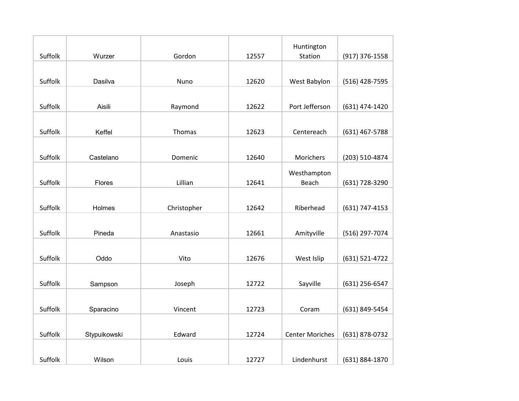|         |              |             |       | Huntington             |                |
|---------|--------------|-------------|-------|------------------------|----------------|
| Suffolk | Wurzer       | Gordon      | 12557 | Station                | (917) 376-1558 |
|         |              |             |       |                        |                |
| Suffolk | Dasilva      | Nuno        | 12620 | West Babylon           | (516) 428-7595 |
|         |              |             |       |                        |                |
| Suffolk | Aisili       | Raymond     | 12622 | Port Jefferson         | (631) 474-1420 |
|         |              |             |       |                        |                |
| Suffolk | Keffel       | Thomas      | 12623 | Centereach             | (631) 467-5788 |
|         |              |             |       |                        |                |
| Suffolk | Castelano    | Domenic     | 12640 | Morichers              | (203) 510-4874 |
|         |              |             |       | Westhampton            |                |
| Suffolk | Flores       | Lillian     | 12641 | Beach                  | (631) 728-3290 |
|         |              |             |       |                        |                |
| Suffolk | Holmes       | Christopher | 12642 | Riberhead              | (631) 747-4153 |
|         |              |             |       |                        |                |
| Suffolk | Pineda       | Anastasio   | 12661 | Amityville             | (516) 297-7074 |
|         |              |             |       |                        |                |
| Suffolk | Oddo         | Vito        | 12676 | West Islip             | (631) 521-4722 |
|         |              |             |       |                        |                |
| Suffolk | Sampson      | Joseph      | 12722 | Sayville               | (631) 256-6547 |
|         |              |             |       |                        |                |
| Suffolk | Sparacino    | Vincent     | 12723 | Coram                  | (631) 849-5454 |
|         |              |             |       |                        |                |
| Suffolk | Stypuikowski | Edward      | 12724 | <b>Center Moriches</b> | (631) 878-0732 |
|         |              |             |       |                        |                |
| Suffolk | Wilson       | Louis       | 12727 | Lindenhurst            | (631) 884-1870 |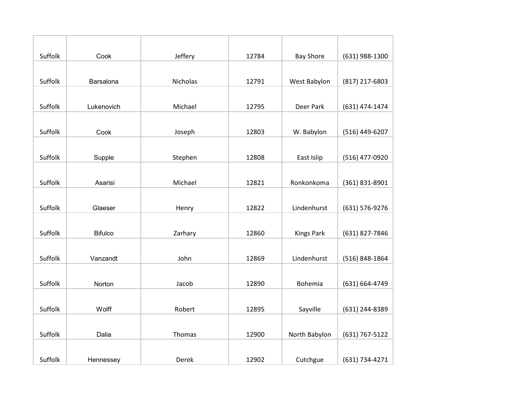| Suffolk | Cook           | Jeffery  | 12784 | <b>Bay Shore</b>  | (631) 988-1300 |
|---------|----------------|----------|-------|-------------------|----------------|
|         |                |          |       |                   |                |
| Suffolk | Barsalona      | Nicholas | 12791 | West Babylon      | (817) 217-6803 |
|         |                |          |       |                   |                |
| Suffolk | Lukenovich     | Michael  | 12795 | Deer Park         | (631) 474-1474 |
|         |                |          |       |                   |                |
| Suffolk | Cook           | Joseph   | 12803 | W. Babylon        | (516) 449-6207 |
|         |                |          |       |                   |                |
| Suffolk | Supple         | Stephen  | 12808 | East Islip        | (516) 477-0920 |
|         |                |          |       |                   |                |
| Suffolk | Asarisi        | Michael  | 12821 | Ronkonkoma        | (361) 831-8901 |
|         |                |          |       |                   |                |
| Suffolk | Glaeser        | Henry    | 12822 | Lindenhurst       | (631) 576-9276 |
|         |                |          |       |                   |                |
| Suffolk | <b>Bifulco</b> | Zarhary  | 12860 | <b>Kings Park</b> | (631) 827-7846 |
|         |                |          |       |                   |                |
| Suffolk | Vanzandt       | John     | 12869 | Lindenhurst       | (516) 848-1864 |
|         |                |          |       |                   |                |
| Suffolk | Norton         | Jacob    | 12890 | Bohemia           | (631) 664-4749 |
|         |                |          |       |                   |                |
| Suffolk | Wolff          | Robert   | 12895 | Sayville          | (631) 244-8389 |
|         |                |          |       |                   |                |
| Suffolk | Dalia          | Thomas   | 12900 | North Babylon     | (631) 767-5122 |
|         |                |          |       |                   |                |
| Suffolk | Hennessey      | Derek    | 12902 | Cutchgue          | (631) 734-4271 |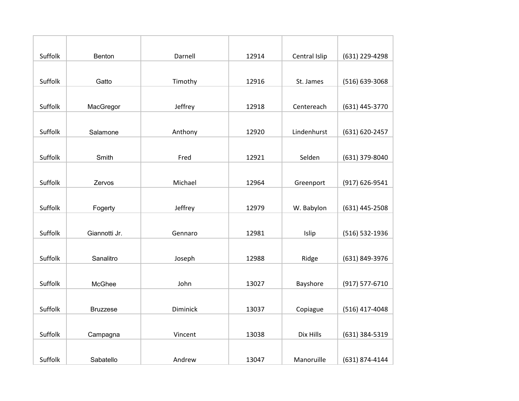| Suffolk | Benton          | Darnell  | 12914 | Central Islip | (631) 229-4298 |
|---------|-----------------|----------|-------|---------------|----------------|
|         |                 |          |       |               |                |
| Suffolk | Gatto           | Timothy  | 12916 | St. James     | (516) 639-3068 |
|         |                 |          |       |               |                |
| Suffolk | MacGregor       | Jeffrey  | 12918 | Centereach    | (631) 445-3770 |
|         |                 |          |       |               |                |
| Suffolk | Salamone        | Anthony  | 12920 | Lindenhurst   | (631) 620-2457 |
|         |                 |          |       |               |                |
| Suffolk | Smith           | Fred     | 12921 | Selden        | (631) 379-8040 |
|         |                 |          |       |               |                |
| Suffolk | Zervos          | Michael  | 12964 | Greenport     | (917) 626-9541 |
|         |                 |          |       |               |                |
| Suffolk | Fogerty         | Jeffrey  | 12979 | W. Babylon    | (631) 445-2508 |
|         |                 |          |       |               |                |
| Suffolk | Giannotti Jr.   | Gennaro  | 12981 | Islip         | (516) 532-1936 |
|         |                 |          |       |               |                |
| Suffolk | Sanalitro       | Joseph   | 12988 | Ridge         | (631) 849-3976 |
|         |                 |          |       |               |                |
| Suffolk | McGhee          | John     | 13027 | Bayshore      | (917) 577-6710 |
|         |                 |          |       |               |                |
| Suffolk | <b>Bruzzese</b> | Diminick | 13037 | Copiague      | (516) 417-4048 |
|         |                 |          |       |               |                |
| Suffolk | Campagna        | Vincent  | 13038 | Dix Hills     | (631) 384-5319 |
|         |                 |          |       |               |                |
| Suffolk | Sabatello       | Andrew   | 13047 | Manoruille    | (631) 874-4144 |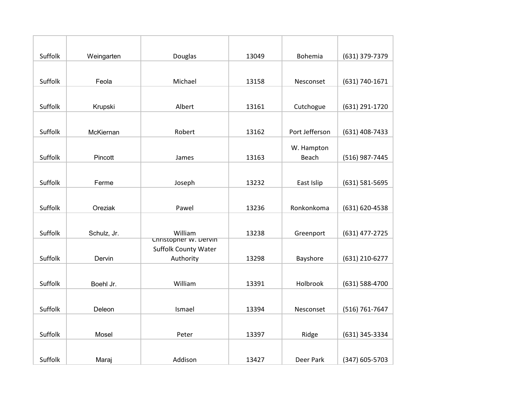| Suffolk | Weingarten  | Douglas                                              | 13049 | Bohemia        | (631) 379-7379 |
|---------|-------------|------------------------------------------------------|-------|----------------|----------------|
|         |             |                                                      |       |                |                |
| Suffolk | Feola       | Michael                                              | 13158 | Nesconset      | (631) 740-1671 |
|         |             |                                                      |       |                |                |
| Suffolk | Krupski     | Albert                                               | 13161 | Cutchogue      | (631) 291-1720 |
|         |             |                                                      |       |                |                |
| Suffolk | McKiernan   | Robert                                               | 13162 | Port Jefferson | (631) 408-7433 |
|         |             |                                                      |       | W. Hampton     |                |
| Suffolk | Pincott     | James                                                | 13163 | Beach          | (516) 987-7445 |
|         |             |                                                      |       |                |                |
| Suffolk | Ferme       | Joseph                                               | 13232 | East Islip     | (631) 581-5695 |
|         |             |                                                      |       |                |                |
| Suffolk | Oreziak     | Pawel                                                | 13236 | Ronkonkoma     | (631) 620-4538 |
|         |             |                                                      |       |                |                |
| Suffolk | Schulz, Jr. | William                                              | 13238 | Greenport      | (631) 477-2725 |
|         |             | Christopher w. Dervin<br><b>Suffolk County Water</b> |       |                |                |
| Suffolk | Dervin      | Authority                                            | 13298 | Bayshore       | (631) 210-6277 |
|         |             |                                                      |       |                |                |
| Suffolk | Boehl Jr.   | William                                              | 13391 | Holbrook       | (631) 588-4700 |
|         |             |                                                      |       |                |                |
| Suffolk | Deleon      | Ismael                                               | 13394 | Nesconset      | (516) 761-7647 |
|         |             |                                                      |       |                |                |
| Suffolk | Mosel       | Peter                                                | 13397 | Ridge          | (631) 345-3334 |
|         |             |                                                      |       |                |                |
| Suffolk | Maraj       | Addison                                              | 13427 | Deer Park      | (347) 605-5703 |